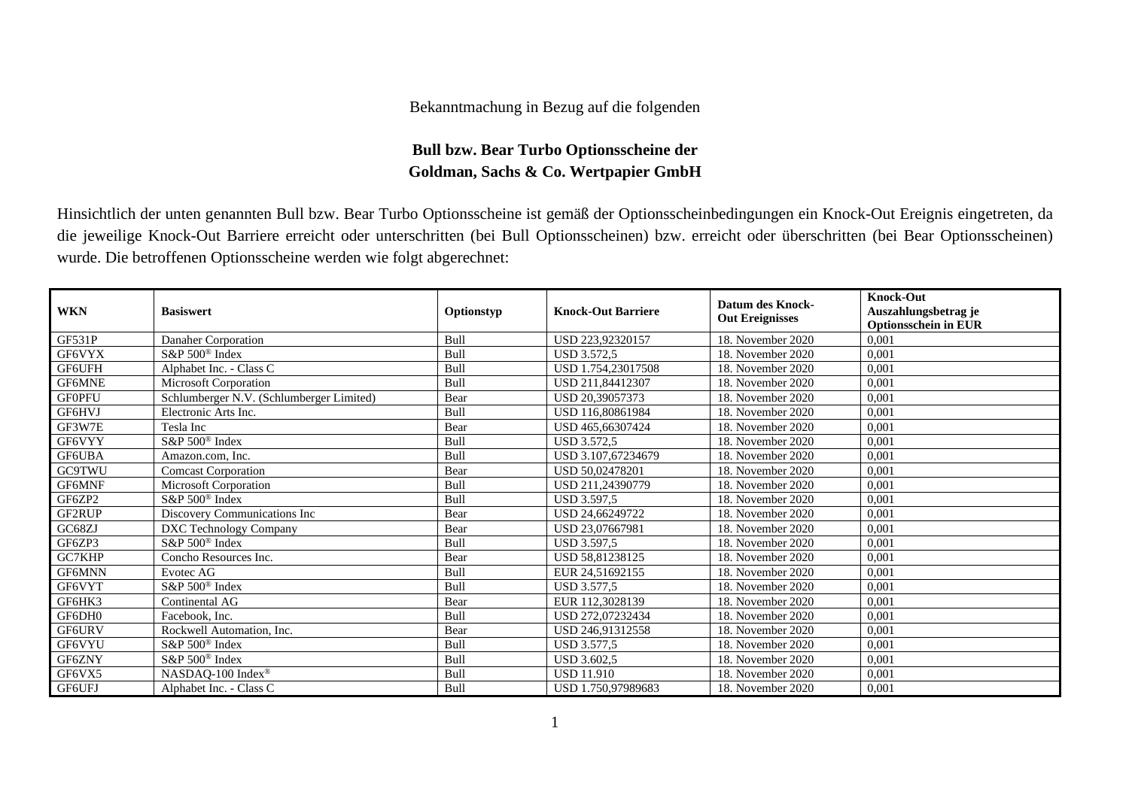## Bekanntmachung in Bezug auf die folgenden

## **Bull bzw. Bear Turbo Optionsscheine der Goldman, Sachs & Co. Wertpapier GmbH**

Hinsichtlich der unten genannten Bull bzw. Bear Turbo Optionsscheine ist gemäß der Optionsscheinbedingungen ein Knock-Out Ereignis eingetreten, da die jeweilige Knock-Out Barriere erreicht oder unterschritten (bei Bull Optionsscheinen) bzw. erreicht oder überschritten (bei Bear Optionsscheinen) wurde. Die betroffenen Optionsscheine werden wie folgt abgerechnet:

| <b>WKN</b>    | <b>Basiswert</b>                         | Optionstyp | <b>Knock-Out Barriere</b> | <b>Datum des Knock-</b><br><b>Out Ereignisses</b> | <b>Knock-Out</b><br>Auszahlungsbetrag je<br><b>Optionsschein in EUR</b> |
|---------------|------------------------------------------|------------|---------------------------|---------------------------------------------------|-------------------------------------------------------------------------|
| GF531P        | Danaher Corporation                      | Bull       | USD 223.92320157          | 18. November 2020                                 | 0,001                                                                   |
| GF6VYX        | S&P 500 <sup>®</sup> Index               | Bull       | <b>USD 3.572.5</b>        | 18. November 2020                                 | 0,001                                                                   |
| GF6UFH        | Alphabet Inc. - Class C                  | Bull       | USD 1.754.23017508        | 18. November 2020                                 | 0,001                                                                   |
| GF6MNE        | Microsoft Corporation                    | Bull       | USD 211,84412307          | 18. November 2020                                 | 0,001                                                                   |
| <b>GF0PFU</b> | Schlumberger N.V. (Schlumberger Limited) | Bear       | USD 20,39057373           | 18. November 2020                                 | 0,001                                                                   |
| GF6HVJ        | Electronic Arts Inc.                     | Bull       | USD 116,80861984          | 18. November 2020                                 | 0,001                                                                   |
| GF3W7E        | Tesla Inc                                | Bear       | USD 465,66307424          | 18. November 2020                                 | 0,001                                                                   |
| GF6VYY        | S&P 500 <sup>®</sup> Index               | Bull       | <b>USD 3.572,5</b>        | 18. November 2020                                 | 0,001                                                                   |
| GF6UBA        | Amazon.com, Inc.                         | Bull       | USD 3.107.67234679        | 18. November 2020                                 | 0,001                                                                   |
| <b>GC9TWU</b> | <b>Comcast Corporation</b>               | Bear       | USD 50.02478201           | 18. November 2020                                 | 0,001                                                                   |
| GF6MNF        | Microsoft Corporation                    | Bull       | USD 211.24390779          | 18. November 2020                                 | 0,001                                                                   |
| GF6ZP2        | $S\&P 500^{\circ}$ Index                 | Bull       | <b>USD 3.597.5</b>        | 18. November 2020                                 | 0,001                                                                   |
| GF2RUP        | Discovery Communications Inc             | Bear       | USD 24,66249722           | 18. November 2020                                 | 0,001                                                                   |
| GC68ZJ        | DXC Technology Company                   | Bear       | USD 23,07667981           | 18. November 2020                                 | 0,001                                                                   |
| GF6ZP3        | $S\&P 500^{\circ}$ Index                 | Bull       | <b>USD 3.597.5</b>        | 18. November 2020                                 | 0,001                                                                   |
| GC7KHP        | Concho Resources Inc.                    | Bear       | USD 58,81238125           | 18. November 2020                                 | 0,001                                                                   |
| GF6MNN        | Evotec AG                                | Bull       | EUR 24.51692155           | 18. November 2020                                 | 0,001                                                                   |
| GF6VYT        | $S\&P 500^{\circ}$ Index                 | Bull       | <b>USD 3.577.5</b>        | 18. November 2020                                 | 0,001                                                                   |
| GF6HK3        | Continental AG                           | Bear       | EUR 112,3028139           | 18. November 2020                                 | 0,001                                                                   |
| GF6DH0        | Facebook, Inc.                           | Bull       | USD 272,07232434          | 18. November 2020                                 | 0,001                                                                   |
| <b>GF6URV</b> | Rockwell Automation, Inc.                | Bear       | USD 246,91312558          | 18. November 2020                                 | 0,001                                                                   |
| GF6VYU        | $S\&P 500^{\circ}$ Index                 | Bull       | USD 3.577.5               | 18. November 2020                                 | 0,001                                                                   |
| GF6ZNY        | S&P 500 <sup>®</sup> Index               | Bull       | <b>USD 3.602,5</b>        | 18. November 2020                                 | 0,001                                                                   |
| GF6VX5        | NASDAQ-100 Index <sup>®</sup>            | Bull       | <b>USD 11.910</b>         | 18. November 2020                                 | 0,001                                                                   |
| GF6UFJ        | Alphabet Inc. - Class C                  | Bull       | USD 1.750,97989683        | 18. November 2020                                 | 0,001                                                                   |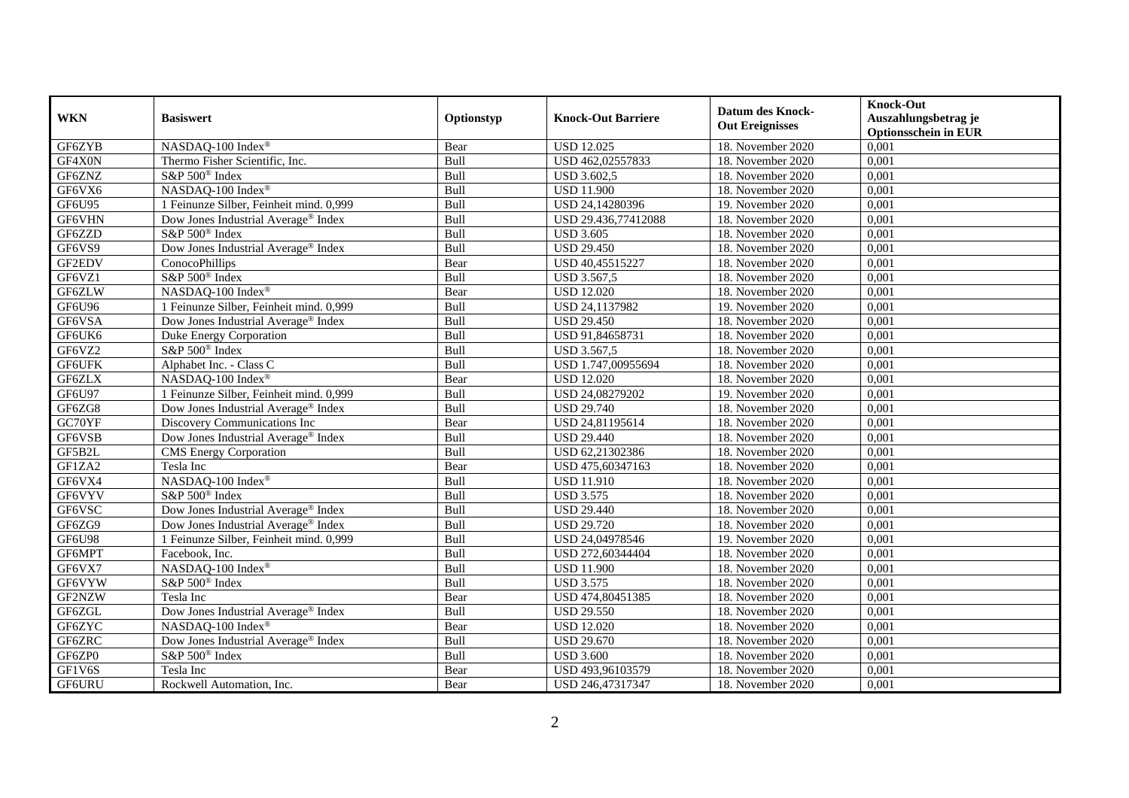| <b>WKN</b>    | <b>Basiswert</b>                                | Optionstyp | <b>Knock-Out Barriere</b> | <b>Datum des Knock-</b><br><b>Out Ereignisses</b> | <b>Knock-Out</b><br>Auszahlungsbetrag je<br><b>Optionsschein in EUR</b> |
|---------------|-------------------------------------------------|------------|---------------------------|---------------------------------------------------|-------------------------------------------------------------------------|
| GF6ZYB        | NASDAQ-100 Index®                               | Bear       | <b>USD 12.025</b>         | 18. November 2020                                 | 0,001                                                                   |
| GF4X0N        | Thermo Fisher Scientific, Inc.                  | Bull       | USD 462,02557833          | 18. November 2020                                 | 0,001                                                                   |
| GF6ZNZ        | S&P 500 <sup>®</sup> Index                      | Bull       | <b>USD 3.602,5</b>        | 18. November 2020                                 | 0,001                                                                   |
| GF6VX6        | NASDAQ-100 Index®                               | Bull       | <b>USD 11.900</b>         | 18. November 2020                                 | 0,001                                                                   |
| GF6U95        | 1 Feinunze Silber, Feinheit mind. 0,999         | Bull       | USD 24,14280396           | 19. November 2020                                 | 0,001                                                                   |
| GF6VHN        | Dow Jones Industrial Average® Index             | Bull       | USD 29.436,77412088       | 18. November 2020                                 | 0,001                                                                   |
| GF6ZZD        | S&P 500 <sup>®</sup> Index                      | Bull       | <b>USD 3.605</b>          | 18. November 2020                                 | 0,001                                                                   |
| GF6VS9        | Dow Jones Industrial Average® Index             | Bull       | <b>USD 29.450</b>         | 18. November 2020                                 | 0,001                                                                   |
| GF2EDV        | ConocoPhillips                                  | Bear       | USD 40,45515227           | 18. November 2020                                 | 0,001                                                                   |
| GF6VZ1        | S&P 500 <sup>®</sup> Index                      | Bull       | <b>USD 3.567,5</b>        | 18. November 2020                                 | 0,001                                                                   |
| GF6ZLW        | NASDAQ-100 Index®                               | Bear       | <b>USD 12.020</b>         | 18. November 2020                                 | 0,001                                                                   |
| GF6U96        | 1 Feinunze Silber, Feinheit mind. 0,999         | Bull       | USD 24,1137982            | 19. November 2020                                 | 0,001                                                                   |
| GF6VSA        | Dow Jones Industrial Average <sup>®</sup> Index | Bull       | <b>USD 29.450</b>         | 18. November 2020                                 | 0,001                                                                   |
| GF6UK6        | Duke Energy Corporation                         | Bull       | USD 91,84658731           | 18. November 2020                                 | 0,001                                                                   |
| GF6VZ2        | S&P 500 <sup>®</sup> Index                      | Bull       | USD 3.567,5               | 18. November 2020                                 | 0,001                                                                   |
| GF6UFK        | Alphabet Inc. - Class C                         | Bull       | USD 1.747,00955694        | 18. November 2020                                 | 0,001                                                                   |
| GF6ZLX        | NASDAQ-100 Index®                               | Bear       | <b>USD 12.020</b>         | 18. November 2020                                 | 0,001                                                                   |
| GF6U97        | 1 Feinunze Silber, Feinheit mind. 0,999         | Bull       | USD 24,08279202           | 19. November 2020                                 | 0,001                                                                   |
| GF6ZG8        | Dow Jones Industrial Average <sup>®</sup> Index | Bull       | <b>USD 29.740</b>         | 18. November 2020                                 | 0,001                                                                   |
| GC70YF        | Discovery Communications Inc                    | Bear       | USD 24,81195614           | 18. November 2020                                 | 0,001                                                                   |
| GF6VSB        | Dow Jones Industrial Average <sup>®</sup> Index | Bull       | <b>USD 29.440</b>         | 18. November 2020                                 | 0,001                                                                   |
| GF5B2L        | <b>CMS</b> Energy Corporation                   | Bull       | USD 62,21302386           | 18. November 2020                                 | 0,001                                                                   |
| GF1ZA2        | Tesla Inc                                       | Bear       | USD 475,60347163          | 18. November 2020                                 | 0,001                                                                   |
| GF6VX4        | NASDAQ-100 Index®                               | Bull       | <b>USD 11.910</b>         | 18. November 2020                                 | 0,001                                                                   |
| GF6VYV        | S&P 500 <sup>®</sup> Index                      | Bull       | <b>USD 3.575</b>          | 18. November 2020                                 | 0,001                                                                   |
| GF6VSC        | Dow Jones Industrial Average <sup>®</sup> Index | Bull       | <b>USD 29.440</b>         | 18. November 2020                                 | 0,001                                                                   |
| GF6ZG9        | Dow Jones Industrial Average® Index             | Bull       | <b>USD 29.720</b>         | 18. November 2020                                 | 0,001                                                                   |
| <b>GF6U98</b> | 1 Feinunze Silber, Feinheit mind. 0,999         | Bull       | USD 24,04978546           | 19. November 2020                                 | 0,001                                                                   |
| GF6MPT        | Facebook, Inc.                                  | Bull       | USD 272,60344404          | 18. November 2020                                 | 0,001                                                                   |
| GF6VX7        | NASDAQ-100 Index®                               | Bull       | <b>USD 11.900</b>         | 18. November 2020                                 | 0,001                                                                   |
| GF6VYW        | S&P 500 <sup>®</sup> Index                      | Bull       | <b>USD 3.575</b>          | 18. November 2020                                 | 0,001                                                                   |
| GF2NZW        | Tesla Inc                                       | Bear       | USD 474,80451385          | 18. November 2020                                 | 0,001                                                                   |
| GF6ZGL        | Dow Jones Industrial Average® Index             | Bull       | <b>USD 29.550</b>         | 18. November 2020                                 | 0,001                                                                   |
| GF6ZYC        | NASDAQ-100 Index®                               | Bear       | <b>USD 12.020</b>         | 18. November 2020                                 | 0,001                                                                   |
| GF6ZRC        | Dow Jones Industrial Average® Index             | Bull       | <b>USD 29.670</b>         | 18. November 2020                                 | 0,001                                                                   |
| GF6ZP0        | S&P 500 <sup>®</sup> Index                      | Bull       | <b>USD 3.600</b>          | 18. November 2020                                 | 0,001                                                                   |
| GF1V6S        | Tesla Inc                                       | Bear       | USD 493,96103579          | 18. November 2020                                 | 0,001                                                                   |
| GF6URU        | Rockwell Automation, Inc.                       | Bear       | USD 246,47317347          | 18. November 2020                                 | 0,001                                                                   |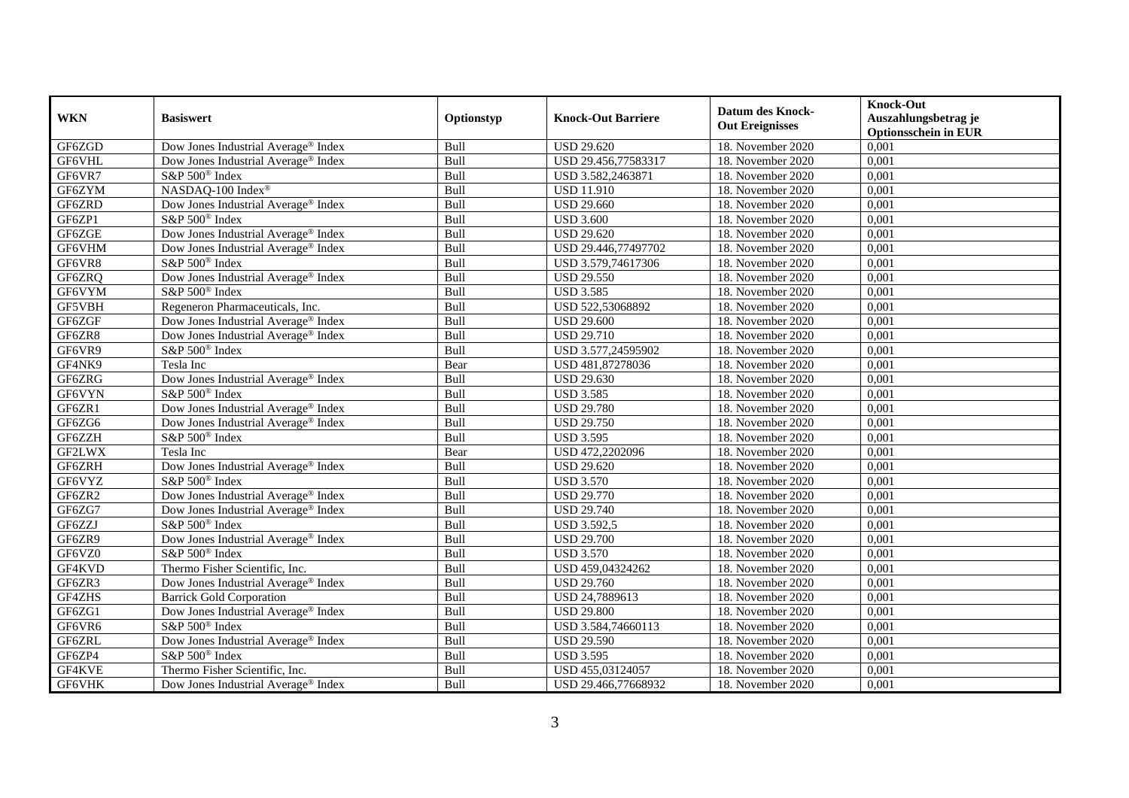| <b>WKN</b>    | <b>Basiswert</b>                                | Optionstyp | <b>Knock-Out Barriere</b> | <b>Datum des Knock-</b><br><b>Out Ereignisses</b> | <b>Knock-Out</b><br>Auszahlungsbetrag je<br><b>Optionsschein in EUR</b> |
|---------------|-------------------------------------------------|------------|---------------------------|---------------------------------------------------|-------------------------------------------------------------------------|
| GF6ZGD        | Dow Jones Industrial Average <sup>®</sup> Index | Bull       | <b>USD 29.620</b>         | 18. November 2020                                 | 0,001                                                                   |
| GF6VHL        | Dow Jones Industrial Average® Index             | Bull       | USD 29.456,77583317       | 18. November 2020                                 | 0,001                                                                   |
| GF6VR7        | S&P 500 <sup>®</sup> Index                      | Bull       | USD 3.582,2463871         | 18. November 2020                                 | 0,001                                                                   |
| GF6ZYM        | NASDAQ-100 Index®                               | Bull       | <b>USD 11.910</b>         | 18. November 2020                                 | 0,001                                                                   |
| GF6ZRD        | Dow Jones Industrial Average® Index             | Bull       | <b>USD 29.660</b>         | 18. November 2020                                 | 0,001                                                                   |
| GF6ZP1        | S&P 500 <sup>®</sup> Index                      | Bull       | <b>USD 3.600</b>          | 18. November 2020                                 | 0,001                                                                   |
| GF6ZGE        | Dow Jones Industrial Average® Index             | Bull       | <b>USD 29.620</b>         | 18. November 2020                                 | 0,001                                                                   |
| GF6VHM        | Dow Jones Industrial Average® Index             | Bull       | USD 29.446,77497702       | 18. November 2020                                 | 0,001                                                                   |
| GF6VR8        | S&P 500 <sup>®</sup> Index                      | Bull       | USD 3.579,74617306        | 18. November 2020                                 | 0,001                                                                   |
| GF6ZRQ        | Dow Jones Industrial Average <sup>®</sup> Index | Bull       | <b>USD 29.550</b>         | 18. November 2020                                 | 0,001                                                                   |
| GF6VYM        | S&P 500 <sup>®</sup> Index                      | Bull       | <b>USD 3.585</b>          | 18. November 2020                                 | 0,001                                                                   |
| GF5VBH        | Regeneron Pharmaceuticals, Inc.                 | Bull       | USD 522,53068892          | 18. November 2020                                 | 0,001                                                                   |
| GF6ZGF        | Dow Jones Industrial Average® Index             | Bull       | <b>USD 29.600</b>         | 18. November 2020                                 | 0,001                                                                   |
| GF6ZR8        | Dow Jones Industrial Average® Index             | Bull       | <b>USD 29.710</b>         | 18. November 2020                                 | 0,001                                                                   |
| GF6VR9        | S&P 500 <sup>®</sup> Index                      | Bull       | USD 3.577,24595902        | 18. November 2020                                 | 0,001                                                                   |
| GF4NK9        | Tesla Inc                                       | Bear       | USD 481,87278036          | 18. November 2020                                 | 0,001                                                                   |
| GF6ZRG        | Dow Jones Industrial Average® Index             | Bull       | <b>USD 29.630</b>         | 18. November 2020                                 | 0,001                                                                   |
| GF6VYN        | S&P 500 <sup>®</sup> Index                      | Bull       | <b>USD 3.585</b>          | 18. November 2020                                 | 0,001                                                                   |
| GF6ZR1        | Dow Jones Industrial Average® Index             | Bull       | <b>USD 29.780</b>         | 18. November 2020                                 | 0,001                                                                   |
| GF6ZG6        | Dow Jones Industrial Average® Index             | Bull       | <b>USD 29.750</b>         | 18. November 2020                                 | 0,001                                                                   |
| GF6ZZH        | S&P 500 <sup>®</sup> Index                      | Bull       | <b>USD 3.595</b>          | 18. November 2020                                 | 0,001                                                                   |
| <b>GF2LWX</b> | Tesla Inc                                       | Bear       | USD 472,2202096           | 18. November 2020                                 | 0,001                                                                   |
| GF6ZRH        | Dow Jones Industrial Average® Index             | Bull       | <b>USD 29.620</b>         | 18. November 2020                                 | 0,001                                                                   |
| GF6VYZ        | S&P 500 <sup>®</sup> Index                      | Bull       | <b>USD 3.570</b>          | 18. November 2020                                 | 0,001                                                                   |
| GF6ZR2        | Dow Jones Industrial Average <sup>®</sup> Index | Bull       | <b>USD 29.770</b>         | 18. November 2020                                 | 0,001                                                                   |
| GF6ZG7        | Dow Jones Industrial Average® Index             | Bull       | <b>USD 29.740</b>         | 18. November 2020                                 | 0,001                                                                   |
| GF6ZZJ        | S&P 500 <sup>®</sup> Index                      | Bull       | <b>USD 3.592,5</b>        | 18. November 2020                                 | 0,001                                                                   |
| GF6ZR9        | Dow Jones Industrial Average® Index             | Bull       | <b>USD 29.700</b>         | 18. November 2020                                 | 0,001                                                                   |
| GF6VZ0        | S&P 500 <sup>®</sup> Index                      | Bull       | <b>USD 3.570</b>          | 18. November 2020                                 | 0,001                                                                   |
| GF4KVD        | Thermo Fisher Scientific, Inc.                  | Bull       | USD 459,04324262          | 18. November 2020                                 | 0,001                                                                   |
| GF6ZR3        | Dow Jones Industrial Average® Index             | Bull       | <b>USD 29.760</b>         | 18. November 2020                                 | 0,001                                                                   |
| GF4ZHS        | <b>Barrick Gold Corporation</b>                 | Bull       | USD 24,7889613            | 18. November 2020                                 | 0,001                                                                   |
| GF6ZG1        | Dow Jones Industrial Average <sup>®</sup> Index | Bull       | <b>USD 29.800</b>         | 18. November 2020                                 | 0,001                                                                   |
| GF6VR6        | S&P 500 <sup>®</sup> Index                      | Bull       | USD 3.584,74660113        | 18. November 2020                                 | 0,001                                                                   |
| GF6ZRL        | Dow Jones Industrial Average® Index             | Bull       | <b>USD 29.590</b>         | 18. November 2020                                 | 0,001                                                                   |
| GF6ZP4        | S&P 500 <sup>®</sup> Index                      | Bull       | <b>USD 3.595</b>          | 18. November 2020                                 | 0,001                                                                   |
| GF4KVE        | Thermo Fisher Scientific, Inc.                  | Bull       | USD 455,03124057          | 18. November 2020                                 | 0,001                                                                   |
| GF6VHK        | Dow Jones Industrial Average® Index             | Bull       | USD 29.466,77668932       | 18. November 2020                                 | 0,001                                                                   |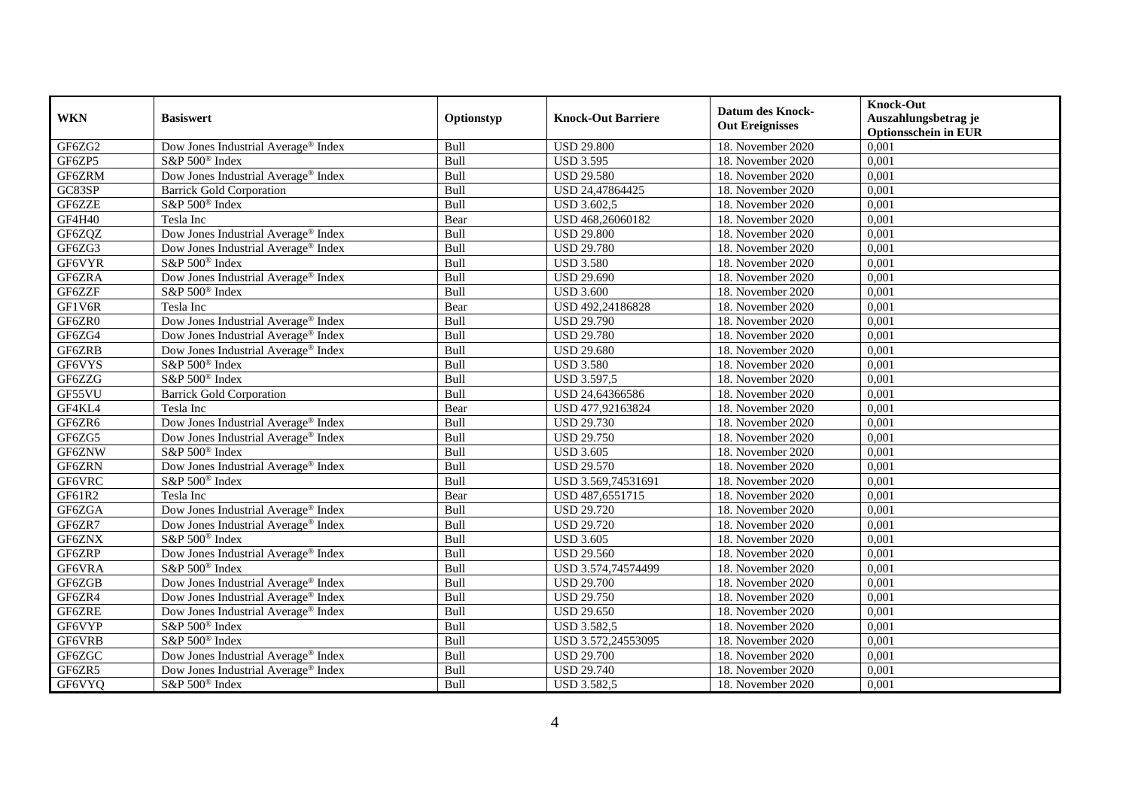| <b>WKN</b> | <b>Basiswert</b>                                | Optionstyp | <b>Knock-Out Barriere</b> | <b>Datum des Knock-</b><br><b>Out Ereignisses</b> | <b>Knock-Out</b><br>Auszahlungsbetrag je<br><b>Optionsschein in EUR</b> |
|------------|-------------------------------------------------|------------|---------------------------|---------------------------------------------------|-------------------------------------------------------------------------|
| GF6ZG2     | Dow Jones Industrial Average® Index             | Bull       | <b>USD 29.800</b>         | 18. November 2020                                 | 0,001                                                                   |
| GF6ZP5     | S&P 500 <sup>®</sup> Index                      | Bull       | <b>USD 3.595</b>          | 18. November 2020                                 | 0,001                                                                   |
| GF6ZRM     | Dow Jones Industrial Average® Index             | Bull       | <b>USD 29.580</b>         | 18. November 2020                                 | 0,001                                                                   |
| GC83SP     | <b>Barrick Gold Corporation</b>                 | Bull       | USD 24,47864425           | 18. November 2020                                 | 0,001                                                                   |
| GF6ZZE     | S&P 500 <sup>®</sup> Index                      | Bull       | <b>USD 3.602,5</b>        | 18. November 2020                                 | 0,001                                                                   |
| GF4H40     | Tesla Inc                                       | Bear       | USD 468,26060182          | 18. November 2020                                 | 0,001                                                                   |
| GF6ZQZ     | Dow Jones Industrial Average® Index             | Bull       | <b>USD 29.800</b>         | 18. November 2020                                 | 0,001                                                                   |
| GF6ZG3     | Dow Jones Industrial Average® Index             | Bull       | <b>USD 29.780</b>         | 18. November 2020                                 | 0,001                                                                   |
| GF6VYR     | S&P 500 <sup>®</sup> Index                      | Bull       | <b>USD 3.580</b>          | 18. November 2020                                 | 0,001                                                                   |
| GF6ZRA     | Dow Jones Industrial Average <sup>®</sup> Index | Bull       | <b>USD 29.690</b>         | 18. November 2020                                 | 0,001                                                                   |
| GF6ZZF     | S&P 500 <sup>®</sup> Index                      | Bull       | <b>USD 3.600</b>          | 18. November 2020                                 | 0,001                                                                   |
| GF1V6R     | Tesla Inc                                       | Bear       | USD 492,24186828          | 18. November 2020                                 | 0,001                                                                   |
| GF6ZR0     | Dow Jones Industrial Average® Index             | Bull       | <b>USD 29.790</b>         | 18. November 2020                                 | 0,001                                                                   |
| GF6ZG4     | Dow Jones Industrial Average® Index             | Bull       | <b>USD 29.780</b>         | 18. November 2020                                 | 0,001                                                                   |
| GF6ZRB     | Dow Jones Industrial Average® Index             | Bull       | <b>USD 29.680</b>         | 18. November 2020                                 | 0,001                                                                   |
| GF6VYS     | S&P 500 <sup>®</sup> Index                      | Bull       | <b>USD 3.580</b>          | 18. November 2020                                 | 0,001                                                                   |
| GF6ZZG     | S&P 500 <sup>®</sup> Index                      | Bull       | <b>USD 3.597,5</b>        | 18. November 2020                                 | 0,001                                                                   |
| GF55VU     | <b>Barrick Gold Corporation</b>                 | Bull       | USD 24,64366586           | 18. November 2020                                 | 0,001                                                                   |
| GF4KL4     | Tesla Inc                                       | Bear       | USD 477,92163824          | 18. November 2020                                 | 0,001                                                                   |
| GF6ZR6     | Dow Jones Industrial Average® Index             | Bull       | <b>USD 29.730</b>         | 18. November 2020                                 | 0,001                                                                   |
| GF6ZG5     | Dow Jones Industrial Average® Index             | Bull       | <b>USD 29.750</b>         | 18. November 2020                                 | 0,001                                                                   |
| GF6ZNW     | S&P 500 <sup>®</sup> Index                      | Bull       | <b>USD 3.605</b>          | 18. November 2020                                 | 0,001                                                                   |
| GF6ZRN     | Dow Jones Industrial Average® Index             | Bull       | <b>USD 29.570</b>         | 18. November 2020                                 | 0,001                                                                   |
| GF6VRC     | S&P 500 <sup>®</sup> Index                      | Bull       | USD 3.569,74531691        | 18. November 2020                                 | 0,001                                                                   |
| GF61R2     | Tesla Inc                                       | Bear       | USD 487,6551715           | 18. November 2020                                 | 0,001                                                                   |
| GF6ZGA     | Dow Jones Industrial Average <sup>®</sup> Index | Bull       | <b>USD 29.720</b>         | 18. November 2020                                 | 0,001                                                                   |
| GF6ZR7     | Dow Jones Industrial Average® Index             | Bull       | <b>USD 29.720</b>         | 18. November 2020                                 | 0,001                                                                   |
| GF6ZNX     | S&P 500 <sup>®</sup> Index                      | Bull       | <b>USD 3.605</b>          | 18. November 2020                                 | 0,001                                                                   |
| GF6ZRP     | Dow Jones Industrial Average® Index             | Bull       | <b>USD 29.560</b>         | 18. November 2020                                 | 0,001                                                                   |
| GF6VRA     | S&P 500 <sup>®</sup> Index                      | Bull       | USD 3.574,74574499        | 18. November 2020                                 | 0,001                                                                   |
| GF6ZGB     | Dow Jones Industrial Average® Index             | Bull       | <b>USD 29.700</b>         | 18. November 2020                                 | 0,001                                                                   |
| GF6ZR4     | Dow Jones Industrial Average® Index             | Bull       | <b>USD 29.750</b>         | 18. November 2020                                 | 0,001                                                                   |
| GF6ZRE     | Dow Jones Industrial Average® Index             | Bull       | <b>USD 29.650</b>         | 18. November 2020                                 | 0,001                                                                   |
| GF6VYP     | S&P 500 <sup>®</sup> Index                      | Bull       | <b>USD 3.582,5</b>        | 18. November 2020                                 | 0,001                                                                   |
| GF6VRB     | S&P 500 <sup>®</sup> Index                      | Bull       | USD 3.572,24553095        | 18. November 2020                                 | 0,001                                                                   |
| GF6ZGC     | Dow Jones Industrial Average® Index             | Bull       | <b>USD 29.700</b>         | 18. November 2020                                 | 0,001                                                                   |
| GF6ZR5     | Dow Jones Industrial Average® Index             | Bull       | <b>USD 29.740</b>         | 18. November 2020                                 | 0,001                                                                   |
| GF6VYQ     | S&P 500 <sup>®</sup> Index                      | Bull       | <b>USD 3.582,5</b>        | 18. November 2020                                 | 0,001                                                                   |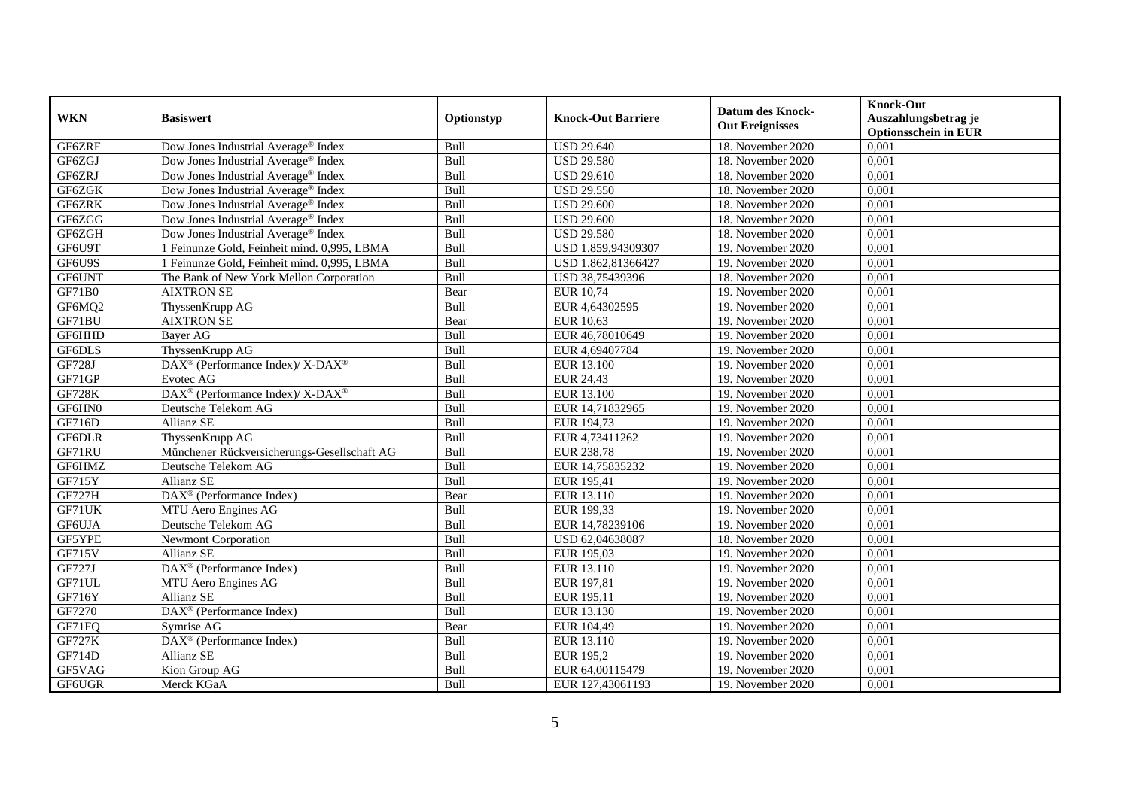| <b>WKN</b>    | <b>Basiswert</b>                                         | Optionstyp       | <b>Knock-Out Barriere</b> | <b>Datum des Knock-</b> | <b>Knock-Out</b><br>Auszahlungsbetrag je |
|---------------|----------------------------------------------------------|------------------|---------------------------|-------------------------|------------------------------------------|
|               |                                                          |                  |                           | <b>Out Ereignisses</b>  | <b>Optionsschein in EUR</b>              |
| GF6ZRF        | Dow Jones Industrial Average <sup>®</sup> Index          | Bull             | <b>USD 29.640</b>         | 18. November 2020       | 0,001                                    |
| GF6ZGJ        | Dow Jones Industrial Average <sup>®</sup> Index          | Bull             | <b>USD 29.580</b>         | 18. November 2020       | 0,001                                    |
| GF6ZRJ        | Dow Jones Industrial Average <sup>®</sup> Index          | Bull             | <b>USD 29.610</b>         | 18. November 2020       | 0,001                                    |
| GF6ZGK        | Dow Jones Industrial Average <sup>®</sup> Index          | Bull             | <b>USD 29.550</b>         | 18. November 2020       | 0,001                                    |
| GF6ZRK        | Dow Jones Industrial Average® Index                      | Bull             | <b>USD 29.600</b>         | 18. November 2020       | 0,001                                    |
| GF6ZGG        | Dow Jones Industrial Average <sup>®</sup> Index          | Bull             | <b>USD 29.600</b>         | 18. November 2020       | 0,001                                    |
| GF6ZGH        | Dow Jones Industrial Average® Index                      | Bull             | <b>USD 29.580</b>         | 18. November 2020       | 0,001                                    |
| GF6U9T        | 1 Feinunze Gold, Feinheit mind. 0,995, LBMA              | Bull             | USD 1.859,94309307        | 19. November 2020       | 0,001                                    |
| GF6U9S        | 1 Feinunze Gold, Feinheit mind. 0,995, LBMA              | Bull             | USD 1.862,81366427        | 19. November 2020       | 0,001                                    |
| GF6UNT        | The Bank of New York Mellon Corporation                  | Bull             | USD 38,75439396           | 18. November 2020       | 0,001                                    |
| GF71B0        | <b>AIXTRON SE</b>                                        | Bear             | <b>EUR 10,74</b>          | 19. November 2020       | 0,001                                    |
| GF6MQ2        | ThyssenKrupp AG                                          | Bull             | EUR 4,64302595            | 19. November 2020       | 0,001                                    |
| GF71BU        | <b>AIXTRON SE</b>                                        | Bear             | <b>EUR 10,63</b>          | 19. November 2020       | 0,001                                    |
| GF6HHD        | Bayer AG                                                 | Bull             | EUR 46,78010649           | 19. November 2020       | 0,001                                    |
| GF6DLS        | ThyssenKrupp AG                                          | Bull             | EUR 4,69407784            | 19. November 2020       | 0,001                                    |
| GF728J        | DAX <sup>®</sup> (Performance Index)/ X-DAX <sup>®</sup> | Bull             | EUR 13.100                | 19. November 2020       | 0,001                                    |
| GF71GP        | Evotec AG                                                | Bull             | <b>EUR 24,43</b>          | 19. November 2020       | 0,001                                    |
| <b>GF728K</b> | DAX <sup>®</sup> (Performance Index)/ X-DAX <sup>®</sup> | Bull             | EUR 13.100                | 19. November 2020       | 0,001                                    |
| GF6HN0        | Deutsche Telekom AG                                      | Bull             | EUR 14,71832965           | 19. November 2020       | 0,001                                    |
| GF716D        | Allianz SE                                               | Bull             | EUR 194,73                | 19. November 2020       | 0,001                                    |
| GF6DLR        | ThyssenKrupp AG                                          | Bull             | EUR 4,73411262            | 19. November 2020       | 0,001                                    |
| GF71RU        | Münchener Rückversicherungs-Gesellschaft AG              | Bull             | <b>EUR 238,78</b>         | 19. November 2020       | 0,001                                    |
| GF6HMZ        | Deutsche Telekom AG                                      | Bull             | EUR 14,75835232           | 19. November 2020       | 0,001                                    |
| GF715Y        | Allianz SE                                               | Bull             | EUR 195,41                | 19. November 2020       | 0,001                                    |
| <b>GF727H</b> | DAX <sup>®</sup> (Performance Index)                     | Bear             | EUR 13.110                | 19. November 2020       | 0,001                                    |
| GF71UK        | MTU Aero Engines AG                                      | Bull             | EUR 199,33                | 19. November 2020       | 0,001                                    |
| GF6UJA        | Deutsche Telekom AG                                      | $Bu\overline{l}$ | EUR 14,78239106           | 19. November 2020       | 0,001                                    |
| GF5YPE        | <b>Newmont Corporation</b>                               | Bull             | USD 62,04638087           | 18. November 2020       | 0,001                                    |
| <b>GF715V</b> | <b>Allianz SE</b>                                        | Bull             | EUR 195,03                | 19. November 2020       | 0,001                                    |
| GF727J        | DAX <sup>®</sup> (Performance Index)                     | Bull             | EUR 13.110                | 19. November 2020       | 0,001                                    |
| GF71UL        | MTU Aero Engines AG                                      | Bull             | EUR 197,81                | 19. November 2020       | 0,001                                    |
| GF716Y        | <b>Allianz SE</b>                                        | Bull             | EUR 195,11                | 19. November 2020       | 0,001                                    |
| GF7270        | DAX <sup>®</sup> (Performance Index)                     | Bull             | EUR 13.130                | 19. November 2020       | 0,001                                    |
| GF71FQ        | Symrise AG                                               | Bear             | EUR 104,49                | 19. November 2020       | 0,001                                    |
| <b>GF727K</b> | $\overline{\text{DAX}^{\otimes}}$ (Performance Index)    | Bull             | EUR 13.110                | 19. November 2020       | 0,001                                    |
| GF714D        | Allianz SE                                               | Bull             | EUR 195,2                 | 19. November 2020       | 0,001                                    |
| GF5VAG        | Kion Group AG                                            | Bull             | EUR 64,00115479           | 19. November 2020       | 0,001                                    |
| GF6UGR        | Merck KGaA                                               | Bull             | EUR 127,43061193          | 19. November 2020       | 0,001                                    |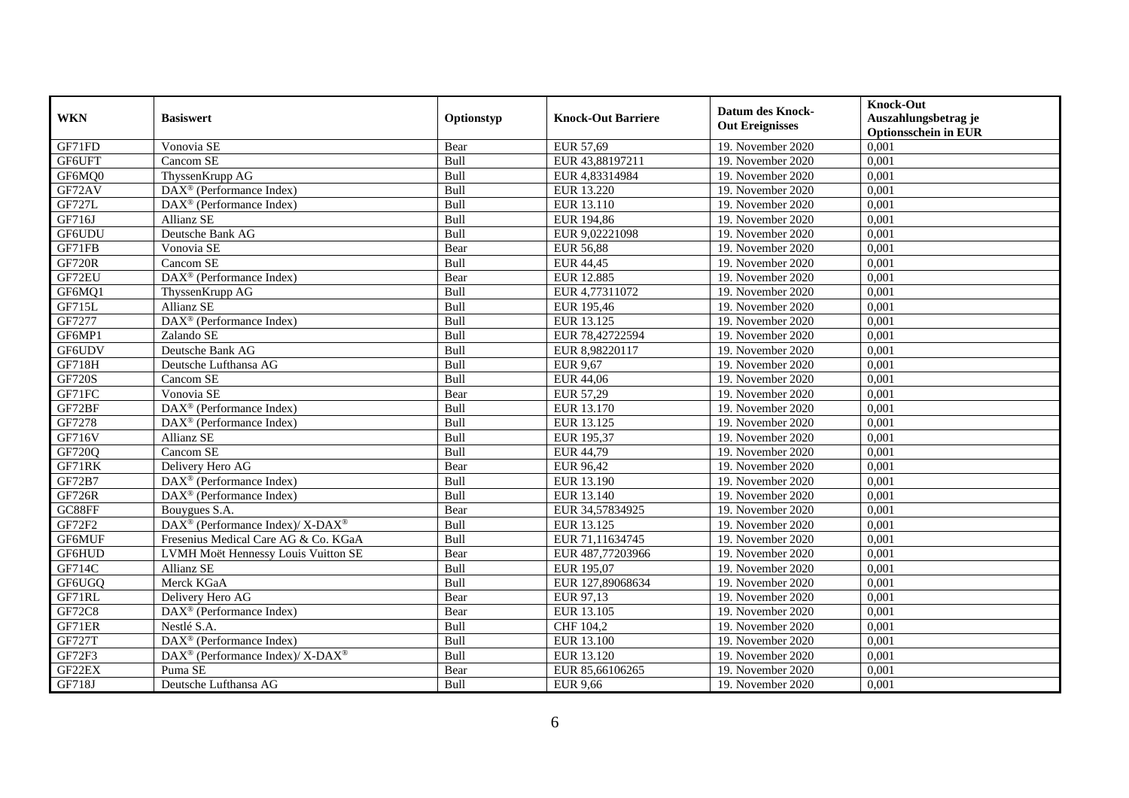| <b>WKN</b>    | <b>Basiswert</b>                                            | Optionstyp | <b>Knock-Out Barriere</b> | Datum des Knock-<br><b>Out Ereignisses</b> | <b>Knock-Out</b><br>Auszahlungsbetrag je<br><b>Optionsschein in EUR</b> |
|---------------|-------------------------------------------------------------|------------|---------------------------|--------------------------------------------|-------------------------------------------------------------------------|
| GF71FD        | Vonovia SE                                                  | Bear       | EUR 57,69                 | 19. November 2020                          | 0,001                                                                   |
| GF6UFT        | Cancom SE                                                   | Bull       | EUR 43,88197211           | 19. November 2020                          | 0,001                                                                   |
| GF6MQ0        | ThyssenKrupp AG                                             | Bull       | EUR 4,83314984            | 19. November 2020                          | 0,001                                                                   |
| GF72AV        | DAX <sup>®</sup> (Performance Index)                        | Bull       | EUR 13.220                | 19. November 2020                          | 0,001                                                                   |
| <b>GF727L</b> | DAX <sup>®</sup> (Performance Index)                        | Bull       | EUR 13.110                | 19. November 2020                          | 0,001                                                                   |
| GF716J        | <b>Allianz SE</b>                                           | Bull       | EUR 194,86                | 19. November 2020                          | 0,001                                                                   |
| GF6UDU        | Deutsche Bank AG                                            | Bull       | EUR 9,02221098            | 19. November 2020                          | 0,001                                                                   |
| GF71FB        | Vonovia SE                                                  | Bear       | <b>EUR 56,88</b>          | 19. November 2020                          | 0,001                                                                   |
| <b>GF720R</b> | Cancom SE                                                   | Bull       | <b>EUR 44,45</b>          | 19. November 2020                          | 0,001                                                                   |
| GF72EU        | DAX <sup>®</sup> (Performance Index)                        | Bear       | <b>EUR 12.885</b>         | 19. November 2020                          | 0,001                                                                   |
| GF6MQ1        | ThyssenKrupp AG                                             | Bull       | EUR 4,77311072            | 19. November 2020                          | 0,001                                                                   |
| GF715L        | Allianz SE                                                  | Bull       | EUR 195,46                | 19. November 2020                          | 0,001                                                                   |
| GF7277        | $\overline{\text{DAX}^{\otimes}}$ (Performance Index)       | Bull       | EUR 13.125                | 19. November 2020                          | 0,001                                                                   |
| GF6MP1        | Zalando SE                                                  | Bull       | EUR 78,42722594           | 19. November 2020                          | 0,001                                                                   |
| GF6UDV        | Deutsche Bank AG                                            | Bull       | EUR 8,98220117            | 19. November 2020                          | 0,001                                                                   |
| GF718H        | Deutsche Lufthansa AG                                       | Bull       | EUR 9,67                  | 19. November 2020                          | 0,001                                                                   |
| <b>GF720S</b> | Cancom SE                                                   | Bull       | <b>EUR 44,06</b>          | 19. November 2020                          | 0,001                                                                   |
| GF71FC        | Vonovia SE                                                  | Bear       | EUR 57,29                 | 19. November 2020                          | 0,001                                                                   |
| GF72BF        | DAX <sup>®</sup> (Performance Index)                        | Bull       | EUR 13.170                | 19. November 2020                          | 0,001                                                                   |
| GF7278        | DAX <sup>®</sup> (Performance Index)                        | Bull       | EUR 13.125                | 19. November 2020                          | 0,001                                                                   |
| GF716V        | <b>Allianz SE</b>                                           | Bull       | EUR 195,37                | 19. November 2020                          | 0,001                                                                   |
| GF720Q        | Cancom SE                                                   | Bull       | EUR 44,79                 | 19. November 2020                          | 0,001                                                                   |
| GF71RK        | Delivery Hero AG                                            | Bear       | EUR 96,42                 | 19. November 2020                          | 0,001                                                                   |
| GF72B7        | DAX <sup>®</sup> (Performance Index)                        | Bull       | EUR 13.190                | 19. November 2020                          | 0,001                                                                   |
| <b>GF726R</b> | $DAX^{\otimes}$ (Performance Index)                         | Bull       | EUR 13.140                | 19. November 2020                          | 0,001                                                                   |
| GC88FF        | Bouygues S.A.                                               | Bear       | EUR 34,57834925           | 19. November 2020                          | 0,001                                                                   |
| GF72F2        | DAX <sup>®</sup> (Performance Index)/X-DAX <sup>®</sup>     | Bull       | EUR 13.125                | 19. November 2020                          | 0,001                                                                   |
| GF6MUF        | Fresenius Medical Care AG & Co. KGaA                        | Bull       | EUR 71,11634745           | 19. November 2020                          | 0,001                                                                   |
| GF6HUD        | LVMH Moët Hennessy Louis Vuitton SE                         | Bear       | EUR 487,77203966          | 19. November 2020                          | 0,001                                                                   |
| GF714C        | <b>Allianz SE</b>                                           | Bull       | EUR 195,07                | 19. November 2020                          | 0,001                                                                   |
| GF6UGQ        | Merck KGaA                                                  | Bull       | EUR 127,89068634          | 19. November 2020                          | 0,001                                                                   |
| GF71RL        | Delivery Hero AG                                            | Bear       | EUR 97,13                 | 19. November 2020                          | 0,001                                                                   |
| <b>GF72C8</b> | DAX <sup>®</sup> (Performance Index)                        | Bear       | EUR 13.105                | 19. November 2020                          | 0,001                                                                   |
| GF71ER        | Nestlé S.A.                                                 | Bull       | CHF 104,2                 | 19. November 2020                          | 0,001                                                                   |
| <b>GF727T</b> | DAX <sup>®</sup> (Performance Index)                        | Bull       | EUR 13.100                | 19. November 2020                          | 0,001                                                                   |
| GF72F3        | $DAX^{\circledast}$ (Performance Index)/ X-DAX <sup>®</sup> | Bull       | EUR 13.120                | 19. November 2020                          | 0,001                                                                   |
| GF22EX        | Puma SE                                                     | Bear       | EUR 85,66106265           | 19. November 2020                          | 0,001                                                                   |
| GF718J        | Deutsche Lufthansa AG                                       | Bull       | EUR 9,66                  | 19. November 2020                          | 0,001                                                                   |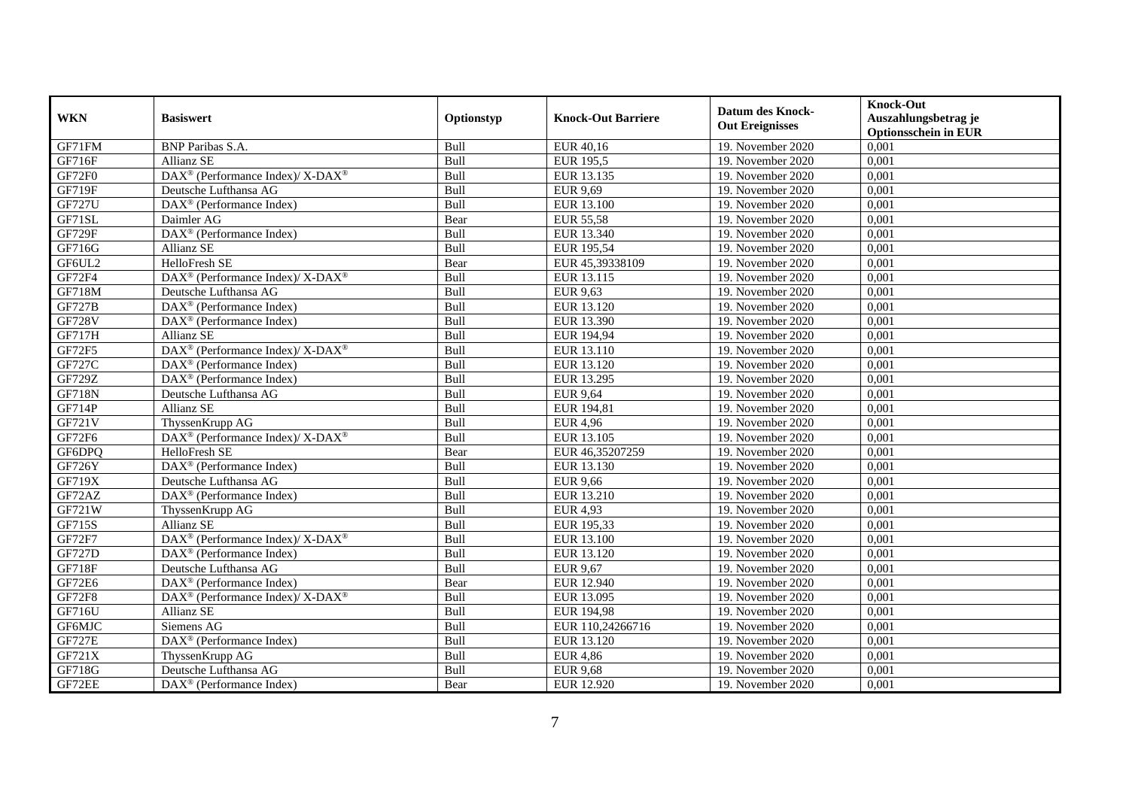| <b>WKN</b>    | <b>Basiswert</b>                                                         | Optionstyp | <b>Knock-Out Barriere</b> | <b>Datum des Knock-</b><br><b>Out Ereignisses</b> | <b>Knock-Out</b><br>Auszahlungsbetrag je<br><b>Optionsschein in EUR</b> |
|---------------|--------------------------------------------------------------------------|------------|---------------------------|---------------------------------------------------|-------------------------------------------------------------------------|
| GF71FM        | <b>BNP</b> Paribas S.A.                                                  | Bull       | EUR 40,16                 | 19. November 2020                                 | 0,001                                                                   |
| GF716F        | Allianz SE                                                               | Bull       | <b>EUR 195,5</b>          | 19. November 2020                                 | 0,001                                                                   |
| GF72F0        | DAX <sup>®</sup> (Performance Index)/ X-DAX <sup>®</sup>                 | Bull       | EUR 13.135                | 19. November 2020                                 | 0,001                                                                   |
| <b>GF719F</b> | Deutsche Lufthansa AG                                                    | Bull       | EUR 9,69                  | 19. November 2020                                 | 0,001                                                                   |
| <b>GF727U</b> | DAX <sup>®</sup> (Performance Index)                                     | Bull       | EUR 13.100                | 19. November 2020                                 | 0,001                                                                   |
| GF71SL        | Daimler AG                                                               | Bear       | EUR 55,58                 | 19. November 2020                                 | 0,001                                                                   |
| <b>GF729F</b> | DAX <sup>®</sup> (Performance Index)                                     | Bull       | EUR 13.340                | 19. November 2020                                 | 0.001                                                                   |
| GF716G        | <b>Allianz SE</b>                                                        | Bull       | EUR 195,54                | 19. November 2020                                 | 0,001                                                                   |
| GF6UL2        | HelloFresh SE                                                            | Bear       | EUR 45,39338109           | 19. November 2020                                 | 0,001                                                                   |
| GF72F4        | DAX <sup>®</sup> (Performance Index)/ X-DAX <sup>®</sup>                 | Bull       | EUR 13.115                | 19. November 2020                                 | 0,001                                                                   |
| GF718M        | Deutsche Lufthansa AG                                                    | Bull       | <b>EUR 9,63</b>           | 19. November 2020                                 | 0,001                                                                   |
| <b>GF727B</b> | DAX <sup>®</sup> (Performance Index)                                     | Bull       | EUR 13.120                | 19. November 2020                                 | 0,001                                                                   |
| <b>GF728V</b> | DAX <sup>®</sup> (Performance Index)                                     | Bull       | EUR 13.390                | 19. November 2020                                 | 0,001                                                                   |
| <b>GF717H</b> | Allianz SE                                                               | Bull       | EUR 194,94                | 19. November 2020                                 | 0.001                                                                   |
| GF72F5        | $\overline{\text{DAX}^{\otimes}}$ (Performance Index)/X-DAX <sup>®</sup> | Bull       | EUR 13.110                | 19. November 2020                                 | 0,001                                                                   |
| <b>GF727C</b> | $\overline{\text{DAX}^{\otimes}}$ (Performance Index)                    | Bull       | EUR 13.120                | 19. November 2020                                 | 0,001                                                                   |
| GF729Z        | $\overline{\text{DAX}}^{\textcirc}$ (Performance Index)                  | Bull       | EUR 13.295                | 19. November 2020                                 | 0,001                                                                   |
| <b>GF718N</b> | Deutsche Lufthansa AG                                                    | Bull       | <b>EUR 9,64</b>           | 19. November 2020                                 | 0,001                                                                   |
| GF714P        | <b>Allianz SE</b>                                                        | Bull       | EUR 194,81                | 19. November 2020                                 | 0,001                                                                   |
| GF721V        | ThyssenKrupp AG                                                          | Bull       | <b>EUR 4,96</b>           | 19. November 2020                                 | 0,001                                                                   |
| GF72F6        | DAX <sup>®</sup> (Performance Index)/ X-DAX <sup>®</sup>                 | Bull       | EUR 13.105                | 19. November 2020                                 | 0,001                                                                   |
| GF6DPO        | HelloFresh SE                                                            | Bear       | EUR 46,35207259           | 19. November 2020                                 | 0,001                                                                   |
| <b>GF726Y</b> | DAX <sup>®</sup> (Performance Index)                                     | Bull       | EUR 13.130                | 19. November 2020                                 | 0,001                                                                   |
| GF719X        | Deutsche Lufthansa AG                                                    | Bull       | <b>EUR 9,66</b>           | 19. November 2020                                 | 0,001                                                                   |
| GF72AZ        | $DAX^{\otimes}$ (Performance Index)                                      | Bull       | EUR 13.210                | 19. November 2020                                 | 0,001                                                                   |
| GF721W        | ThyssenKrupp AG                                                          | Bull       | <b>EUR 4,93</b>           | 19. November 2020                                 | 0,001                                                                   |
| GF715S        | Allianz SE                                                               | Bull       | EUR 195,33                | 19. November 2020                                 | 0,001                                                                   |
| GF72F7        | DAX <sup>®</sup> (Performance Index)/ X-DAX <sup>®</sup>                 | Bull       | EUR 13.100                | 19. November 2020                                 | 0,001                                                                   |
| <b>GF727D</b> | DAX <sup>®</sup> (Performance Index)                                     | Bull       | EUR 13.120                | 19. November 2020                                 | 0,001                                                                   |
| <b>GF718F</b> | Deutsche Lufthansa AG                                                    | Bull       | <b>EUR 9,67</b>           | 19. November 2020                                 | 0,001                                                                   |
| <b>GF72E6</b> | $\text{DAX}^{\otimes}$ (Performance Index)                               | Bear       | EUR 12.940                | 19. November 2020                                 | 0,001                                                                   |
| <b>GF72F8</b> | DAX <sup>®</sup> (Performance Index)/ X-DAX <sup>®</sup>                 | Bull       | EUR 13.095                | 19. November 2020                                 | 0,001                                                                   |
| GF716U        | <b>Allianz SE</b>                                                        | Bull       | EUR 194,98                | 19. November 2020                                 | 0,001                                                                   |
| GF6MJC        | Siemens AG                                                               | Bull       | EUR 110,24266716          | 19. November 2020                                 | 0,001                                                                   |
| <b>GF727E</b> | DAX <sup>®</sup> (Performance Index)                                     | Bull       | EUR 13.120                | 19. November 2020                                 | 0,001                                                                   |
| GF721X        | ThyssenKrupp AG                                                          | Bull       | <b>EUR 4,86</b>           | 19. November 2020                                 | 0,001                                                                   |
| GF718G        | Deutsche Lufthansa AG                                                    | Bull       | <b>EUR 9,68</b>           | 19. November 2020                                 | 0,001                                                                   |
| GF72EE        | DAX <sup>®</sup> (Performance Index)                                     | Bear       | EUR 12.920                | 19. November 2020                                 | 0,001                                                                   |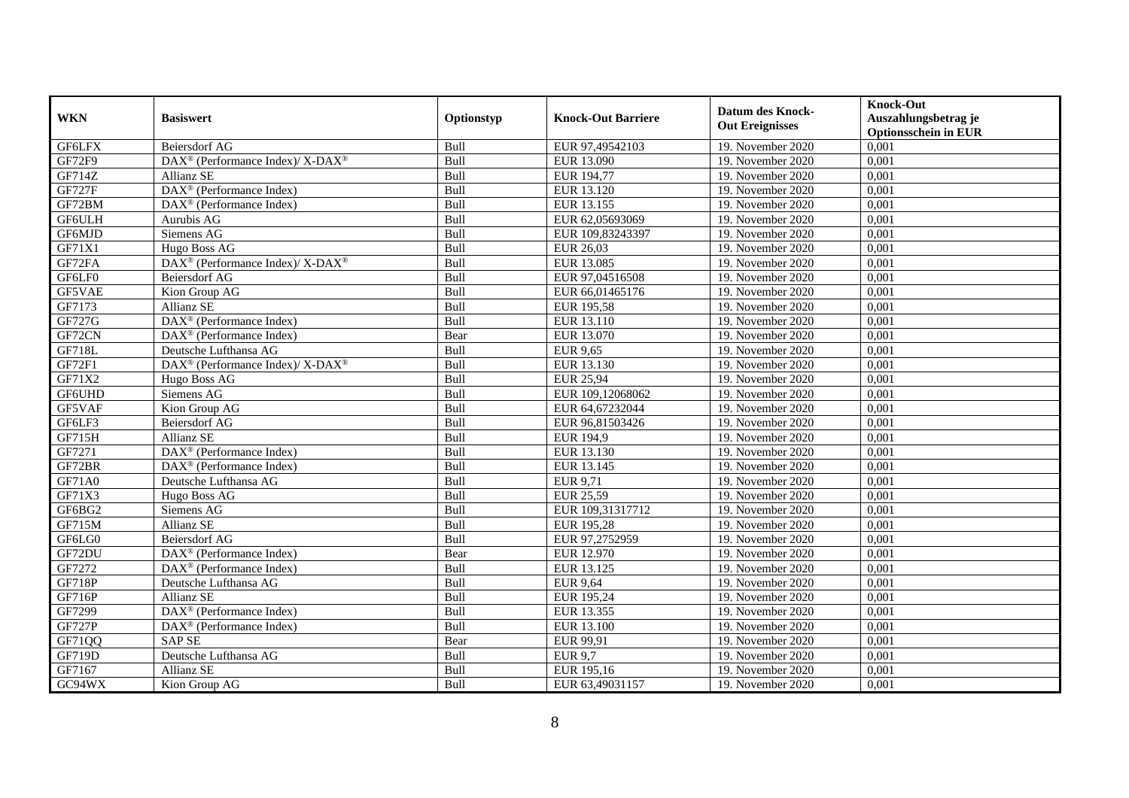| <b>WKN</b>    | <b>Basiswert</b>                                         | Optionstyp | <b>Knock-Out Barriere</b> | <b>Datum des Knock-</b><br><b>Out Ereignisses</b> | <b>Knock-Out</b><br>Auszahlungsbetrag je<br><b>Optionsschein in EUR</b> |
|---------------|----------------------------------------------------------|------------|---------------------------|---------------------------------------------------|-------------------------------------------------------------------------|
| <b>GF6LFX</b> | <b>Beiersdorf AG</b>                                     | Bull       | EUR 97,49542103           | 19. November 2020                                 | 0,001                                                                   |
| GF72F9        | DAX <sup>®</sup> (Performance Index)/ X-DAX <sup>®</sup> | Bull       | EUR 13.090                | 19. November 2020                                 | 0,001                                                                   |
| GF714Z        | Allianz SE                                               | Bull       | EUR 194,77                | 19. November 2020                                 | 0,001                                                                   |
| <b>GF727F</b> | DAX <sup>®</sup> (Performance Index)                     | Bull       | EUR 13.120                | 19. November 2020                                 | 0,001                                                                   |
| GF72BM        | DAX <sup>®</sup> (Performance Index)                     | Bull       | EUR 13.155                | 19. November $2020$                               | 0,001                                                                   |
| GF6ULH        | Aurubis AG                                               | Bull       | EUR 62,05693069           | 19. November 2020                                 | 0,001                                                                   |
| GF6MJD        | Siemens AG                                               | Bull       | EUR 109,83243397          | 19. November 2020                                 | 0,001                                                                   |
| GF71X1        | Hugo Boss AG                                             | Bull       | EUR 26,03                 | 19. November 2020                                 | 0,001                                                                   |
| GF72FA        | DAX <sup>®</sup> (Performance Index)/ X-DAX <sup>®</sup> | Bull       | EUR 13.085                | 19. November 2020                                 | 0,001                                                                   |
| GF6LF0        | Beiersdorf AG                                            | Bull       | EUR 97,04516508           | 19. November 2020                                 | 0,001                                                                   |
| GF5VAE        | Kion Group AG                                            | Bull       | EUR 66,01465176           | 19. November 2020                                 | 0,001                                                                   |
| GF7173        | Allianz SE                                               | Bull       | EUR 195,58                | 19. November 2020                                 | 0,001                                                                   |
| GF727G        | $\overline{\text{DAX}^{\otimes}}$ (Performance Index)    | Bull       | EUR 13.110                | 19. November 2020                                 | 0,001                                                                   |
| GF72CN        | $DAX^{\circledR}$ (Performance Index)                    | Bear       | EUR 13.070                | 19. November 2020                                 | 0,001                                                                   |
| GF718L        | Deutsche Lufthansa AG                                    | Bull       | <b>EUR 9,65</b>           | 19. November 2020                                 | 0,001                                                                   |
| GF72F1        | DAX <sup>®</sup> (Performance Index)/ X-DAX <sup>®</sup> | Bull       | EUR 13.130                | 19. November 2020                                 | 0,001                                                                   |
| GF71X2        | Hugo Boss AG                                             | Bull       | <b>EUR 25,94</b>          | 19. November 2020                                 | 0,001                                                                   |
| GF6UHD        | Siemens AG                                               | Bull       | EUR 109.12068062          | 19. November 2020                                 | 0,001                                                                   |
| GF5VAF        | Kion Group AG                                            | Bull       | EUR 64,67232044           | 19. November 2020                                 | 0,001                                                                   |
| GF6LF3        | Beiersdorf AG                                            | Bull       | EUR 96,81503426           | 19. November 2020                                 | 0,001                                                                   |
| GF715H        | <b>Allianz SE</b>                                        | Bull       | EUR 194,9                 | 19. November 2020                                 | 0,001                                                                   |
| GF7271        | DAX <sup>®</sup> (Performance Index)                     | Bull       | EUR 13.130                | 19. November 2020                                 | 0,001                                                                   |
| GF72BR        | $DAX^{\otimes}$ (Performance Index)                      | Bull       | EUR 13.145                | 19. November 2020                                 | 0,001                                                                   |
| GF71A0        | Deutsche Lufthansa AG                                    | Bull       | <b>EUR 9,71</b>           | 19. November 2020                                 | 0,001                                                                   |
| GF71X3        | Hugo Boss AG                                             | Bull       | <b>EUR 25,59</b>          | 19. November 2020                                 | 0,001                                                                   |
| GF6BG2        | Siemens AG                                               | Bull       | EUR 109,31317712          | 19. November 2020                                 | 0,001                                                                   |
| GF715M        | <b>Allianz SE</b>                                        | Bull       | <b>EUR 195,28</b>         | 19. November 2020                                 | 0,001                                                                   |
| GF6LG0        | <b>Beiersdorf AG</b>                                     | Bull       | EUR 97,2752959            | 19. November 2020                                 | 0,001                                                                   |
| GF72DU        | $DAX^{\circledR}$ (Performance Index)                    | Bear       | EUR 12.970                | 19. November 2020                                 | 0,001                                                                   |
| GF7272        | $DAX^{\circledR}$ (Performance Index)                    | Bull       | EUR 13.125                | 19. November 2020                                 | 0,001                                                                   |
| <b>GF718P</b> | Deutsche Lufthansa AG                                    | Bull       | <b>EUR 9,64</b>           | 19. November 2020                                 | 0,001                                                                   |
| GF716P        | Allianz SE                                               | Bull       | EUR 195,24                | 19. November 2020                                 | 0,001                                                                   |
| GF7299        | DAX <sup>®</sup> (Performance Index)                     | Bull       | EUR 13.355                | 19. November 2020                                 | 0,001                                                                   |
| <b>GF727P</b> | $\overline{\text{DAX}}^{\textcirc}$ (Performance Index)  | Bull       | EUR 13.100                | 19. November 2020                                 | 0,001                                                                   |
| GF71QQ        | <b>SAPSE</b>                                             | Bear       | EUR 99,91                 | 19. November 2020                                 | 0,001                                                                   |
| GF719D        | Deutsche Lufthansa AG                                    | Bull       | <b>EUR 9,7</b>            | 19. November 2020                                 | 0,001                                                                   |
| GF7167        | Allianz SE                                               | Bull       | EUR 195,16                | 19. November 2020                                 | 0,001                                                                   |
| GC94WX        | Kion Group AG                                            | Bull       | EUR 63,49031157           | 19. November 2020                                 | 0,001                                                                   |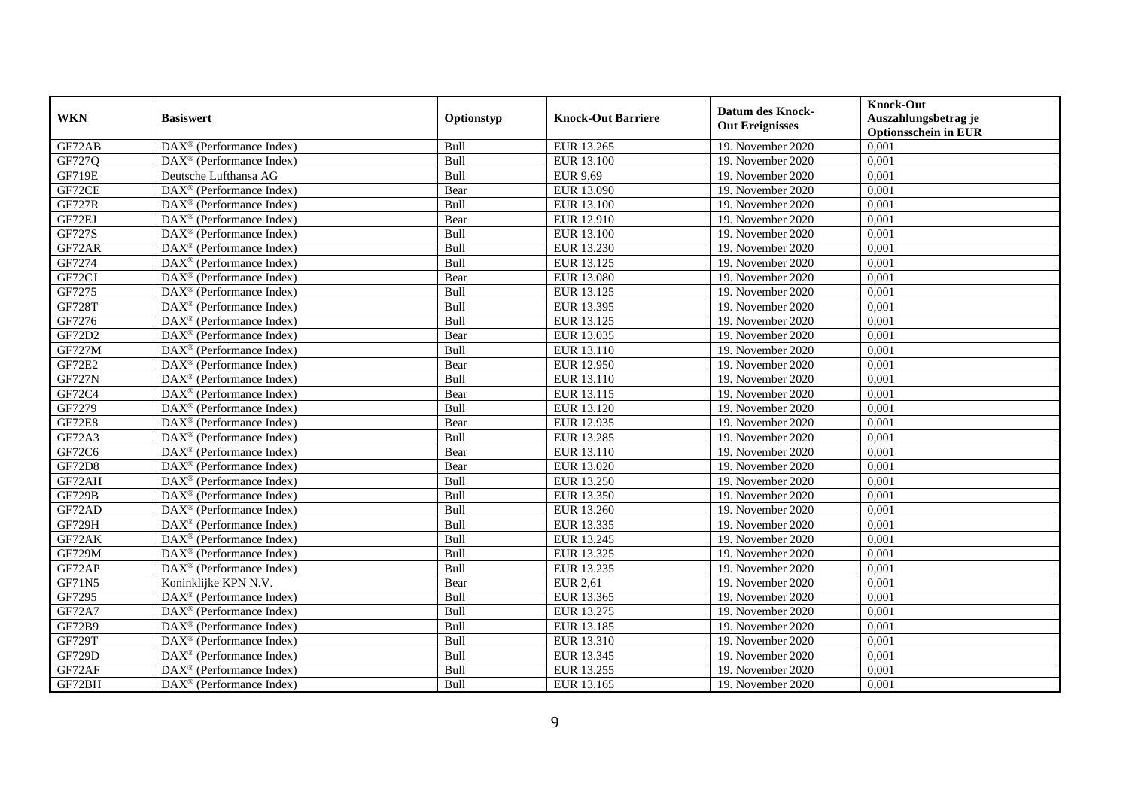| <b>WKN</b>    | <b>Basiswert</b>                                             | Optionstyp | <b>Knock-Out Barriere</b> | <b>Datum des Knock-</b><br><b>Out Ereignisses</b> | <b>Knock-Out</b><br>Auszahlungsbetrag je<br><b>Optionsschein in EUR</b> |
|---------------|--------------------------------------------------------------|------------|---------------------------|---------------------------------------------------|-------------------------------------------------------------------------|
| GF72AB        | $\overline{\text{DAX}}^{\textcirc}$ (Performance Index)      | Bull       | EUR 13.265                | 19. November 2020                                 | 0,001                                                                   |
| GF727Q        | $DAX^{\circledR}$ (Performance Index)                        | Bull       | EUR 13.100                | 19. November 2020                                 | 0,001                                                                   |
| <b>GF719E</b> | Deutsche Lufthansa AG                                        | Bull       | <b>EUR 9,69</b>           | 19. November 2020                                 | 0,001                                                                   |
| GF72CE        | $DAX^{\circledast}$ (Performance Index)                      | Bear       | EUR 13.090                | 19. November 2020                                 | 0,001                                                                   |
| <b>GF727R</b> | DAX <sup>®</sup> (Performance Index)                         | Bull       | <b>EUR 13.100</b>         | 19. November 2020                                 | 0,001                                                                   |
| GF72EJ        | $\overline{\text{DAX}^{\otimes}}$ (Performance Index)        | Bear       | EUR 12.910                | 19. November 2020                                 | 0,001                                                                   |
| GF727S        | $\text{DAX}^{\circledast}$ (Performance Index)               | Bull       | EUR 13.100                | 19. November 2020                                 | 0,001                                                                   |
| GF72AR        | $DAX^{\circledR}$ (Performance Index)                        | Bull       | EUR 13.230                | 19. November 2020                                 | 0,001                                                                   |
| GF7274        | $DAX^{\circledR}$ (Performance Index)                        | Bull       | EUR 13.125                | 19. November 2020                                 | 0,001                                                                   |
| GF72CJ        | $DAX^{\circledR}$ (Performance Index)                        | Bear       | EUR 13.080                | 19. November 2020                                 | 0,001                                                                   |
| GF7275        | DAX <sup>®</sup> (Performance Index)                         | Bull       | EUR 13.125                | 19. November 2020                                 | 0,001                                                                   |
| <b>GF728T</b> | $\overline{\text{DAX}^{\otimes}}$ (Performance Index)        | Bull       | EUR 13.395                | 19. November 2020                                 | 0,001                                                                   |
| GF7276        | $DAX^{\circledast}$ (Performance Index)                      | Bull       | EUR 13.125                | 19. November 2020                                 | 0,001                                                                   |
| GF72D2        | $DAX^{\circledR}$ (Performance Index)                        | Bear       | EUR 13.035                | 19. November 2020                                 | 0,001                                                                   |
| <b>GF727M</b> | $DAX^{\circledast}$ (Performance Index)                      | Bull       | EUR 13.110                | 19. November 2020                                 | 0,001                                                                   |
| <b>GF72E2</b> | $DAX^{\circledast}$ (Performance Index)                      | Bear       | EUR 12.950                | 19. November 2020                                 | 0,001                                                                   |
| <b>GF727N</b> | DAX <sup>®</sup> (Performance Index)                         | Bull       | EUR 13.110                | 19. November 2020                                 | 0,001                                                                   |
| GF72C4        | $DAX^{\circledcirc}$ (Performance Index)                     | Bear       | EUR 13.115                | 19. November 2020                                 | 0,001                                                                   |
| GF7279        | DAX <sup>®</sup> (Performance Index)                         | Bull       | EUR 13.120                | 19. November 2020                                 | 0,001                                                                   |
| <b>GF72E8</b> | DAX <sup>®</sup> (Performance Index)                         | Bear       | EUR 12.935                | 19. November 2020                                 | 0,001                                                                   |
| GF72A3        | DAX <sup>®</sup> (Performance Index)                         | Bull       | EUR 13.285                | 19. November 2020                                 | 0,001                                                                   |
| GF72C6        | $\overline{\text{DAX}^{\otimes}}$ (Performance Index)        | Bear       | EUR 13.110                | 19. November 2020                                 | 0,001                                                                   |
| <b>GF72D8</b> | $\text{DAX}^{\circledast}$ (Performance Index)               | Bear       | EUR 13.020                | 19. November 2020                                 | 0,001                                                                   |
| GF72AH        | DAX <sup>®</sup> (Performance Index)                         | Bull       | <b>EUR 13.250</b>         | 19. November 2020                                 | 0,001                                                                   |
| <b>GF729B</b> | $DAX^{\circledR}$ (Performance Index)                        | Bull       | EUR 13.350                | 19. November 2020                                 | 0,001                                                                   |
| GF72AD        | $DAX^{\circledast}$ (Performance Index)                      | Bull       | EUR 13.260                | 19. November 2020                                 | 0,001                                                                   |
| <b>GF729H</b> | DAX <sup>®</sup> (Performance Index)                         | Bull       | EUR 13.335                | 19. November 2020                                 | 0,001                                                                   |
| GF72AK        | $DAX^{\otimes}$ (Performance Index)                          | Bull       | EUR 13.245                | 19. November 2020                                 | 0,001                                                                   |
| <b>GF729M</b> | $DAX^{\circledR}$ (Performance Index)                        | Bull       | EUR 13.325                | 19. November 2020                                 | 0,001                                                                   |
| GF72AP        | DAX <sup>®</sup> (Performance Index)                         | Bull       | EUR 13.235                | 19. November 2020                                 | 0,001                                                                   |
| GF71N5        | Koninklijke KPN N.V.                                         | Bear       | <b>EUR 2,61</b>           | 19. November 2020                                 | 0,001                                                                   |
| GF7295        | DAX <sup>®</sup> (Performance Index)                         | Bull       | EUR 13.365                | 19. November 2020                                 | 0,001                                                                   |
| <b>GF72A7</b> | $\overline{\text{DAX}^{\otimes}}$ (Performance Index)        | Bull       | EUR 13.275                | 19. November 2020                                 | 0,001                                                                   |
| GF72B9        | $DAX^{\circledast}$ (Performance Index)                      | Bull       | EUR 13.185                | 19. November 2020                                 | 0,001                                                                   |
| <b>GF729T</b> | $DAX^{\circledast}$ (Performance Index)                      | Bull       | EUR 13.310                | 19. November 2020                                 | 0,001                                                                   |
| <b>GF729D</b> | $DAX^{\circledast}$ (Performance Index)                      | Bull       | EUR 13.345                | 19. November 2020                                 | 0,001                                                                   |
| GF72AF        | $DAX^{\circledast}$ (Performance Index)                      | Bull       | EUR 13.255                | 19. November 2020                                 | 0,001                                                                   |
| GF72BH        | $\overline{\text{DAX}}^{\textcircled{}}$ (Performance Index) | Bull       | EUR 13.165                | 19. November 2020                                 | 0,001                                                                   |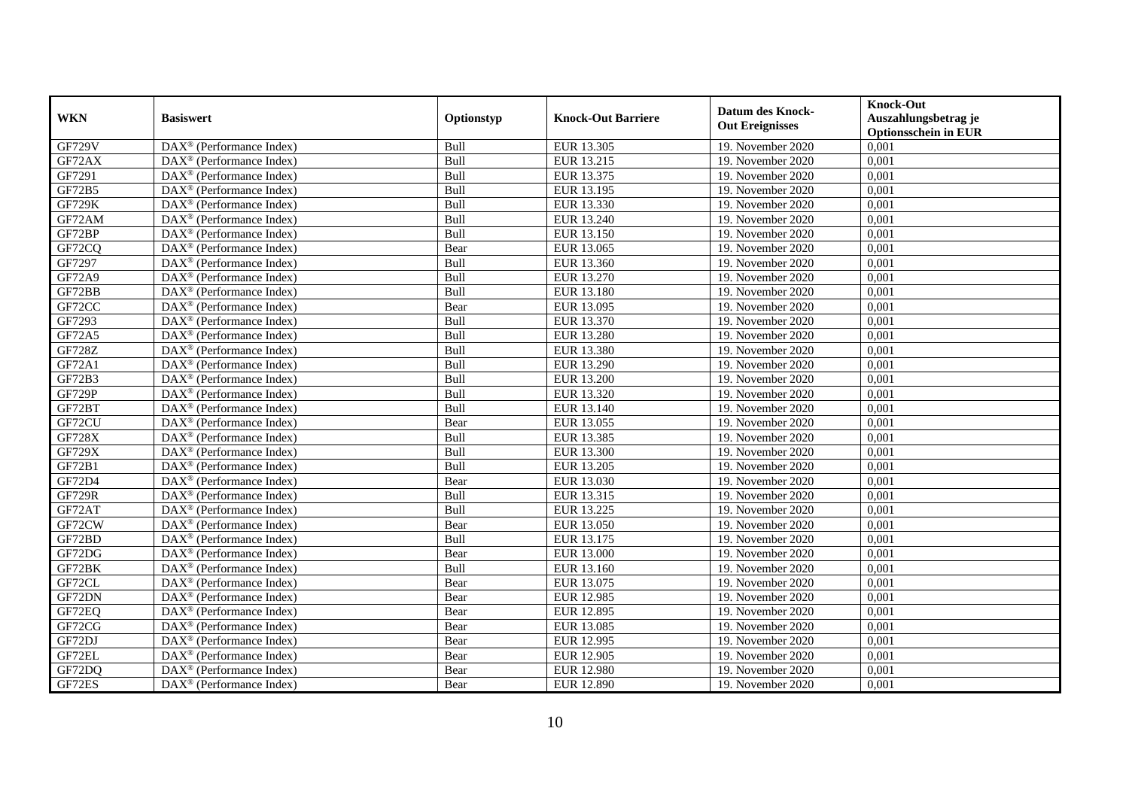|               | <b>Basiswert</b>                                      | Optionstyp | <b>Knock-Out Barriere</b> | <b>Datum des Knock-</b> | <b>Knock-Out</b>            |
|---------------|-------------------------------------------------------|------------|---------------------------|-------------------------|-----------------------------|
| <b>WKN</b>    |                                                       |            |                           | <b>Out Ereignisses</b>  | Auszahlungsbetrag je        |
|               |                                                       |            |                           |                         | <b>Optionsschein in EUR</b> |
| <b>GF729V</b> | DAX <sup>®</sup> (Performance Index)                  | Bull       | EUR 13.305                | 19. November 2020       | 0,001                       |
| GF72AX        | $DAX^{\circledast}$ (Performance Index)               | Bull       | EUR 13.215                | 19. November 2020       | 0,001                       |
| GF7291        | $DAX^{\circledast}$ (Performance Index)               | Bull       | EUR 13.375                | 19. November 2020       | 0,001                       |
| GF72B5        | $\text{DAX}^{\circledast}$ (Performance Index)        | Bull       | EUR 13.195                | 19. November 2020       | 0,001                       |
| <b>GF729K</b> | DAX <sup>®</sup> (Performance Index)                  | Bull       | EUR 13.330                | 19. November 2020       | 0,001                       |
| GF72AM        | DAX <sup>®</sup> (Performance Index)                  | Bull       | EUR 13.240                | 19. November 2020       | 0,001                       |
| GF72BP        | $\text{DAX}^{\circledast}$ (Performance Index)        | Bull       | EUR 13.150                | 19. November 2020       | 0,001                       |
| GF72CQ        | $DAX^{\circledR}$ (Performance Index)                 | Bear       | EUR 13.065                | 19. November 2020       | 0,001                       |
| GF7297        | DAX <sup>®</sup> (Performance Index)                  | Bull       | EUR 13.360                | 19. November 2020       | 0,001                       |
| GF72A9        | DAX <sup>®</sup> (Performance Index)                  | Bull       | EUR 13.270                | 19. November 2020       | 0,001                       |
| GF72BB        | $DAX^{\circledast}$ (Performance Index)               | Bull       | <b>EUR 13.180</b>         | 19. November 2020       | 0,001                       |
| GF72CC        | DAX <sup>®</sup> (Performance Index)                  | Bear       | EUR 13.095                | 19. November 2020       | 0,001                       |
| GF7293        | $\overline{\text{DAX}^{\otimes}}$ (Performance Index) | Bull       | EUR 13.370                | 19. November 2020       | 0,001                       |
| GF72A5        | DAX <sup>®</sup> (Performance Index)                  | Bull       | EUR 13.280                | 19. November 2020       | 0,001                       |
| <b>GF728Z</b> | $\text{DAX}^{\circledast}$ (Performance Index)        | Bull       | EUR 13.380                | 19. November 2020       | 0,001                       |
| GF72A1        | $\text{DAX}^{\circledast}$ (Performance Index)        | Bull       | EUR 13.290                | 19. November 2020       | 0,001                       |
| GF72B3        | DAX <sup>®</sup> (Performance Index)                  | Bull       | EUR 13.200                | 19. November 2020       | 0,001                       |
| GF729P        | $\text{DAX}^{\circledast}$ (Performance Index)        | Bull       | EUR 13.320                | 19. November 2020       | 0,001                       |
| GF72BT        | $DAX^{\circledast}$ (Performance Index)               | Bull       | EUR 13.140                | 19. November 2020       | 0,001                       |
| GF72CU        | $DAX^{\circledast}$ (Performance Index)               | Bear       | EUR 13.055                | 19. November 2020       | 0,001                       |
| <b>GF728X</b> | DAX <sup>®</sup> (Performance Index)                  | Bull       | EUR 13.385                | 19. November 2020       | 0,001                       |
| <b>GF729X</b> | $\overline{\text{DAX}^{\otimes}}$ (Performance Index) | Bull       | EUR 13.300                | 19. November 2020       | 0,001                       |
| GF72B1        | $DAX^{\circledast}$ (Performance Index)               | Bull       | EUR 13.205                | 19. November 2020       | 0,001                       |
| GF72D4        | $\overline{\text{DAX}^{\otimes}}$ (Performance Index) | Bear       | EUR 13.030                | 19. November 2020       | 0,001                       |
| <b>GF729R</b> | DAX <sup>®</sup> (Performance Index)                  | Bull       | EUR 13.315                | 19. November 2020       | 0,001                       |
| GF72AT        | $\text{DAX}^{\circledast}$ (Performance Index)        | Bull       | EUR 13.225                | 19. November 2020       | 0,001                       |
| GF72CW        | DAX <sup>®</sup> (Performance Index)                  | Bear       | EUR 13.050                | 19. November 2020       | 0,001                       |
| GF72BD        | DAX <sup>®</sup> (Performance Index)                  | Bull       | EUR 13.175                | 19. November 2020       | 0,001                       |
| GF72DG        | $DAX^{\circledast}$ (Performance Index)               | Bear       | <b>EUR 13.000</b>         | 19. November 2020       | 0,001                       |
| GF72BK        | $DAX^{\circledast}$ (Performance Index)               | Bull       | EUR 13.160                | 19. November 2020       | 0,001                       |
| GF72CL        | $\text{DAX}^{\circledast}$ (Performance Index)        | Bear       | EUR 13.075                | 19. November 2020       | 0,001                       |
| GF72DN        | DAX <sup>®</sup> (Performance Index)                  | Bear       | EUR 12.985                | 19. November 2020       | 0,001                       |
| GF72EQ        | DAX <sup>®</sup> (Performance Index)                  | Bear       | EUR 12.895                | 19. November 2020       | 0,001                       |
| GF72CG        | $\overline{\text{DAX}^{\otimes}}$ (Performance Index) | Bear       | EUR 13.085                | 19. November 2020       | 0,001                       |
| GF72DJ        | $\text{DAX}^{\circledast}$ (Performance Index)        | Bear       | EUR 12.995                | 19. November 2020       | 0,001                       |
| GF72EL        | DAX <sup>®</sup> (Performance Index)                  | Bear       | EUR 12.905                | 19. November 2020       | 0,001                       |
| GF72DQ        | DAX <sup>®</sup> (Performance Index)                  | Bear       | <b>EUR 12.980</b>         | 19. November 2020       | 0,001                       |
| GF72ES        | $\text{DAX}^{\circledast}$ (Performance Index)        | Bear       | EUR 12.890                | 19. November 2020       | 0,001                       |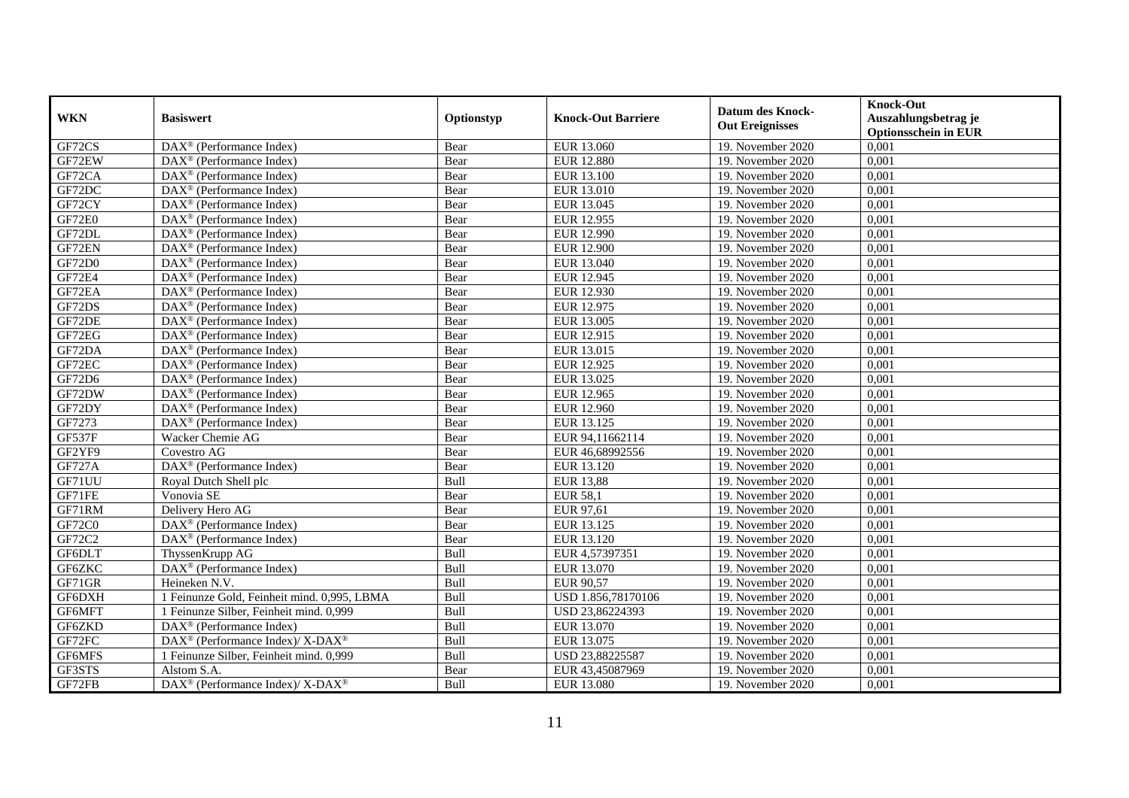| <b>WKN</b>    | <b>Basiswert</b>                                            | Optionstyp | <b>Knock-Out Barriere</b> | <b>Datum des Knock-</b><br><b>Out Ereignisses</b> | <b>Knock-Out</b><br>Auszahlungsbetrag je<br><b>Optionsschein in EUR</b> |
|---------------|-------------------------------------------------------------|------------|---------------------------|---------------------------------------------------|-------------------------------------------------------------------------|
| GF72CS        | $\overline{\text{DAX}^{\otimes}}$ (Performance Index)       | Bear       | EUR 13.060                | 19. November 2020                                 | 0,001                                                                   |
| GF72EW        | $DAX^{\otimes}$ (Performance Index)                         | Bear       | <b>EUR 12.880</b>         | 19. November 2020                                 | 0,001                                                                   |
| GF72CA        | $DAX^{\circledR}$ (Performance Index)                       | Bear       | EUR 13.100                | 19. November 2020                                 | 0,001                                                                   |
| GF72DC        | $DAX^{\circledast}$ (Performance Index)                     | Bear       | EUR 13.010                | 19. November 2020                                 | 0,001                                                                   |
| GF72CY        | DAX <sup>®</sup> (Performance Index)                        | Bear       | EUR 13.045                | 19. November 2020                                 | 0,001                                                                   |
| GF72E0        | $\overline{\text{DAX}^{\otimes}}$ (Performance Index)       | Bear       | EUR 12.955                | 19. November 2020                                 | 0,001                                                                   |
| GF72DL        | $\text{DAX}^{\circledast}$ (Performance Index)              | Bear       | EUR 12.990                | 19. November 2020                                 | 0,001                                                                   |
| GF72EN        | $DAX^{\circledR}$ (Performance Index)                       | Bear       | <b>EUR 12.900</b>         | 19. November 2020                                 | 0,001                                                                   |
| GF72D0        | $DAX^{\circledR}$ (Performance Index)                       | Bear       | EUR 13.040                | 19. November 2020                                 | 0,001                                                                   |
| GF72E4        | $DAX^{\circledR}$ (Performance Index)                       | Bear       | EUR 12.945                | 19. November 2020                                 | 0,001                                                                   |
| GF72EA        | $\overline{\text{DAX}^{\otimes}(\text{Performance Index})}$ | Bear       | <b>EUR 12.930</b>         | 19. November 2020                                 | 0,001                                                                   |
| GF72DS        | $\overline{\text{DAX}^{\otimes}}$ (Performance Index)       | Bear       | EUR 12.975                | 19. November 2020                                 | 0,001                                                                   |
| GF72DE        | $\overline{\text{DAX}^{\otimes}}$ (Performance Index)       | Bear       | EUR 13.005                | 19. November 2020                                 | 0,001                                                                   |
| GF72EG        | $DAX^{\circledR}$ (Performance Index)                       | Bear       | EUR 12.915                | 19. November 2020                                 | 0,001                                                                   |
| GF72DA        | $DAX^{\circledast}$ (Performance Index)                     | Bear       | EUR 13.015                | 19. November 2020                                 | 0,001                                                                   |
| GF72EC        | DAX <sup>®</sup> (Performance Index)                        | Bear       | EUR 12.925                | 19. November 2020                                 | 0,001                                                                   |
| GF72D6        | DAX <sup>®</sup> (Performance Index)                        | Bear       | EUR 13.025                | 19. November 2020                                 | 0,001                                                                   |
| GF72DW        | $DAX^{\circledcirc}$ (Performance Index)                    | Bear       | EUR 12.965                | 19. November 2020                                 | 0,001                                                                   |
| GF72DY        | DAX <sup>®</sup> (Performance Index)                        | Bear       | EUR 12.960                | 19. November 2020                                 | 0,001                                                                   |
| GF7273        | $DAX^{\circledR}$ (Performance Index)                       | Bear       | EUR 13.125                | 19. November 2020                                 | 0,001                                                                   |
| <b>GF537F</b> | Wacker Chemie AG                                            | Bear       | EUR 94, 11662114          | 19. November 2020                                 | 0,001                                                                   |
| GF2YF9        | Covestro AG                                                 | Bear       | EUR 46,68992556           | 19. November 2020                                 | 0,001                                                                   |
| <b>GF727A</b> | DAX <sup>®</sup> (Performance Index)                        | Bear       | EUR 13.120                | 19. November 2020                                 | 0,001                                                                   |
| GF71UU        | Royal Dutch Shell plc                                       | Bull       | <b>EUR 13,88</b>          | 19. November 2020                                 | 0,001                                                                   |
| GF71FE        | Vonovia SE                                                  | Bear       | <b>EUR 58,1</b>           | 19. November 2020                                 | 0,001                                                                   |
| GF71RM        | Delivery Hero AG                                            | Bear       | EUR 97,61                 | 19. November 2020                                 | 0,001                                                                   |
| GF72C0        | DAX <sup>®</sup> (Performance Index)                        | Bear       | EUR 13.125                | 19. November 2020                                 | 0,001                                                                   |
| GF72C2        | DAX <sup>®</sup> (Performance Index)                        | Bear       | EUR 13.120                | 19. November 2020                                 | 0,001                                                                   |
| <b>GF6DLT</b> | ThyssenKrupp AG                                             | Bull       | EUR 4,57397351            | 19. November 2020                                 | 0,001                                                                   |
| GF6ZKC        | DAX <sup>®</sup> (Performance Index)                        | Bull       | EUR 13.070                | 19. November 2020                                 | 0,001                                                                   |
| GF71GR        | Heineken N.V.                                               | Bull       | EUR 90,57                 | 19. November 2020                                 | 0,001                                                                   |
| GF6DXH        | 1 Feinunze Gold, Feinheit mind. 0,995, LBMA                 | Bull       | USD 1.856,78170106        | 19. November 2020                                 | 0,001                                                                   |
| GF6MFT        | 1 Feinunze Silber, Feinheit mind. 0,999                     | Bull       | USD 23,86224393           | 19. November 2020                                 | 0,001                                                                   |
| GF6ZKD        | DAX <sup>®</sup> (Performance Index)                        | Bull       | EUR 13.070                | 19. November 2020                                 | 0,001                                                                   |
| GF72FC        | DAX <sup>®</sup> (Performance Index)/ X-DAX <sup>®</sup>    | Bull       | EUR 13.075                | 19. November 2020                                 | 0,001                                                                   |
| GF6MFS        | 1 Feinunze Silber, Feinheit mind. 0,999                     | Bull       | USD 23,88225587           | 19. November 2020                                 | 0,001                                                                   |
| GF3STS        | Alstom S.A.                                                 | Bear       | EUR 43,45087969           | 19. November 2020                                 | 0,001                                                                   |
| GF72FB        | DAX <sup>®</sup> (Performance Index)/ X-DAX <sup>®</sup>    | Bull       | EUR 13.080                | 19. November 2020                                 | 0,001                                                                   |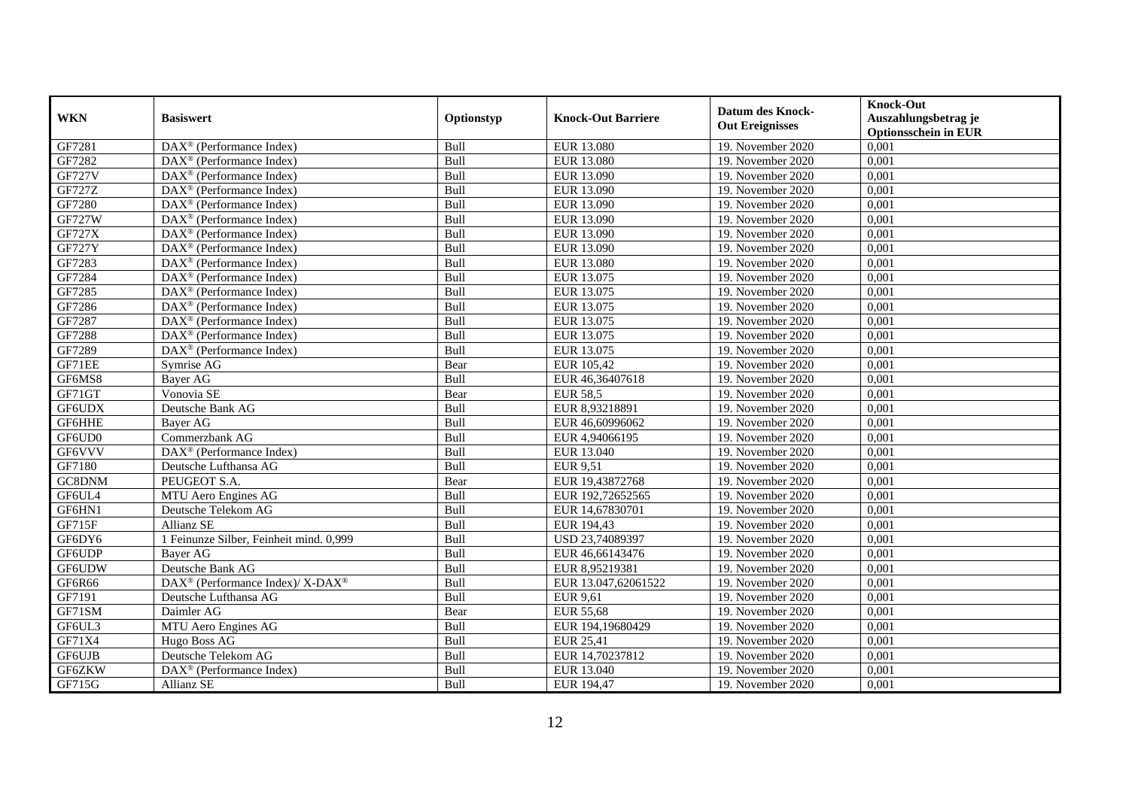|               | <b>Basiswert</b>                                         | Optionstyp | <b>Knock-Out Barriere</b> | <b>Datum des Knock-</b> | <b>Knock-Out</b>            |
|---------------|----------------------------------------------------------|------------|---------------------------|-------------------------|-----------------------------|
| <b>WKN</b>    |                                                          |            |                           | <b>Out Ereignisses</b>  | Auszahlungsbetrag je        |
|               |                                                          |            |                           |                         | <b>Optionsschein in EUR</b> |
| GF7281        | $\overline{\text{DAX}}^{\textcirc}$ (Performance Index)  | Bull       | EUR 13.080                | 19. November 2020       | 0,001                       |
| GF7282        | $DAX^{\circledR}$ (Performance Index)                    | Bull       | <b>EUR 13.080</b>         | 19. November 2020       | 0,001                       |
| <b>GF727V</b> | $DAX^{\circledR}$ (Performance Index)                    | Bull       | EUR 13.090                | 19. November 2020       | 0,001                       |
| GF727Z        | DAX <sup>®</sup> (Performance Index)                     | Bull       | EUR 13.090                | 19. November 2020       | 0,001                       |
| GF7280        | DAX <sup>®</sup> (Performance Index)                     | Bull       | EUR 13.090                | 19. November 2020       | 0,001                       |
| <b>GF727W</b> | DAX <sup>®</sup> (Performance Index)                     | Bull       | EUR 13.090                | 19. November 2020       | 0,001                       |
| <b>GF727X</b> | $DAX^{\circledast}$ (Performance Index)                  | Bull       | EUR 13.090                | 19. November 2020       | 0,001                       |
| <b>GF727Y</b> | $DAX^{\circledR}$ (Performance Index)                    | Bull       | EUR 13.090                | 19. November 2020       | 0,001                       |
| GF7283        | $\overline{\text{DAX}^{\otimes}}$ (Performance Index)    | Bull       | EUR 13.080                | 19. November 2020       | 0,001                       |
| GF7284        | $DAX^{\circledR}$ (Performance Index)                    | Bull       | EUR 13.075                | 19. November 2020       | 0,001                       |
| GF7285        | $DAX^{\circledast}$ (Performance Index)                  | Bull       | EUR 13.075                | 19. November 2020       | 0,001                       |
| GF7286        | $\overline{\text{DAX}}^{\textcirc}$ (Performance Index)  | Bull       | EUR 13.075                | 19. November 2020       | 0,001                       |
| GF7287        | $DAX^{\circledR}$ (Performance Index)                    | Bull       | EUR 13.075                | 19. November 2020       | 0,001                       |
| GF7288        | $DAX^{\circledcirc}$ (Performance Index)                 | Bull       | EUR 13.075                | 19. November 2020       | 0,001                       |
| GF7289        | $\overline{\text{DAX}^{\otimes}}$ (Performance Index)    | Bull       | EUR 13.075                | 19. November 2020       | 0,001                       |
| GF71EE        | Symrise AG                                               | Bear       | EUR 105,42                | 19. November 2020       | 0,001                       |
| GF6MS8        | Bayer AG                                                 | Bull       | EUR 46,36407618           | 19. November 2020       | 0,001                       |
| GF71GT        | Vonovia SE                                               | Bear       | <b>EUR 58.5</b>           | 19. November 2020       | 0,001                       |
| GF6UDX        | Deutsche Bank AG                                         | Bull       | EUR 8,93218891            | 19. November 2020       | 0,001                       |
| GF6HHE        | Bayer AG                                                 | Bull       | EUR 46,60996062           | 19. November 2020       | 0,001                       |
| GF6UD0        | Commerzbank AG                                           | Bull       | EUR 4,94066195            | 19. November 2020       | 0,001                       |
| GF6VVV        | DAX <sup>®</sup> (Performance Index)                     | Bull       | EUR 13.040                | 19. November 2020       | 0,001                       |
| GF7180        | Deutsche Lufthansa AG                                    | Bull       | <b>EUR 9.51</b>           | 19. November 2020       | 0,001                       |
| GC8DNM        | PEUGEOT S.A.                                             | Bear       | EUR 19,43872768           | 19. November 2020       | 0,001                       |
| GF6UL4        | MTU Aero Engines AG                                      | Bull       | EUR 192,72652565          | 19. November 2020       | 0,001                       |
| GF6HN1        | Deutsche Telekom AG                                      | Bull       | EUR 14,67830701           | 19. November 2020       | 0,001                       |
| GF715F        | Allianz SE                                               | Bull       | EUR 194,43                | 19. November 2020       | 0,001                       |
| GF6DY6        | 1 Feinunze Silber, Feinheit mind. 0,999                  | Bull       | USD 23,74089397           | 19. November 2020       | 0,001                       |
| <b>GF6UDP</b> | <b>Baver AG</b>                                          | Bull       | EUR 46,66143476           | 19. November 2020       | 0,001                       |
| GF6UDW        | Deutsche Bank AG                                         | Bull       | EUR 8,95219381            | 19. November 2020       | 0,001                       |
| GF6R66        | DAX <sup>®</sup> (Performance Index)/ X-DAX <sup>®</sup> | Bull       | EUR 13.047,62061522       | 19. November 2020       | 0,001                       |
| GF7191        | Deutsche Lufthansa AG                                    | Bull       | <b>EUR 9,61</b>           | 19. November 2020       | 0,001                       |
| GF71SM        | Daimler AG                                               | Bear       | <b>EUR 55,68</b>          | 19. November 2020       | 0,001                       |
| GF6UL3        | MTU Aero Engines AG                                      | Bull       | EUR 194,19680429          | 19. November 2020       | 0,001                       |
| GF71X4        | Hugo Boss AG                                             | Bull       | EUR 25,41                 | 19. November 2020       | 0,001                       |
| GF6UJB        | Deutsche Telekom AG                                      | Bull       | EUR 14,70237812           | 19. November 2020       | 0,001                       |
| GF6ZKW        | DAX <sup>®</sup> (Performance Index)                     | Bull       | EUR 13.040                | 19. November 2020       | 0,001                       |
| GF715G        | Allianz SE                                               | Bull       | EUR 194,47                | 19. November 2020       | 0,001                       |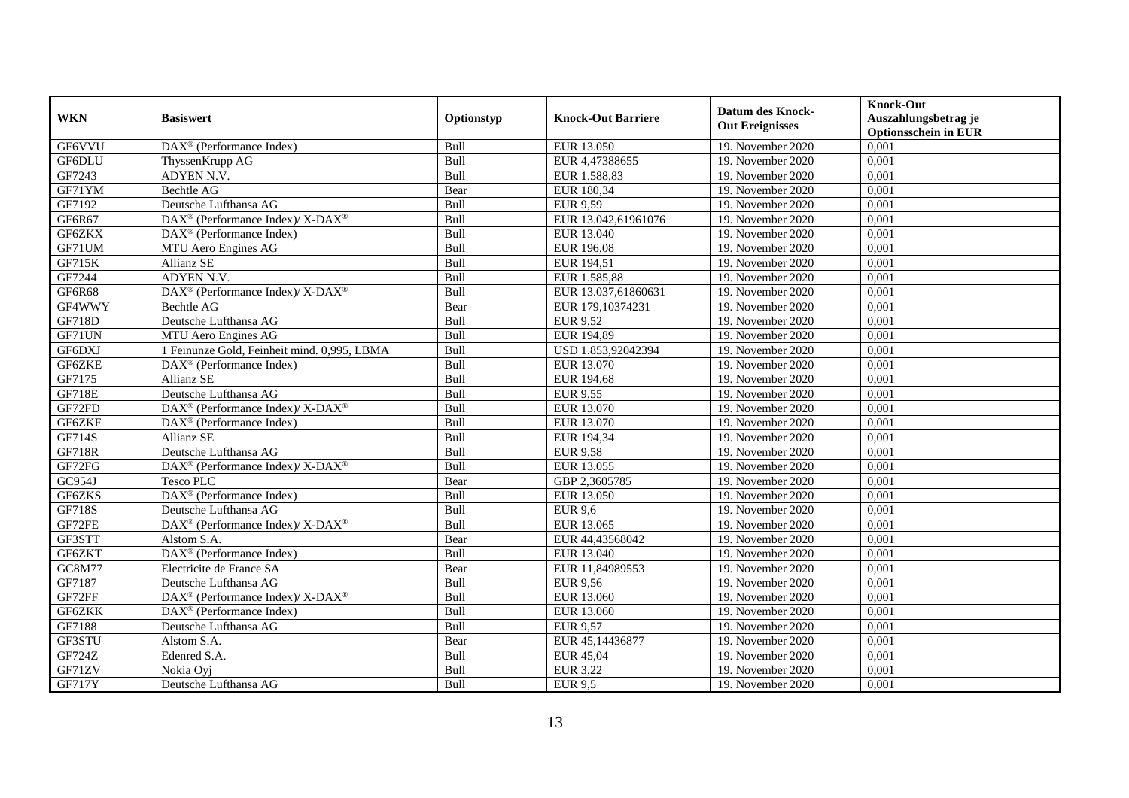| <b>WKN</b>    | <b>Basiswert</b>                                         | Optionstyp | <b>Knock-Out Barriere</b> | Datum des Knock-<br><b>Out Ereignisses</b> | <b>Knock-Out</b><br>Auszahlungsbetrag je<br><b>Optionsschein in EUR</b> |
|---------------|----------------------------------------------------------|------------|---------------------------|--------------------------------------------|-------------------------------------------------------------------------|
| GF6VVU        | $\overline{\text{DAX}^{\otimes}}$ (Performance Index)    | Bull       | EUR 13.050                | 19. November 2020                          | 0,001                                                                   |
| GF6DLU        | ThyssenKrupp AG                                          | Bull       | EUR 4,47388655            | 19. November 2020                          | 0,001                                                                   |
| GF7243        | ADYEN N.V.                                               | Bull       | EUR 1.588,83              | 19. November 2020                          | 0,001                                                                   |
| GF71YM        | Bechtle AG                                               | Bear       | EUR 180,34                | 19. November 2020                          | 0,001                                                                   |
| GF7192        | Deutsche Lufthansa AG                                    | Bull       | <b>EUR 9,59</b>           | 19. November 2020                          | 0,001                                                                   |
| GF6R67        | DAX <sup>®</sup> (Performance Index)/ X-DAX <sup>®</sup> | Bull       | EUR 13.042,61961076       | 19. November 2020                          | 0,001                                                                   |
| GF6ZKX        | $\text{DAX}^{\otimes}$ (Performance Index)               | Bull       | EUR 13.040                | 19. November 2020                          | 0,001                                                                   |
| GF71UM        | MTU Aero Engines AG                                      | Bull       | EUR 196,08                | 19. November 2020                          | 0,001                                                                   |
| <b>GF715K</b> | <b>Allianz SE</b>                                        | Bull       | EUR 194,51                | 19. November 2020                          | 0,001                                                                   |
| GF7244        | ADYEN N.V.                                               | Bull       | EUR 1.585,88              | 19. November 2020                          | 0,001                                                                   |
| GF6R68        | DAX <sup>®</sup> (Performance Index)/X-DAX <sup>®</sup>  | Bull       | EUR 13.037,61860631       | 19. November 2020                          | 0,001                                                                   |
| GF4WWY        | <b>Bechtle AG</b>                                        | Bear       | EUR 179,10374231          | 19. November 2020                          | 0,001                                                                   |
| GF718D        | Deutsche Lufthansa AG                                    | Bull       | <b>EUR 9,52</b>           | 19. November 2020                          | 0,001                                                                   |
| GF71UN        | MTU Aero Engines AG                                      | Bull       | EUR 194,89                | 19. November 2020                          | 0,001                                                                   |
| GF6DXJ        | 1 Feinunze Gold, Feinheit mind. 0,995, LBMA              | Bull       | USD 1.853,92042394        | 19. November 2020                          | 0,001                                                                   |
| GF6ZKE        | DAX <sup>®</sup> (Performance Index)                     | Bull       | EUR 13.070                | 19. November 2020                          | 0,001                                                                   |
| GF7175        | Allianz SE                                               | Bull       | EUR 194,68                | 19. November 2020                          | 0,001                                                                   |
| <b>GF718E</b> | Deutsche Lufthansa AG                                    | Bull       | <b>EUR 9,55</b>           | 19. November 2020                          | 0,001                                                                   |
| GF72FD        | DAX <sup>®</sup> (Performance Index)/ X-DAX <sup>®</sup> | Bull       | EUR 13.070                | 19. November 2020                          | 0,001                                                                   |
| GF6ZKF        | DAX <sup>®</sup> (Performance Index)                     | Bull       | EUR 13.070                | 19. November 2020                          | 0,001                                                                   |
| GF714S        | <b>Allianz SE</b>                                        | Bull       | EUR 194,34                | 19. November 2020                          | 0,001                                                                   |
| <b>GF718R</b> | Deutsche Lufthansa AG                                    | Bull       | <b>EUR 9,58</b>           | 19. November 2020                          | 0,001                                                                   |
| GF72FG        | DAX <sup>®</sup> (Performance Index)/ X-DAX <sup>®</sup> | Bull       | EUR 13.055                | 19. November 2020                          | 0,001                                                                   |
| GC954J        | <b>Tesco PLC</b>                                         | Bear       | GBP 2,3605785             | 19. November 2020                          | 0,001                                                                   |
| GF6ZKS        | DAX <sup>®</sup> (Performance Index)                     | Bull       | EUR 13.050                | 19. November 2020                          | 0,001                                                                   |
| GF718S        | Deutsche Lufthansa AG                                    | Bull       | <b>EUR 9,6</b>            | 19. November 2020                          | 0,001                                                                   |
| GF72FE        | DAX <sup>®</sup> (Performance Index)/ X-DAX <sup>®</sup> | Bull       | EUR 13.065                | 19. November 2020                          | 0,001                                                                   |
| GF3STT        | Alstom S.A.                                              | Bear       | EUR 44,43568042           | 19. November 2020                          | 0,001                                                                   |
| GF6ZKT        | DAX <sup>®</sup> (Performance Index)                     | Bull       | EUR 13.040                | 19. November 2020                          | 0,001                                                                   |
| GC8M77        | Electricite de France SA                                 | Bear       | EUR 11,84989553           | 19. November 2020                          | 0,001                                                                   |
| GF7187        | Deutsche Lufthansa AG                                    | Bull       | <b>EUR 9,56</b>           | 19. November 2020                          | 0,001                                                                   |
| GF72FF        | DAX <sup>®</sup> (Performance Index)/ X-DAX <sup>®</sup> | Bull       | EUR 13.060                | 19. November 2020                          | 0,001                                                                   |
| GF6ZKK        | DAX <sup>®</sup> (Performance Index)                     | Bull       | EUR 13.060                | 19. November 2020                          | 0,001                                                                   |
| GF7188        | Deutsche Lufthansa AG                                    | Bull       | <b>EUR 9,57</b>           | 19. November 2020                          | 0,001                                                                   |
| GF3STU        | Alstom S.A.                                              | Bear       | EUR 45,14436877           | 19. November 2020                          | 0,001                                                                   |
| GF724Z        | Edenred S.A.                                             | Bull       | EUR 45,04                 | 19. November 2020                          | 0,001                                                                   |
| GF71ZV        | Nokia Ovi                                                | Bull       | EUR 3,22                  | 19. November 2020                          | 0,001                                                                   |
| <b>GF717Y</b> | Deutsche Lufthansa AG                                    | Bull       | <b>EUR 9,5</b>            | 19. November 2020                          | 0,001                                                                   |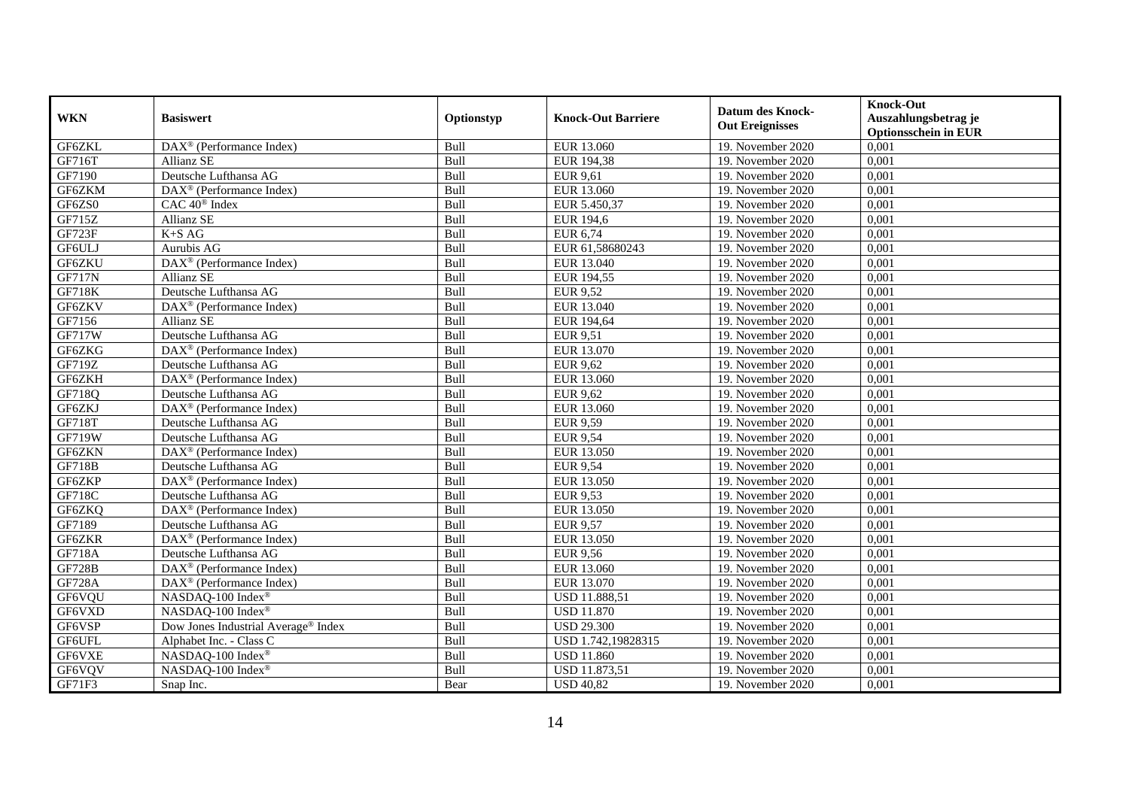|               |                                                         |                  |                           | <b>Datum des Knock-</b> | <b>Knock-Out</b>                                    |
|---------------|---------------------------------------------------------|------------------|---------------------------|-------------------------|-----------------------------------------------------|
| <b>WKN</b>    | <b>Basiswert</b>                                        | Optionstyp       | <b>Knock-Out Barriere</b> | <b>Out Ereignisses</b>  | Auszahlungsbetrag je<br><b>Optionsschein in EUR</b> |
| GF6ZKL        | $\overline{\text{DAX}^{\otimes}}$ (Performance Index)   | Bull             | EUR 13.060                | 19. November 2020       | 0,001                                               |
| GF716T        | Allianz SE                                              | Bull             | EUR 194,38                | 19. November 2020       | 0,001                                               |
| GF7190        | Deutsche Lufthansa AG                                   | Bull             | <b>EUR 9,61</b>           | 19. November 2020       | 0,001                                               |
| GF6ZKM        | $DAX^{\circledR}$ (Performance Index)                   | Bull             | EUR 13.060                | 19. November 2020       | 0,001                                               |
| GF6ZS0        | CAC 40 <sup>®</sup> Index                               | Bull             | EUR 5.450,37              | 19. November 2020       | 0,001                                               |
| GF715Z        | Allianz SE                                              | Bull             | <b>EUR 194,6</b>          | 19. November 2020       | 0,001                                               |
| GF723F        | $K+SAG$                                                 | Bull             | EUR 6,74                  | 19. November 2020       | 0,001                                               |
| GF6ULJ        | Aurubis AG                                              | Bull             | EUR 61,58680243           | 19. November 2020       | 0,001                                               |
| GF6ZKU        | DAX <sup>®</sup> (Performance Index)                    | Bull             | EUR 13.040                | 19. November 2020       | 0,001                                               |
| <b>GF717N</b> | <b>Allianz SE</b>                                       | Bull             | EUR 194,55                | 19. November 2020       | 0,001                                               |
| <b>GF718K</b> | Deutsche Lufthansa AG                                   | Bull             | <b>EUR 9,52</b>           | 19. November 2020       | 0,001                                               |
| GF6ZKV        | $\overline{\text{DAX}}^{\textcirc}$ (Performance Index) | Bull             | EUR 13.040                | 19. November 2020       | 0,001                                               |
| GF7156        | Allianz SE                                              | Bull             | EUR 194,64                | 19. November 2020       | 0,001                                               |
| <b>GF717W</b> | Deutsche Lufthansa AG                                   | Bull             | <b>EUR 9,51</b>           | 19. November 2020       | 0,001                                               |
| GF6ZKG        | DAX <sup>®</sup> (Performance Index)                    | Bull             | EUR 13.070                | 19. November 2020       | 0,001                                               |
| GF719Z        | Deutsche Lufthansa AG                                   | Bull             | <b>EUR 9,62</b>           | 19. November 2020       | 0,001                                               |
| GF6ZKH        | $\overline{\text{DAX}^{\otimes}}$ (Performance Index)   | Bull             | EUR 13.060                | 19. November 2020       | 0,001                                               |
| GF718Q        | Deutsche Lufthansa AG                                   | <b>Bull</b>      | <b>EUR 9,62</b>           | 19. November 2020       | 0,001                                               |
| GF6ZKJ        | $DAX^{\circledR}$ (Performance Index)                   | Bull             | EUR 13.060                | 19. November 2020       | 0,001                                               |
| GF718T        | Deutsche Lufthansa AG                                   | Bull             | <b>EUR 9,59</b>           | 19. November 2020       | 0,001                                               |
| <b>GF719W</b> | Deutsche Lufthansa AG                                   | Bull             | <b>EUR 9,54</b>           | 19. November 2020       | 0,001                                               |
| GF6ZKN        | DAX <sup>®</sup> (Performance Index)                    | Bull             | EUR 13.050                | 19. November 2020       | 0,001                                               |
| <b>GF718B</b> | Deutsche Lufthansa AG                                   | Bull             | <b>EUR 9,54</b>           | 19. November 2020       | 0,001                                               |
| GF6ZKP        | DAX <sup>®</sup> (Performance Index)                    | Bull             | EUR 13.050                | 19. November 2020       | 0,001                                               |
| GF718C        | Deutsche Lufthansa AG                                   | Bull             | <b>EUR 9,53</b>           | 19. November 2020       | 0,001                                               |
| GF6ZKQ        | DAX <sup>®</sup> (Performance Index)                    | Bull             | EUR 13.050                | 19. November 2020       | 0,001                                               |
| GF7189        | Deutsche Lufthansa AG                                   | $Bu\overline{l}$ | <b>EUR 9,57</b>           | 19. November 2020       | 0,001                                               |
| GF6ZKR        | DAX <sup>®</sup> (Performance Index)                    | Bull             | EUR 13.050                | 19. November 2020       | 0,001                                               |
| <b>GF718A</b> | Deutsche Lufthansa AG                                   | Bull             | <b>EUR 9,56</b>           | 19. November 2020       | 0,001                                               |
| <b>GF728B</b> | $DAX^{\circledR}$ (Performance Index)                   | Bull             | EUR 13.060                | 19. November 2020       | 0,001                                               |
| <b>GF728A</b> | DAX <sup>®</sup> (Performance Index)                    | Bull             | EUR 13.070                | 19. November 2020       | 0,001                                               |
| GF6VQU        | NASDAQ-100 Index®                                       | Bull             | <b>USD 11.888,51</b>      | 19. November 2020       | 0,001                                               |
| GF6VXD        | NASDAQ-100 Index®                                       | Bull             | <b>USD 11.870</b>         | 19. November 2020       | 0,001                                               |
| GF6VSP        | Dow Jones Industrial Average® Index                     | Bull             | <b>USD 29.300</b>         | 19. November 2020       | 0,001                                               |
| <b>GF6UFL</b> | Alphabet Inc. - Class C                                 | Bull             | USD 1.742,19828315        | 19. November 2020       | 0,001                                               |
| GF6VXE        | NASDAQ-100 Index®                                       | Bull             | <b>USD 11.860</b>         | 19. November 2020       | 0,001                                               |
| GF6VQV        | NASDAQ-100 Index®                                       | Bull             | USD 11.873,51             | 19. November 2020       | 0,001                                               |
| GF71F3        | Snap Inc.                                               | Bear             | <b>USD 40,82</b>          | 19. November 2020       | 0,001                                               |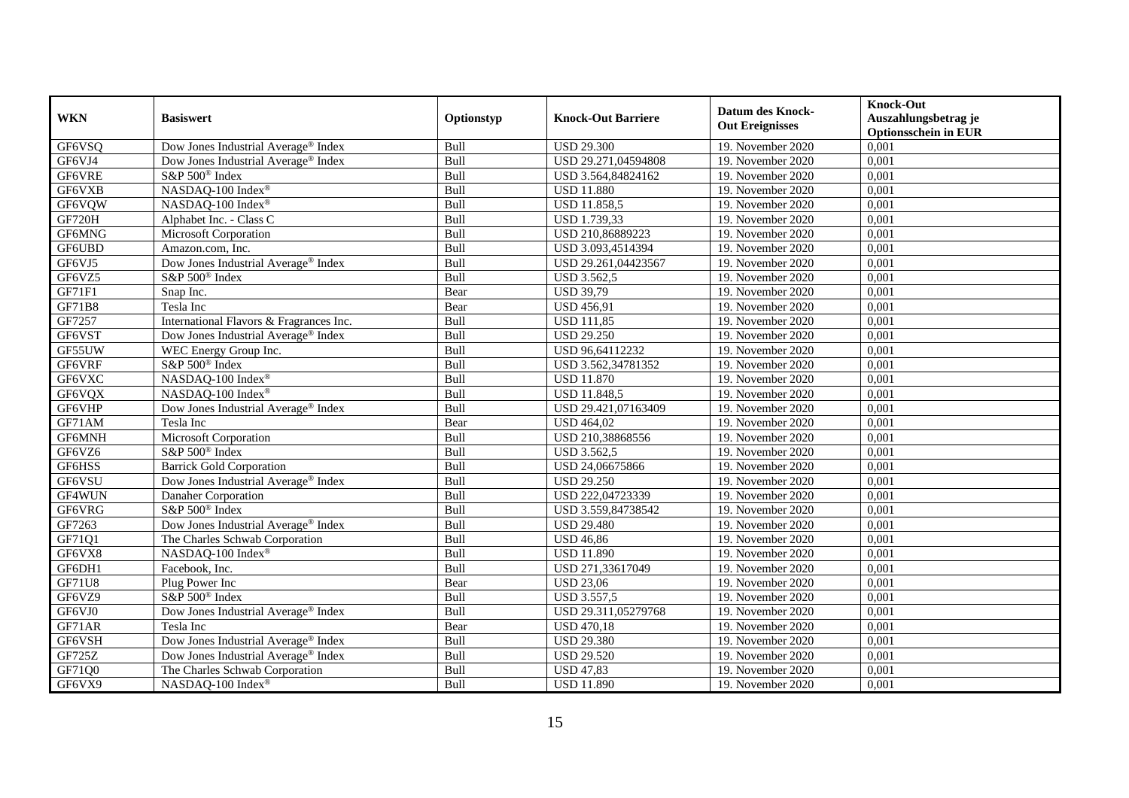| <b>WKN</b>    | <b>Basiswert</b>                                | Optionstyp | <b>Knock-Out Barriere</b> | <b>Datum des Knock-</b><br><b>Out Ereignisses</b> | <b>Knock-Out</b><br>Auszahlungsbetrag je<br><b>Optionsschein in EUR</b> |
|---------------|-------------------------------------------------|------------|---------------------------|---------------------------------------------------|-------------------------------------------------------------------------|
| GF6VSQ        | Dow Jones Industrial Average® Index             | Bull       | <b>USD 29.300</b>         | 19. November 2020                                 | 0,001                                                                   |
| GF6VJ4        | Dow Jones Industrial Average <sup>®</sup> Index | Bull       | USD 29.271,04594808       | 19. November 2020                                 | 0,001                                                                   |
| GF6VRE        | S&P 500 <sup>®</sup> Index                      | Bull       | USD 3.564,84824162        | 19. November 2020                                 | 0,001                                                                   |
| GF6VXB        | NASDAQ-100 Index®                               | Bull       | <b>USD 11.880</b>         | 19. November 2020                                 | 0,001                                                                   |
| GF6VQW        | NASDAQ-100 Index®                               | Bull       | USD 11.858,5              | 19. November 2020                                 | 0,001                                                                   |
| GF720H        | Alphabet Inc. - Class C                         | Bull       | USD 1.739,33              | 19. November 2020                                 | 0,001                                                                   |
| GF6MNG        | Microsoft Corporation                           | Bull       | USD 210,86889223          | 19. November 2020                                 | 0,001                                                                   |
| GF6UBD        | Amazon.com, Inc.                                | Bull       | USD 3.093,4514394         | 19. November 2020                                 | 0,001                                                                   |
| GF6VJ5        | Dow Jones Industrial Average® Index             | Bull       | USD 29.261,04423567       | 19. November 2020                                 | 0,001                                                                   |
| GF6VZ5        | S&P 500 <sup>®</sup> Index                      | Bull       | <b>USD 3.562,5</b>        | 19. November 2020                                 | 0,001                                                                   |
| GF71F1        | Snap Inc.                                       | Bear       | <b>USD 39,79</b>          | 19. November 2020                                 | 0,001                                                                   |
| <b>GF71B8</b> | Tesla Inc                                       | Bear       | <b>USD 456,91</b>         | 19. November 2020                                 | 0,001                                                                   |
| GF7257        | International Flavors & Fragrances Inc.         | Bull       | <b>USD 111,85</b>         | 19. November 2020                                 | 0,001                                                                   |
| GF6VST        | Dow Jones Industrial Average® Index             | Bull       | <b>USD 29.250</b>         | 19. November 2020                                 | 0,001                                                                   |
| GF55UW        | WEC Energy Group Inc.                           | Bull       | USD 96,64112232           | 19. November 2020                                 | 0,001                                                                   |
| GF6VRF        | S&P 500 <sup>®</sup> Index                      | Bull       | USD 3.562,34781352        | 19. November 2020                                 | 0,001                                                                   |
| GF6VXC        | NASDAQ-100 Index®                               | Bull       | <b>USD 11.870</b>         | 19. November 2020                                 | 0,001                                                                   |
| GF6VQX        | NASDAO-100 Index®                               | Bull       | <b>USD 11.848,5</b>       | 19. November 2020                                 | 0,001                                                                   |
| GF6VHP        | Dow Jones Industrial Average® Index             | Bull       | USD 29.421,07163409       | 19. November 2020                                 | 0,001                                                                   |
| GF71AM        | Tesla Inc                                       | Bear       | <b>USD 464,02</b>         | 19. November 2020                                 | 0,001                                                                   |
| GF6MNH        | Microsoft Corporation                           | Bull       | USD 210,38868556          | 19. November 2020                                 | 0,001                                                                   |
| GF6VZ6        | S&P 500 <sup>®</sup> Index                      | Bull       | <b>USD 3.562,5</b>        | 19. November 2020                                 | 0,001                                                                   |
| GF6HSS        | <b>Barrick Gold Corporation</b>                 | Bull       | USD 24,06675866           | 19. November 2020                                 | 0,001                                                                   |
| GF6VSU        | Dow Jones Industrial Average® Index             | Bull       | <b>USD 29.250</b>         | 19. November 2020                                 | 0,001                                                                   |
| GF4WUN        | Danaher Corporation                             | Bull       | USD 222,04723339          | 19. November 2020                                 | 0,001                                                                   |
| GF6VRG        | S&P 500 <sup>®</sup> Index                      | Bull       | USD 3.559,84738542        | 19. November 2020                                 | 0,001                                                                   |
| GF7263        | Dow Jones Industrial Average® Index             | Bull       | <b>USD 29.480</b>         | 19. November 2020                                 | 0,001                                                                   |
| GF71Q1        | The Charles Schwab Corporation                  | Bull       | <b>USD 46,86</b>          | 19. November 2020                                 | 0,001                                                                   |
| GF6VX8        | NASDAQ-100 Index®                               | Bull       | <b>USD 11.890</b>         | 19. November 2020                                 | 0,001                                                                   |
| GF6DH1        | Facebook, Inc.                                  | Bull       | USD 271,33617049          | 19. November 2020                                 | 0,001                                                                   |
| <b>GF71U8</b> | Plug Power Inc                                  | Bear       | <b>USD 23,06</b>          | 19. November 2020                                 | 0,001                                                                   |
| GF6VZ9        | S&P 500 <sup>®</sup> Index                      | Bull       | <b>USD 3.557,5</b>        | 19. November 2020                                 | 0,001                                                                   |
| GF6VJ0        | Dow Jones Industrial Average® Index             | Bull       | USD 29.311,05279768       | 19. November 2020                                 | 0,001                                                                   |
| GF71AR        | Tesla Inc                                       | Bear       | <b>USD 470,18</b>         | 19. November 2020                                 | 0,001                                                                   |
| GF6VSH        | Dow Jones Industrial Average® Index             | Bull       | <b>USD 29.380</b>         | 19. November 2020                                 | 0,001                                                                   |
| GF725Z        | Dow Jones Industrial Average® Index             | Bull       | USD 29.520                | 19. November 2020                                 | 0,001                                                                   |
| GF71Q0        | The Charles Schwab Corporation                  | Bull       | <b>USD 47,83</b>          | 19. November 2020                                 | 0,001                                                                   |
| GF6VX9        | NASDAQ-100 Index®                               | Bull       | <b>USD 11.890</b>         | 19. November 2020                                 | 0,001                                                                   |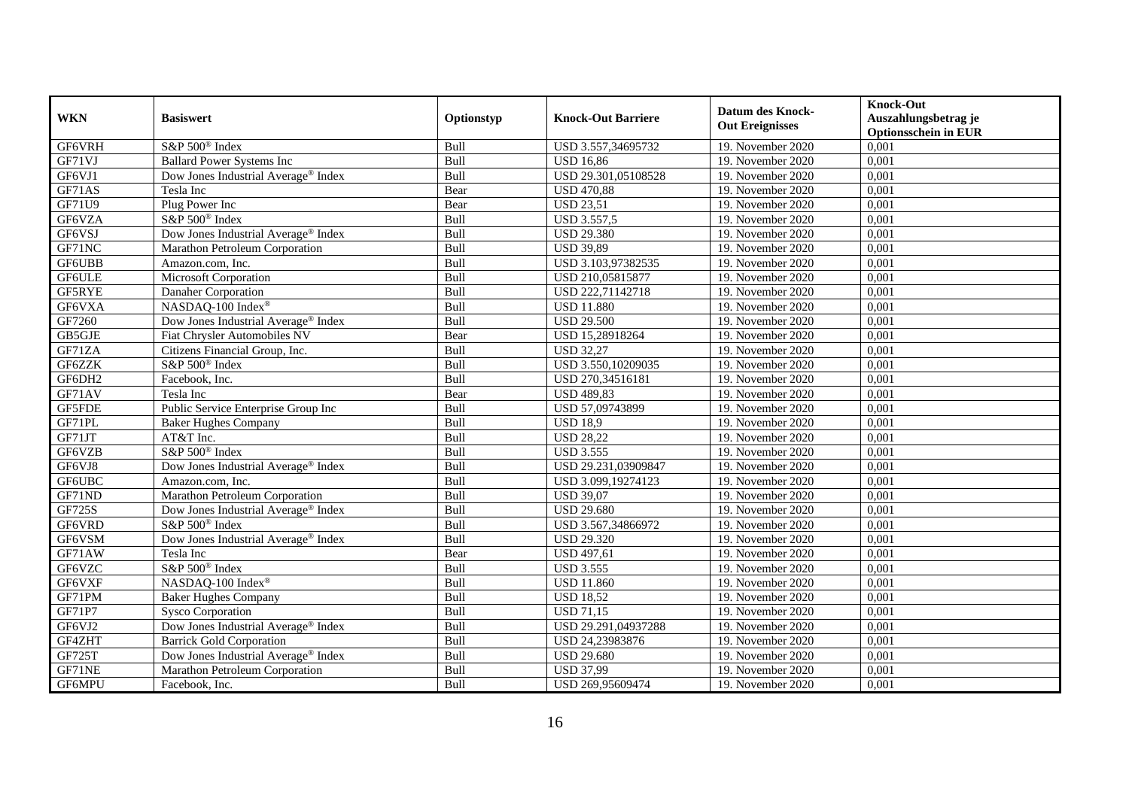| <b>WKN</b> | <b>Basiswert</b>                    | Optionstyp | <b>Knock-Out Barriere</b> | <b>Datum des Knock-</b><br><b>Out Ereignisses</b> | <b>Knock-Out</b><br>Auszahlungsbetrag je<br><b>Optionsschein in EUR</b> |
|------------|-------------------------------------|------------|---------------------------|---------------------------------------------------|-------------------------------------------------------------------------|
| GF6VRH     | S&P 500 <sup>®</sup> Index          | Bull       | USD 3.557,34695732        | 19. November 2020                                 | 0,001                                                                   |
| GF71VJ     | <b>Ballard Power Systems Inc</b>    | Bull       | <b>USD 16,86</b>          | 19. November 2020                                 | 0,001                                                                   |
| GF6VJ1     | Dow Jones Industrial Average® Index | Bull       | USD 29.301,05108528       | 19. November 2020                                 | 0,001                                                                   |
| GF71AS     | Tesla Inc                           | Bear       | <b>USD 470,88</b>         | 19. November 2020                                 | 0,001                                                                   |
| GF71U9     | Plug Power Inc                      | Bear       | <b>USD 23,51</b>          | 19. November 2020                                 | 0,001                                                                   |
| GF6VZA     | S&P 500 <sup>®</sup> Index          | Bull       | <b>USD 3.557,5</b>        | 19. November 2020                                 | 0,001                                                                   |
| GF6VSJ     | Dow Jones Industrial Average® Index | Bull       | <b>USD 29.380</b>         | 19. November 2020                                 | 0,001                                                                   |
| GF71NC     | Marathon Petroleum Corporation      | Bull       | <b>USD 39,89</b>          | 19. November 2020                                 | 0,001                                                                   |
| GF6UBB     | Amazon.com, Inc.                    | Bull       | USD 3.103,97382535        | 19. November 2020                                 | 0,001                                                                   |
| GF6ULE     | Microsoft Corporation               | Bull       | USD 210,05815877          | 19. November 2020                                 | 0,001                                                                   |
| GF5RYE     | Danaher Corporation                 | Bull       | USD 222,71142718          | 19. November 2020                                 | 0,001                                                                   |
| GF6VXA     | NASDAQ-100 Index®                   | Bull       | <b>USD 11.880</b>         | 19. November 2020                                 | 0,001                                                                   |
| GF7260     | Dow Jones Industrial Average® Index | Bull       | <b>USD 29.500</b>         | 19. November 2020                                 | 0,001                                                                   |
| GB5GJE     | Fiat Chrysler Automobiles NV        | Bear       | USD 15,28918264           | 19. November 2020                                 | 0,001                                                                   |
| GF71ZA     | Citizens Financial Group, Inc.      | Bull       | <b>USD 32,27</b>          | 19. November 2020                                 | 0,001                                                                   |
| GF6ZZK     | S&P 500 <sup>®</sup> Index          | Bull       | USD 3.550,10209035        | 19. November 2020                                 | 0,001                                                                   |
| GF6DH2     | Facebook, Inc.                      | Bull       | USD 270,34516181          | 19. November 2020                                 | 0,001                                                                   |
| GF71AV     | Tesla Inc                           | Bear       | <b>USD 489,83</b>         | 19. November 2020                                 | 0,001                                                                   |
| GF5FDE     | Public Service Enterprise Group Inc | Bull       | USD 57,09743899           | 19. November 2020                                 | 0,001                                                                   |
| GF71PL     | <b>Baker Hughes Company</b>         | Bull       | <b>USD 18,9</b>           | 19. November 2020                                 | 0,001                                                                   |
| GF71JT     | AT&T Inc.                           | Bull       | <b>USD 28,22</b>          | 19. November 2020                                 | 0,001                                                                   |
| GF6VZB     | S&P 500 <sup>®</sup> Index          | Bull       | <b>USD 3.555</b>          | 19. November 2020                                 | 0,001                                                                   |
| GF6VJ8     | Dow Jones Industrial Average® Index | Bull       | USD 29.231,03909847       | 19. November 2020                                 | 0,001                                                                   |
| GF6UBC     | Amazon.com, Inc.                    | Bull       | USD 3.099,19274123        | 19. November 2020                                 | 0,001                                                                   |
| GF71ND     | Marathon Petroleum Corporation      | Bull       | <b>USD 39,07</b>          | 19. November 2020                                 | 0,001                                                                   |
| GF725S     | Dow Jones Industrial Average® Index | Bull       | <b>USD 29.680</b>         | 19. November 2020                                 | 0,001                                                                   |
| GF6VRD     | S&P 500 <sup>®</sup> Index          | Bull       | USD 3.567,34866972        | 19. November 2020                                 | 0,001                                                                   |
| GF6VSM     | Dow Jones Industrial Average® Index | Bull       | <b>USD 29.320</b>         | 19. November 2020                                 | 0,001                                                                   |
| GF71AW     | Tesla Inc                           | Bear       | <b>USD 497,61</b>         | 19. November 2020                                 | 0,001                                                                   |
| GF6VZC     | S&P 500 <sup>®</sup> Index          | Bull       | <b>USD 3.555</b>          | 19. November 2020                                 | 0,001                                                                   |
| GF6VXF     | NASDAQ-100 Index®                   | Bull       | <b>USD 11.860</b>         | 19. November 2020                                 | 0,001                                                                   |
| GF71PM     | <b>Baker Hughes Company</b>         | Bull       | <b>USD 18,52</b>          | 19. November 2020                                 | 0,001                                                                   |
| GF71P7     | <b>Sysco Corporation</b>            | Bull       | <b>USD 71,15</b>          | 19. November 2020                                 | 0,001                                                                   |
| GF6VJ2     | Dow Jones Industrial Average® Index | Bull       | USD 29.291,04937288       | 19. November 2020                                 | 0,001                                                                   |
| GF4ZHT     | <b>Barrick Gold Corporation</b>     | Bull       | USD 24,23983876           | 19. November 2020                                 | 0,001                                                                   |
| GF725T     | Dow Jones Industrial Average® Index | Bull       | <b>USD 29.680</b>         | 19. November 2020                                 | 0,001                                                                   |
| GF71NE     | Marathon Petroleum Corporation      | Bull       | <b>USD 37,99</b>          | 19. November 2020                                 | 0,001                                                                   |
| GF6MPU     | Facebook, Inc.                      | Bull       | USD 269,95609474          | 19. November 2020                                 | 0,001                                                                   |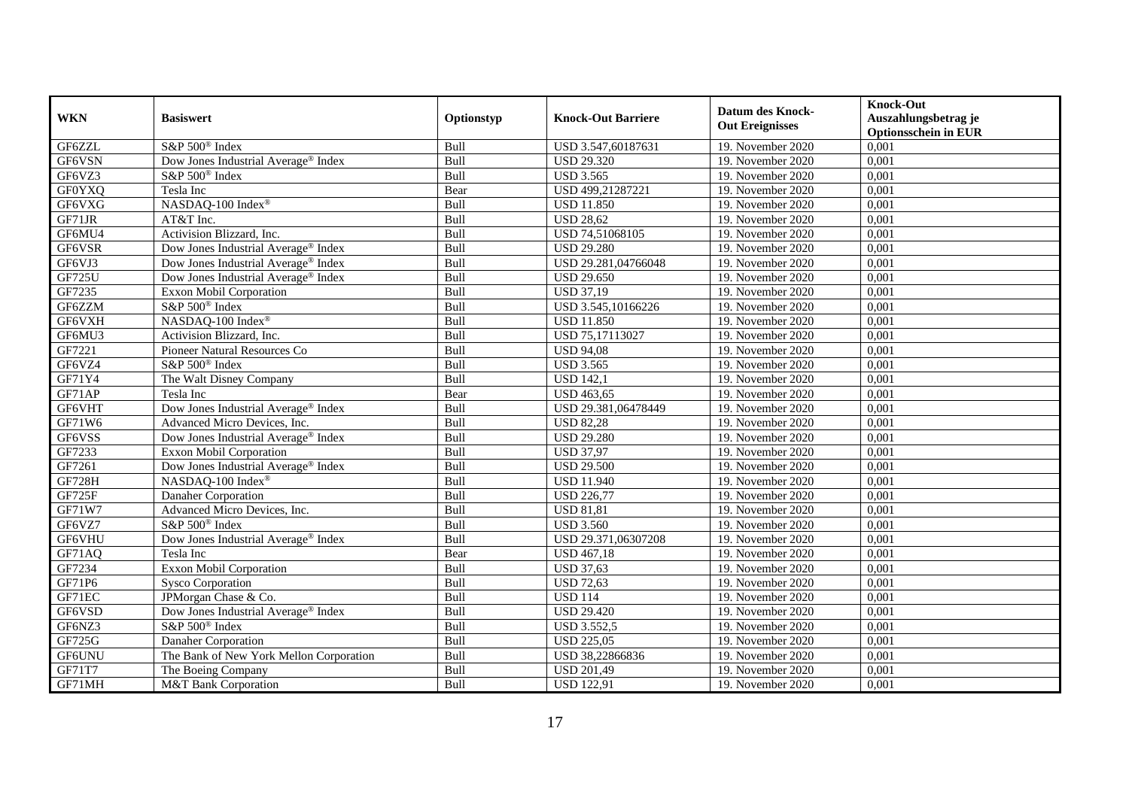| <b>WKN</b>    | <b>Basiswert</b>                                | Optionstyp | <b>Knock-Out Barriere</b> | <b>Datum des Knock-</b> | <b>Knock-Out</b><br>Auszahlungsbetrag je |
|---------------|-------------------------------------------------|------------|---------------------------|-------------------------|------------------------------------------|
|               |                                                 |            |                           | <b>Out Ereignisses</b>  | <b>Optionsschein in EUR</b>              |
| GF6ZZL        | S&P 500 <sup>®</sup> Index                      | Bull       | USD 3.547,60187631        | 19. November 2020       | 0,001                                    |
| GF6VSN        | Dow Jones Industrial Average® Index             | Bull       | <b>USD 29.320</b>         | 19. November 2020       | 0,001                                    |
| GF6VZ3        | S&P 500 <sup>®</sup> Index                      | Bull       | <b>USD 3.565</b>          | 19. November 2020       | 0,001                                    |
| <b>GF0YXQ</b> | Tesla Inc                                       | Bear       | USD 499,21287221          | 19. November 2020       | 0,001                                    |
| GF6VXG        | NASDAQ-100 Index®                               | Bull       | <b>USD 11.850</b>         | 19. November 2020       | 0,001                                    |
| GF71JR        | AT&T Inc.                                       | Bull       | <b>USD 28,62</b>          | 19. November 2020       | 0,001                                    |
| GF6MU4        | Activision Blizzard, Inc.                       | Bull       | USD 74,51068105           | 19. November 2020       | 0,001                                    |
| GF6VSR        | Dow Jones Industrial Average® Index             | Bull       | <b>USD 29.280</b>         | 19. November 2020       | 0,001                                    |
| GF6VJ3        | Dow Jones Industrial Average® Index             | Bull       | USD 29.281,04766048       | 19. November 2020       | 0,001                                    |
| <b>GF725U</b> | Dow Jones Industrial Average® Index             | Bull       | <b>USD 29.650</b>         | 19. November 2020       | 0,001                                    |
| GF7235        | Exxon Mobil Corporation                         | Bull       | <b>USD 37,19</b>          | 19. November 2020       | 0,001                                    |
| GF6ZZM        | S&P 500 <sup>®</sup> Index                      | Bull       | USD 3.545,10166226        | 19. November 2020       | 0,001                                    |
| GF6VXH        | NASDAQ-100 Index®                               | Bull       | <b>USD 11.850</b>         | 19. November 2020       | 0,001                                    |
| GF6MU3        | Activision Blizzard, Inc.                       | Bull       | USD 75,17113027           | 19. November 2020       | 0,001                                    |
| GF7221        | Pioneer Natural Resources Co                    | Bull       | <b>USD 94,08</b>          | 19. November 2020       | 0,001                                    |
| GF6VZ4        | S&P 500 <sup>®</sup> Index                      | Bull       | <b>USD 3.565</b>          | 19. November 2020       | 0,001                                    |
| GF71Y4        | The Walt Disney Company                         | Bull       | <b>USD 142,1</b>          | 19. November 2020       | 0,001                                    |
| GF71AP        | Tesla Inc                                       | Bear       | <b>USD 463,65</b>         | 19. November 2020       | 0,001                                    |
| GF6VHT        | Dow Jones Industrial Average® Index             | Bull       | USD 29.381,06478449       | 19. November 2020       | 0,001                                    |
| GF71W6        | Advanced Micro Devices, Inc.                    | Bull       | <b>USD 82,28</b>          | 19. November 2020       | 0,001                                    |
| GF6VSS        | Dow Jones Industrial Average <sup>®</sup> Index | Bull       | <b>USD 29.280</b>         | 19. November 2020       | 0,001                                    |
| GF7233        | <b>Exxon Mobil Corporation</b>                  | Bull       | <b>USD 37,97</b>          | 19. November 2020       | 0,001                                    |
| GF7261        | Dow Jones Industrial Average® Index             | Bull       | <b>USD 29.500</b>         | 19. November 2020       | 0,001                                    |
| <b>GF728H</b> | NASDAQ-100 Index®                               | Bull       | <b>USD 11.940</b>         | 19. November 2020       | 0,001                                    |
| GF725F        | Danaher Corporation                             | Bull       | <b>USD 226,77</b>         | 19. November 2020       | 0,001                                    |
| GF71W7        | Advanced Micro Devices, Inc.                    | Bull       | <b>USD 81,81</b>          | 19. November 2020       | 0,001                                    |
| GF6VZ7        | S&P 500 <sup>®</sup> Index                      | Bull       | <b>USD 3.560</b>          | 19. November 2020       | 0,001                                    |
| GF6VHU        | Dow Jones Industrial Average <sup>®</sup> Index | Bull       | USD 29.371,06307208       | 19. November 2020       | 0,001                                    |
| GF71AQ        | Tesla Inc                                       | Bear       | <b>USD</b> 467,18         | 19. November 2020       | 0,001                                    |
| GF7234        | <b>Exxon Mobil Corporation</b>                  | Bull       | <b>USD 37,63</b>          | 19. November 2020       | 0,001                                    |
| GF71P6        | <b>Sysco Corporation</b>                        | Bull       | <b>USD 72,63</b>          | 19. November 2020       | 0,001                                    |
| GF71EC        | JPMorgan Chase & Co.                            | Bull       | <b>USD 114</b>            | 19. November 2020       | 0,001                                    |
| GF6VSD        | Dow Jones Industrial Average® Index             | Bull       | <b>USD 29.420</b>         | 19. November 2020       | 0,001                                    |
| GF6NZ3        | S&P 500 <sup>®</sup> Index                      | Bull       | <b>USD 3.552,5</b>        | 19. November 2020       | 0,001                                    |
| GF725G        | Danaher Corporation                             | Bull       | <b>USD 225,05</b>         | 19. November 2020       | 0,001                                    |
| GF6UNU        | The Bank of New York Mellon Corporation         | Bull       | USD 38,22866836           | 19. November 2020       | 0,001                                    |
| GF71T7        | The Boeing Company                              | Bull       | <b>USD 201,49</b>         | 19. November 2020       | 0,001                                    |
| GF71MH        | M&T Bank Corporation                            | Bull       | <b>USD 122,91</b>         | 19. November 2020       | 0,001                                    |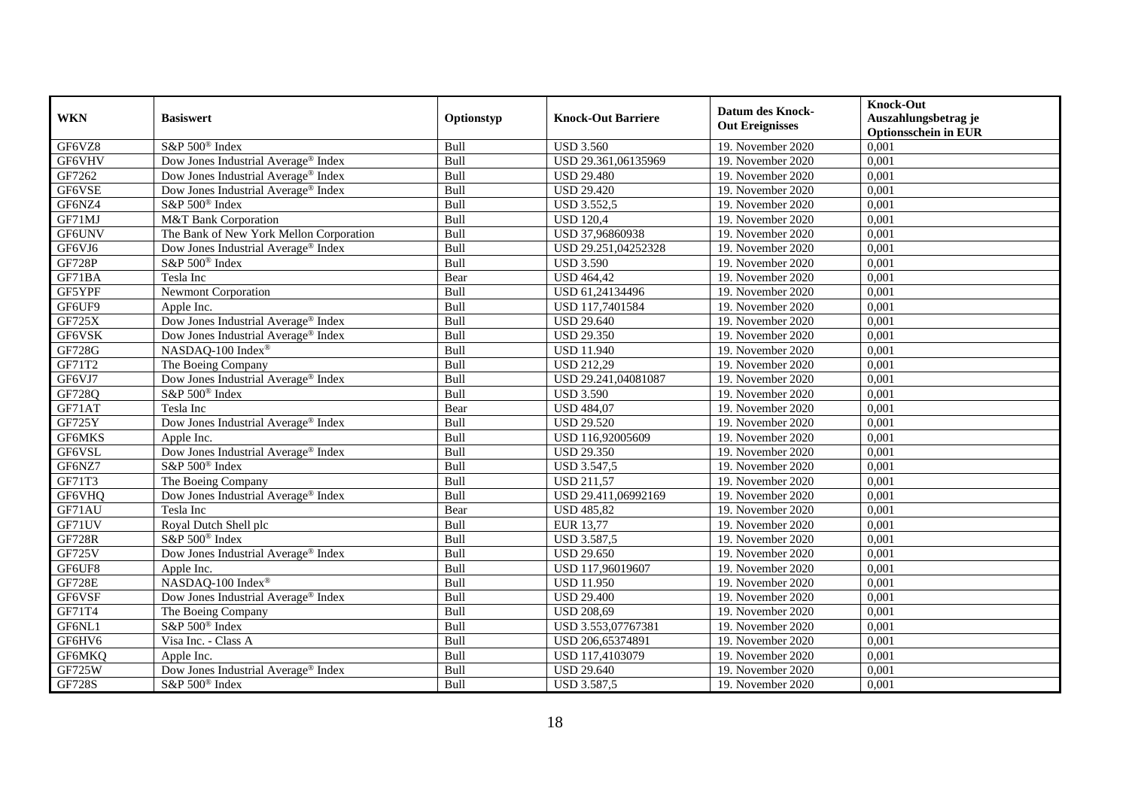| <b>WKN</b>    | <b>Basiswert</b>                                                                      | Optionstyp  | <b>Knock-Out Barriere</b> | <b>Datum des Knock-</b> | <b>Knock-Out</b><br>Auszahlungsbetrag je |
|---------------|---------------------------------------------------------------------------------------|-------------|---------------------------|-------------------------|------------------------------------------|
|               |                                                                                       |             |                           | <b>Out Ereignisses</b>  | <b>Optionsschein in EUR</b>              |
| GF6VZ8        | S&P 500 <sup>®</sup> Index                                                            | Bull        | <b>USD 3.560</b>          | 19. November 2020       | 0,001                                    |
| GF6VHV        | Dow Jones Industrial Average® Index                                                   | Bull        | USD 29.361,06135969       | 19. November 2020       | 0,001                                    |
| GF7262        | Dow Jones Industrial Average <sup>®</sup> Index                                       | Bull        | <b>USD 29.480</b>         | 19. November 2020       | 0,001                                    |
| GF6VSE        | Dow Jones Industrial Average® Index                                                   | Bull        | <b>USD 29.420</b>         | 19. November 2020       | 0,001                                    |
| GF6NZ4        | S&P 500 <sup>®</sup> Index                                                            | Bull        | <b>USD 3.552,5</b>        | 19. November 2020       | 0,001                                    |
| GF71MJ        | M&T Bank Corporation                                                                  | Bull        | <b>USD 120,4</b>          | 19. November 2020       | 0,001                                    |
| GF6UNV        | The Bank of New York Mellon Corporation                                               | Bull        | USD 37,96860938           | 19. November 2020       | 0,001                                    |
| GF6VJ6        | Dow Jones Industrial Average® Index                                                   | Bull        | USD 29.251,04252328       | 19. November 2020       | 0,001                                    |
| <b>GF728P</b> | S&P 500 <sup>®</sup> Index                                                            | Bull        | <b>USD 3.590</b>          | 19. November 2020       | 0,001                                    |
| GF71BA        | Tesla Inc                                                                             | Bear        | <b>USD 464,42</b>         | 19. November 2020       | 0,001                                    |
| GF5YPF        | <b>Newmont Corporation</b>                                                            | Bull        | USD 61,24134496           | 19. November 2020       | 0,001                                    |
| GF6UF9        | Apple Inc.                                                                            | Bull        | USD 117,7401584           | 19. November 2020       | 0,001                                    |
| <b>GF725X</b> | Dow Jones Industrial Average® Index                                                   | Bull        | <b>USD 29.640</b>         | 19. November 2020       | 0,001                                    |
| GF6VSK        | Dow Jones Industrial Average® Index                                                   | Bull        | <b>USD 29.350</b>         | 19. November 2020       | 0,001                                    |
| GF728G        | NASDAQ-100 Index®                                                                     | Bull        | <b>USD 11.940</b>         | 19. November 2020       | 0,001                                    |
| GF71T2        | The Boeing Company                                                                    | Bull        | <b>USD 212,29</b>         | 19. November 2020       | 0,001                                    |
| GF6VJ7        | Dow Jones Industrial Average® Index                                                   | Bull        | USD 29.241,04081087       | 19. November 2020       | 0,001                                    |
| GF728Q        | S&P 500 <sup>®</sup> Index                                                            | <b>Bull</b> | <b>USD 3.590</b>          | 19. November 2020       | 0,001                                    |
| GF71AT        | Tesla Inc                                                                             | Bear        | <b>USD 484,07</b>         | 19. November 2020       | 0,001                                    |
| GF725Y        | Dow Jones Industrial Average® Index                                                   | Bull        | <b>USD 29.520</b>         | 19. November 2020       | 0,001                                    |
| GF6MKS        | Apple Inc.                                                                            | Bull        | USD 116,92005609          | 19. November 2020       | 0,001                                    |
| GF6VSL        | Dow Jones Industrial Average® Index                                                   | Bull        | <b>USD 29.350</b>         | 19. November 2020       | 0,001                                    |
| GF6NZ7        | S&P 500 <sup>®</sup> Index                                                            | Bull        | <b>USD 3.547,5</b>        | 19. November 2020       | 0,001                                    |
| GF71T3        | The Boeing Company                                                                    | Bull        | <b>USD 211,57</b>         | 19. November 2020       | 0,001                                    |
| GF6VHQ        | Dow Jones Industrial Average® Index                                                   | Bull        | USD 29.411,06992169       | 19. November 2020       | 0,001                                    |
| GF71AU        | Tesla Inc                                                                             | Bear        | <b>USD 485,82</b>         | 19. November 2020       | 0,001                                    |
| GF71UV        | Royal Dutch Shell plc                                                                 | Bull        | <b>EUR 13,77</b>          | 19. November 2020       | 0,001                                    |
| <b>GF728R</b> | S&P 500 <sup>®</sup> Index                                                            | Bull        | <b>USD 3.587,5</b>        | 19. November 2020       | 0,001                                    |
| <b>GF725V</b> | Dow Jones Industrial Average® Index                                                   | Bull        | <b>USD 29.650</b>         | 19. November 2020       | 0,001                                    |
| GF6UF8        | Apple Inc.                                                                            | Bull        | USD 117,96019607          | 19. November 2020       | 0,001                                    |
| <b>GF728E</b> | $\ensuremath{\mathsf{NASDAQ\text{-}100}}$ $\ensuremath{\mathsf{Index}}^{\circledast}$ | Bull        | <b>USD 11.950</b>         | 19. November 2020       | 0,001                                    |
| GF6VSF        | Dow Jones Industrial Average® Index                                                   | Bull        | <b>USD 29.400</b>         | 19. November 2020       | 0,001                                    |
| GF71T4        | The Boeing Company                                                                    | Bull        | <b>USD 208,69</b>         | 19. November 2020       | 0,001                                    |
| GF6NL1        | S&P 500 <sup>®</sup> Index                                                            | Bull        | USD 3.553,07767381        | 19. November 2020       | 0,001                                    |
| GF6HV6        | Visa Inc. - Class A                                                                   | Bull        | USD 206,65374891          | 19. November 2020       | 0,001                                    |
| GF6MKQ        | Apple Inc.                                                                            | Bull        | USD 117,4103079           | 19. November 2020       | 0,001                                    |
| <b>GF725W</b> | Dow Jones Industrial Average® Index                                                   | Bull        | <b>USD 29.640</b>         | 19. November 2020       | 0,001                                    |
| <b>GF728S</b> | S&P 500 <sup>®</sup> Index                                                            | Bull        | <b>USD 3.587,5</b>        | 19. November 2020       | 0,001                                    |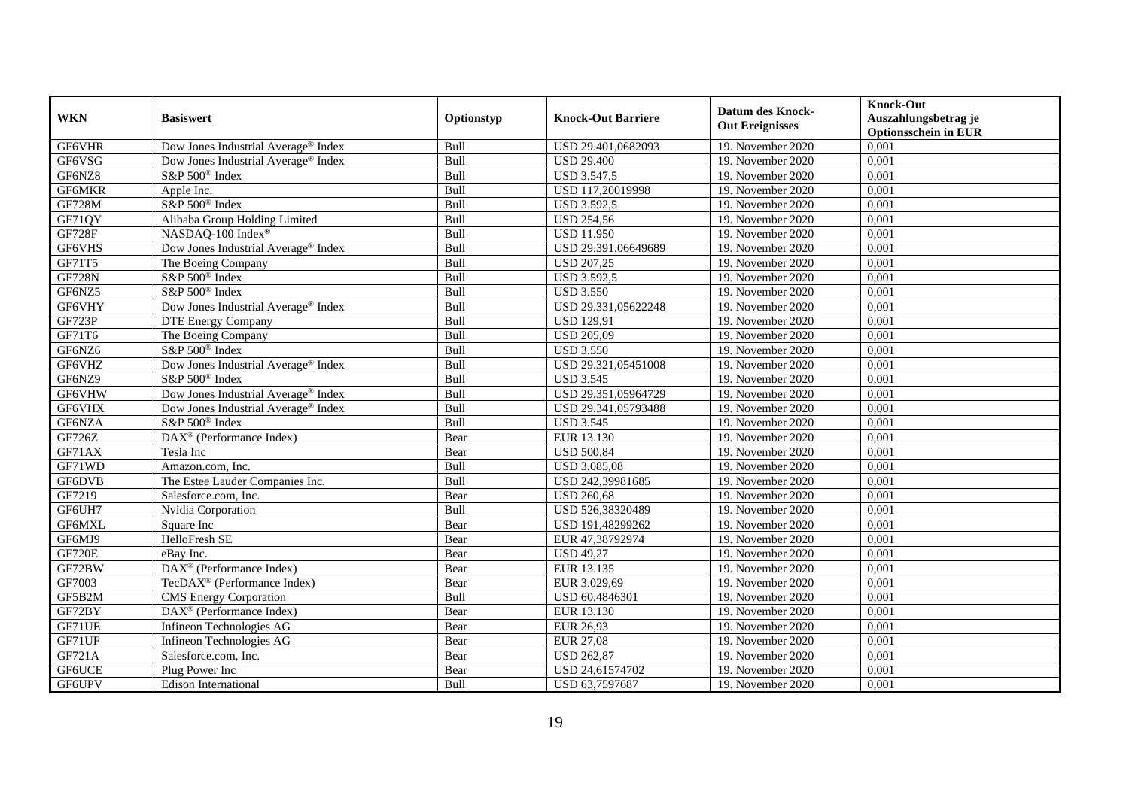| <b>WKN</b>    | <b>Basiswert</b>                        | Optionstyp | <b>Knock-Out Barriere</b> | <b>Datum des Knock-</b><br><b>Out Ereignisses</b> | <b>Knock-Out</b><br>Auszahlungsbetrag je<br><b>Optionsschein in EUR</b> |
|---------------|-----------------------------------------|------------|---------------------------|---------------------------------------------------|-------------------------------------------------------------------------|
| GF6VHR        | Dow Jones Industrial Average® Index     | Bull       | USD 29.401,0682093        | 19. November 2020                                 | 0,001                                                                   |
| GF6VSG        | Dow Jones Industrial Average® Index     | Bull       | <b>USD 29.400</b>         | 19. November 2020                                 | 0,001                                                                   |
| GF6NZ8        | S&P 500 <sup>®</sup> Index              | Bull       | <b>USD 3.547,5</b>        | 19. November 2020                                 | 0,001                                                                   |
| GF6MKR        | Apple Inc.                              | Bull       | USD 117,20019998          | 19. November 2020                                 | 0,001                                                                   |
| <b>GF728M</b> | S&P 500 <sup>®</sup> Index              | Bull       | <b>USD 3.592,5</b>        | 19. November 2020                                 | 0,001                                                                   |
| GF71QY        | Alibaba Group Holding Limited           | Bull       | <b>USD 254,56</b>         | 19. November 2020                                 | 0,001                                                                   |
| <b>GF728F</b> | NASDAQ-100 Index®                       | Bull       | <b>USD 11.950</b>         | 19. November 2020                                 | 0,001                                                                   |
| GF6VHS        | Dow Jones Industrial Average® Index     | Bull       | USD 29.391,06649689       | 19. November 2020                                 | 0,001                                                                   |
| GF71T5        | The Boeing Company                      | Bull       | <b>USD 207,25</b>         | 19. November 2020                                 | 0,001                                                                   |
| <b>GF728N</b> | S&P 500 <sup>®</sup> Index              | Bull       | <b>USD 3.592,5</b>        | 19. November 2020                                 | 0,001                                                                   |
| GF6NZ5        | S&P 500 <sup>®</sup> Index              | Bull       | <b>USD 3.550</b>          | 19. November 2020                                 | 0,001                                                                   |
| GF6VHY        | Dow Jones Industrial Average® Index     | Bull       | USD 29.331,05622248       | 19. November 2020                                 | 0,001                                                                   |
| <b>GF723P</b> | <b>DTE Energy Company</b>               | Bull       | <b>USD 129,91</b>         | 19. November 2020                                 | 0,001                                                                   |
| GF71T6        | The Boeing Company                      | Bull       | <b>USD 205,09</b>         | 19. November 2020                                 | 0,001                                                                   |
| GF6NZ6        | S&P 500 <sup>®</sup> Index              | Bull       | <b>USD 3.550</b>          | 19. November 2020                                 | 0,001                                                                   |
| GF6VHZ        | Dow Jones Industrial Average® Index     | Bull       | USD 29.321,05451008       | 19. November 2020                                 | 0,001                                                                   |
| GF6NZ9        | S&P 500 <sup>®</sup> Index              | Bull       | <b>USD 3.545</b>          | 19. November 2020                                 | 0,001                                                                   |
| GF6VHW        | Dow Jones Industrial Average® Index     | Bull       | USD 29.351,05964729       | 19. November 2020                                 | 0,001                                                                   |
| GF6VHX        | Dow Jones Industrial Average® Index     | Bull       | USD 29.341,05793488       | 19. November 2020                                 | 0,001                                                                   |
| GF6NZA        | S&P 500 <sup>®</sup> Index              | Bull       | <b>USD 3.545</b>          | 19. November 2020                                 | 0,001                                                                   |
| GF726Z        | DAX <sup>®</sup> (Performance Index)    | Bear       | EUR 13.130                | 19. November 2020                                 | 0,001                                                                   |
| GF71AX        | Tesla Inc                               | Bear       | <b>USD 500,84</b>         | 19. November 2020                                 | 0,001                                                                   |
| GF71WD        | Amazon.com, Inc.                        | Bull       | <b>USD 3.085,08</b>       | 19. November 2020                                 | 0,001                                                                   |
| GF6DVB        | The Estee Lauder Companies Inc.         | Bull       | USD 242,39981685          | 19. November 2020                                 | 0,001                                                                   |
| GF7219        | Salesforce.com, Inc.                    | Bear       | <b>USD 260,68</b>         | 19. November 2020                                 | 0,001                                                                   |
| GF6UH7        | Nvidia Corporation                      | Bull       | USD 526,38320489          | 19. November 2020                                 | 0,001                                                                   |
| GF6MXL        | Square Inc                              | Bear       | USD 191,48299262          | 19. November 2020                                 | 0,001                                                                   |
| GF6MJ9        | HelloFresh SE                           | Bear       | EUR 47,38792974           | 19. November 2020                                 | 0,001                                                                   |
| <b>GF720E</b> | eBav Inc.                               | Bear       | <b>USD 49,27</b>          | 19. November 2020                                 | 0,001                                                                   |
| GF72BW        | DAX <sup>®</sup> (Performance Index)    | Bear       | EUR 13.135                | 19. November 2020                                 | 0,001                                                                   |
| GF7003        | TecDAX <sup>®</sup> (Performance Index) | Bear       | EUR 3.029,69              | 19. November 2020                                 | 0,001                                                                   |
| GF5B2M        | <b>CMS</b> Energy Corporation           | Bull       | USD 60,4846301            | 19. November 2020                                 | 0,001                                                                   |
| GF72BY        | DAX <sup>®</sup> (Performance Index)    | Bear       | EUR 13.130                | 19. November 2020                                 | 0,001                                                                   |
| GF71UE        | Infineon Technologies AG                | Bear       | EUR 26,93                 | 19. November 2020                                 | 0,001                                                                   |
| GF71UF        | Infineon Technologies AG                | Bear       | <b>EUR 27,08</b>          | 19. November 2020                                 | 0,001                                                                   |
| GF721A        | Salesforce.com, Inc.                    | Bear       | <b>USD 262,87</b>         | 19. November 2020                                 | 0,001                                                                   |
| GF6UCE        | Plug Power Inc                          | Bear       | USD 24,61574702           | 19. November 2020                                 | 0,001                                                                   |
| GF6UPV        | <b>Edison International</b>             | Bull       | USD 63,7597687            | 19. November 2020                                 | 0,001                                                                   |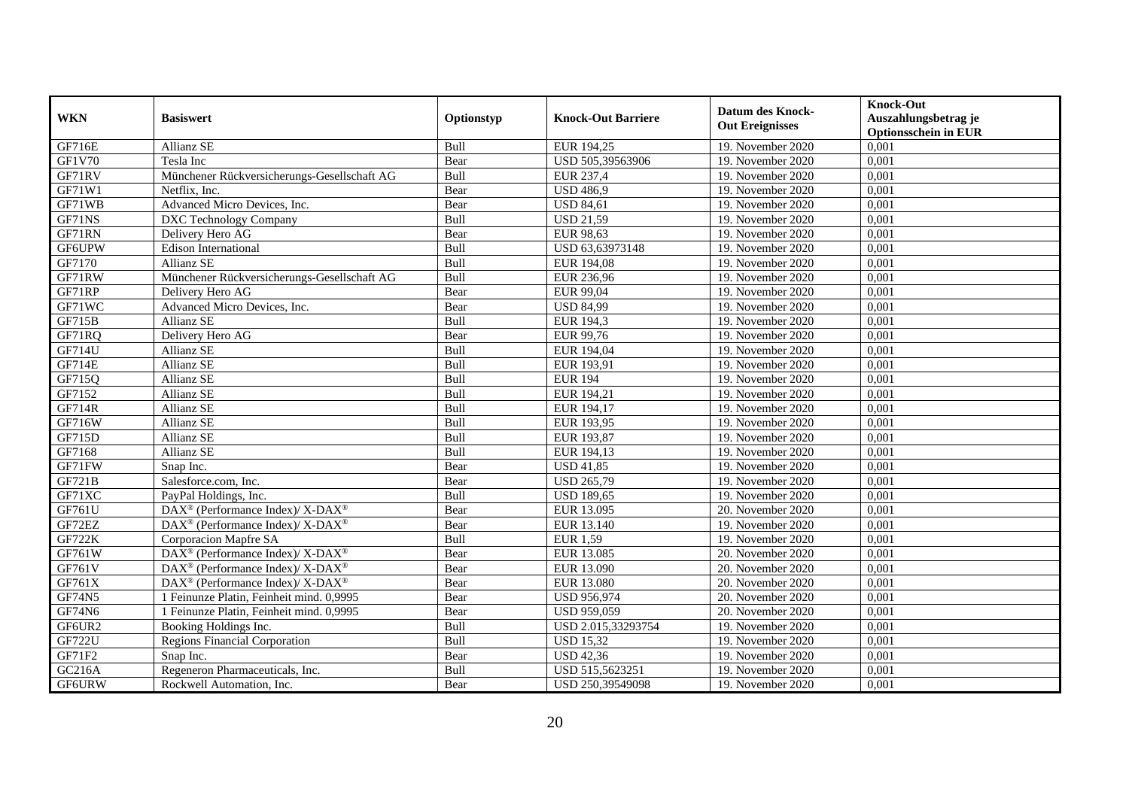| <b>WKN</b>    | <b>Basiswert</b>                                                          |            | <b>Knock-Out Barriere</b> | <b>Datum des Knock-</b> | <b>Knock-Out</b>                                    |
|---------------|---------------------------------------------------------------------------|------------|---------------------------|-------------------------|-----------------------------------------------------|
|               |                                                                           | Optionstyp |                           | <b>Out Ereignisses</b>  | Auszahlungsbetrag je<br><b>Optionsschein in EUR</b> |
| GF716E        | Allianz SE                                                                | Bull       | EUR 194,25                | 19. November 2020       | 0,001                                               |
| GF1V70        | Tesla Inc                                                                 | Bear       | USD 505,39563906          | 19. November 2020       | 0,001                                               |
| GF71RV        | Münchener Rückversicherungs-Gesellschaft AG                               | Bull       | EUR 237,4                 | 19. November 2020       | 0,001                                               |
| GF71W1        | Netflix, Inc.                                                             | Bear       | <b>USD 486,9</b>          | 19. November 2020       | 0,001                                               |
| GF71WB        | Advanced Micro Devices, Inc.                                              | Bear       | <b>USD 84,61</b>          | 19. November 2020       | 0,001                                               |
| GF71NS        | <b>DXC</b> Technology Company                                             | Bull       | <b>USD 21,59</b>          | 19. November 2020       | 0,001                                               |
| GF71RN        | Delivery Hero AG                                                          | Bear       | EUR 98,63                 | 19. November 2020       | 0,001                                               |
| GF6UPW        | <b>Edison International</b>                                               | Bull       | USD 63,63973148           | 19. November 2020       | 0,001                                               |
| GF7170        | Allianz SE                                                                | Bull       | EUR 194,08                | 19. November 2020       | 0,001                                               |
| GF71RW        | Münchener Rückversicherungs-Gesellschaft AG                               | Bull       | EUR 236,96                | 19. November 2020       | 0,001                                               |
| GF71RP        | Delivery Hero AG                                                          | Bear       | EUR 99,04                 | 19. November 2020       | 0,001                                               |
| GF71WC        | Advanced Micro Devices, Inc.                                              | Bear       | <b>USD 84,99</b>          | 19. November 2020       | 0,001                                               |
| <b>GF715B</b> | <b>Allianz SE</b>                                                         | Bull       | <b>EUR 194,3</b>          | 19. November 2020       | 0,001                                               |
| GF71RQ        | Delivery Hero AG                                                          | Bear       | EUR 99,76                 | 19. November 2020       | 0,001                                               |
| GF714U        | Allianz SE                                                                | Bull       | EUR 194,04                | 19. November 2020       | 0,001                                               |
| <b>GF714E</b> | Allianz SE                                                                | Bull       | EUR 193,91                | 19. November 2020       | 0,001                                               |
| GF715Q        | Allianz SE                                                                | Bull       | <b>EUR 194</b>            | 19. November 2020       | 0,001                                               |
| GF7152        | Allianz SE                                                                | Bull       | EUR 194,21                | 19. November 2020       | 0,001                                               |
| GF714R        | Allianz SE                                                                | Bull       | EUR 194,17                | 19. November 2020       | 0,001                                               |
| GF716W        | Allianz SE                                                                | Bull       | EUR 193,95                | 19. November 2020       | 0,001                                               |
| GF715D        | Allianz SE                                                                | Bull       | EUR 193,87                | 19. November 2020       | 0,001                                               |
| GF7168        | Allianz SE                                                                | Bull       | EUR 194,13                | 19. November 2020       | 0,001                                               |
| GF71FW        | Snap Inc.                                                                 | Bear       | <b>USD 41,85</b>          | 19. November 2020       | 0,001                                               |
| GF721B        | Salesforce.com, Inc.                                                      | Bear       | <b>USD 265,79</b>         | 19. November 2020       | 0,001                                               |
| GF71XC        | PayPal Holdings, Inc.                                                     | Bull       | <b>USD 189,65</b>         | 19. November 2020       | 0,001                                               |
| GF761U        | $DAX^{\circledast}$ (Performance Index)/ $\overline{X-DAX^{\circledast}}$ | Bear       | EUR 13.095                | 20. November 2020       | 0,001                                               |
| GF72EZ        | DAX <sup>®</sup> (Performance Index)/ X-DAX <sup>®</sup>                  | Bear       | EUR 13.140                | 19. November 2020       | 0,001                                               |
| <b>GF722K</b> | Corporacion Mapfre SA                                                     | Bull       | <b>EUR 1,59</b>           | 19. November 2020       | 0,001                                               |
| GF761W        | DAX <sup>®</sup> (Performance Index)/ X-DAX <sup>®</sup>                  | Bear       | EUR 13.085                | 20. November 2020       | 0,001                                               |
| GF761V        | DAX <sup>®</sup> (Performance Index)/ X-DAX <sup>®</sup>                  | Bear       | EUR 13.090                | 20. November 2020       | 0,001                                               |
| GF761X        | DAX <sup>®</sup> (Performance Index)/ X-DAX <sup>®</sup>                  | Bear       | <b>EUR 13.080</b>         | 20. November 2020       | 0,001                                               |
| <b>GF74N5</b> | 1 Feinunze Platin, Feinheit mind. 0,9995                                  | Bear       | <b>USD 956,974</b>        | 20. November 2020       | 0,001                                               |
| <b>GF74N6</b> | 1 Feinunze Platin, Feinheit mind. 0,9995                                  | Bear       | USD 959,059               | 20. November 2020       | 0,001                                               |
| GF6UR2        | Booking Holdings Inc.                                                     | Bull       | USD 2.015,33293754        | 19. November 2020       | 0,001                                               |
| <b>GF722U</b> | <b>Regions Financial Corporation</b>                                      | Bull       | <b>USD 15,32</b>          | 19. November 2020       | 0,001                                               |
| GF71F2        | Snap Inc.                                                                 | Bear       | <b>USD 42,36</b>          | 19. November 2020       | 0,001                                               |
| GC216A        | Regeneron Pharmaceuticals, Inc.                                           | Bull       | USD 515,5623251           | 19. November 2020       | 0,001                                               |
| <b>GF6URW</b> | Rockwell Automation, Inc.                                                 | Bear       | USD 250,39549098          | 19. November 2020       | 0,001                                               |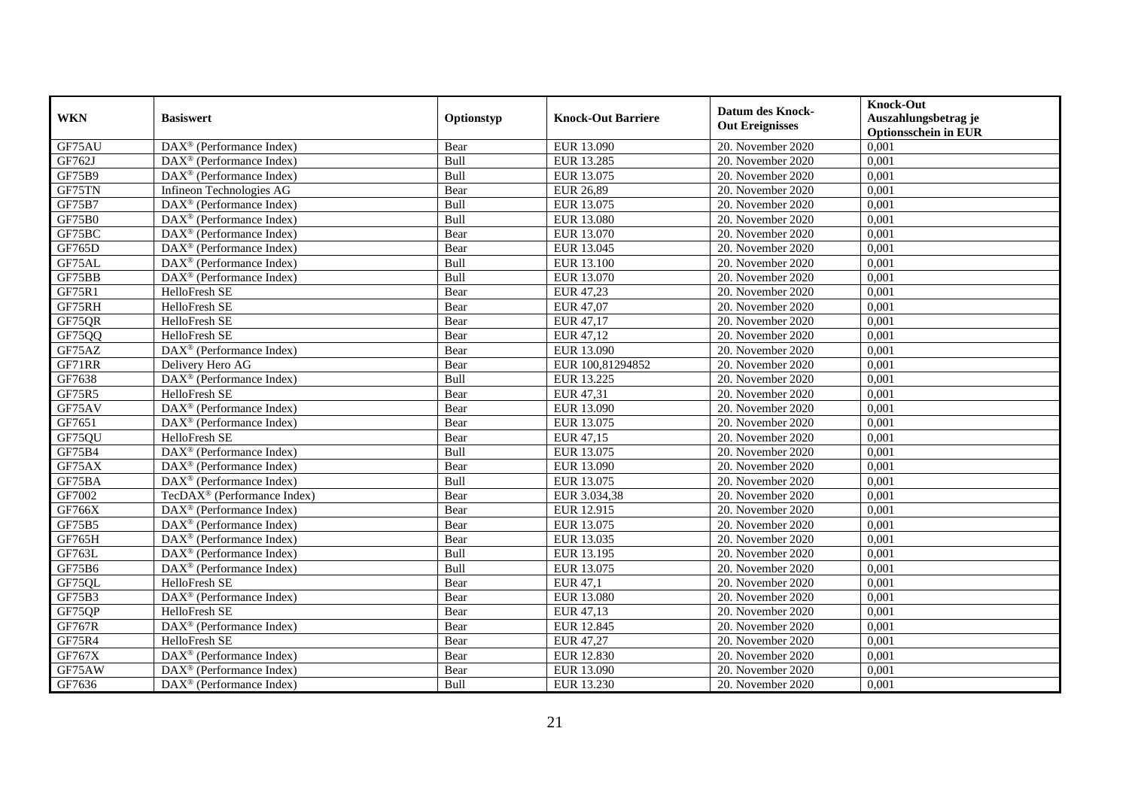| <b>WKN</b>    | <b>Basiswert</b>                                        | Optionstyp | <b>Knock-Out Barriere</b> | <b>Datum des Knock-</b><br><b>Out Ereignisses</b> | <b>Knock-Out</b><br>Auszahlungsbetrag je<br><b>Optionsschein in EUR</b> |
|---------------|---------------------------------------------------------|------------|---------------------------|---------------------------------------------------|-------------------------------------------------------------------------|
| GF75AU        | $\text{DAX}^{\textcircled{}}$ (Performance Index)       | Bear       | EUR 13.090                | 20. November 2020                                 | 0,001                                                                   |
| GF762J        | $DAX^{\circledR}$ (Performance Index)                   | Bull       | EUR 13.285                | 20. November 2020                                 | 0,001                                                                   |
| GF75B9        | $DAX^{\circledR}$ (Performance Index)                   | Bull       | EUR 13.075                | 20. November 2020                                 | 0,001                                                                   |
| GF75TN        | Infineon Technologies AG                                | Bear       | <b>EUR 26,89</b>          | 20. November 2020                                 | 0,001                                                                   |
| GF75B7        | DAX <sup>®</sup> (Performance Index)                    | Bull       | EUR 13.075                | 20. November 2020                                 | 0,001                                                                   |
| GF75B0        | $\text{DAX}^{\textcircled{}}$ (Performance Index)       | Bull       | EUR 13.080                | 20. November 2020                                 | 0,001                                                                   |
| GF75BC        | $DAX^{\circledR}$ (Performance Index)                   | Bear       | EUR 13.070                | 20. November 2020                                 | 0,001                                                                   |
| GF765D        | $\overline{\text{DAX}^{\otimes}}$ (Performance Index)   | Bear       | EUR 13.045                | $20.$ November 2020                               | 0,001                                                                   |
| GF75AL        | DAX <sup>®</sup> (Performance Index)                    | Bull       | EUR 13.100                | 20. November 2020                                 | 0,001                                                                   |
| GF75BB        | DAX <sup>®</sup> (Performance Index)                    | Bull       | EUR 13.070                | 20. November 2020                                 | 0,001                                                                   |
| GF75R1        | HelloFresh SE                                           | Bear       | EUR 47,23                 | 20. November 2020                                 | 0,001                                                                   |
| GF75RH        | HelloFresh SE                                           | Bear       | EUR 47,07                 | 20. November 2020                                 | 0,001                                                                   |
| GF75QR        | HelloFresh SE                                           | Bear       | EUR 47,17                 | 20. November 2020                                 | 0,001                                                                   |
| GF75QQ        | HelloFresh SE                                           | Bear       | EUR 47,12                 | 20. November 2020                                 | 0,001                                                                   |
| GF75AZ        | DAX <sup>®</sup> (Performance Index)                    | Bear       | EUR 13.090                | 20. November 2020                                 | 0,001                                                                   |
| GF71RR        | Delivery Hero AG                                        | Bear       | EUR 100,81294852          | 20. November 2020                                 | 0,001                                                                   |
| GF7638        | DAX <sup>®</sup> (Performance Index)                    | Bull       | EUR 13.225                | 20. November 2020                                 | 0,001                                                                   |
| GF75R5        | HelloFresh SE                                           | Bear       | EUR 47,31                 | 20. November 2020                                 | 0,001                                                                   |
| GF75AV        | $DAX^{\circledR}$ (Performance Index)                   | Bear       | EUR 13.090                | 20. November 2020                                 | 0,001                                                                   |
| GF7651        | DAX <sup>®</sup> (Performance Index)                    | Bear       | EUR 13.075                | 20. November 2020                                 | 0,001                                                                   |
| GF75QU        | HelloFresh SE                                           | Bear       | EUR 47,15                 | 20. November 2020                                 | 0,001                                                                   |
| GF75B4        | DAX <sup>®</sup> (Performance Index)                    | Bull       | EUR 13.075                | 20. November 2020                                 | 0,001                                                                   |
| GF75AX        | $DAX^{\circledR}$ (Performance Index)                   | Bear       | EUR 13.090                | 20. November 2020                                 | 0,001                                                                   |
| GF75BA        | $DAX^{\circledR}$ (Performance Index)                   | Bull       | EUR 13.075                | 20. November 2020                                 | 0,001                                                                   |
| GF7002        | TecDAX <sup>®</sup> (Performance Index)                 | Bear       | EUR 3.034,38              | 20. November 2020                                 | 0,001                                                                   |
| GF766X        | DAX <sup>®</sup> (Performance Index)                    | Bear       | EUR 12.915                | 20. November 2020                                 | 0,001                                                                   |
| GF75B5        | $DAX^{\circledR}$ (Performance Index)                   | Bear       | EUR 13.075                | 20. November 2020                                 | 0,001                                                                   |
| GF765H        | $\overline{\text{DAX}}^{\textcirc}$ (Performance Index) | Bear       | EUR 13.035                | 20. November 2020                                 | 0,001                                                                   |
| GF763L        | DAX <sup>®</sup> (Performance Index)                    | Bull       | EUR 13.195                | 20. November 2020                                 | 0,001                                                                   |
| GF75B6        | DAX <sup>®</sup> (Performance Index)                    | Bull       | EUR 13.075                | 20. November 2020                                 | 0,001                                                                   |
| GF75QL        | HelloFresh SE                                           | Bear       | EUR 47,1                  | 20. November 2020                                 | 0,001                                                                   |
| GF75B3        | DAX <sup>®</sup> (Performance Index)                    | Bear       | EUR 13.080                | 20. November 2020                                 | 0,001                                                                   |
| GF75QP        | HelloFresh SE                                           | Bear       | EUR 47,13                 | 20. November 2020                                 | 0,001                                                                   |
| <b>GF767R</b> | DAX <sup>®</sup> (Performance Index)                    | Bear       | EUR 12.845                | $20.$ November 2020                               | 0,001                                                                   |
| GF75R4        | HelloFresh SE                                           | Bear       | EUR 47,27                 | 20. November 2020                                 | 0,001                                                                   |
| GF767X        | $\text{DAX}^{\otimes}$ (Performance Index)              | Bear       | EUR 12.830                | 20. November 2020                                 | 0,001                                                                   |
| GF75AW        | DAX <sup>®</sup> (Performance Index)                    | Bear       | EUR 13.090                | 20. November 2020                                 | 0,001                                                                   |
| GF7636        | $\text{DAX}^{\circledast}$ (Performance Index)          | Bull       | EUR 13.230                | 20. November 2020                                 | 0,001                                                                   |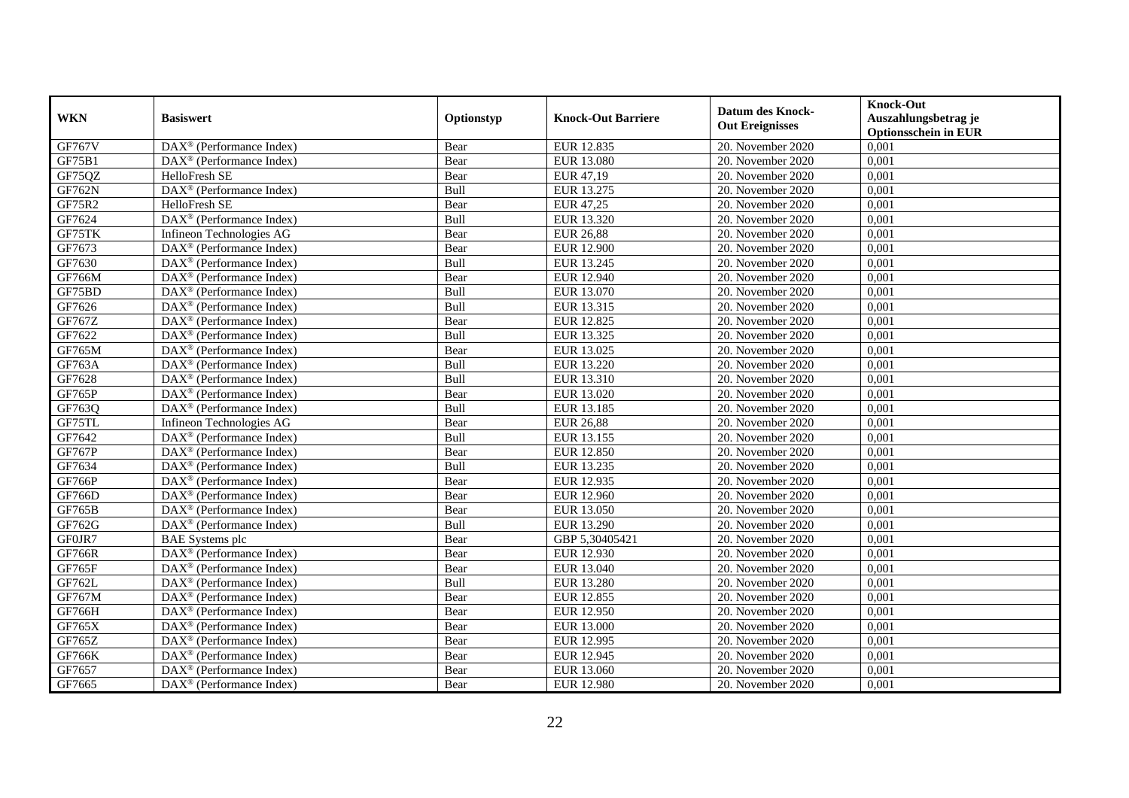| <b>WKN</b>    | <b>Basiswert</b>                                             | Optionstyp | <b>Knock-Out Barriere</b> | <b>Datum des Knock-</b><br><b>Out Ereignisses</b> | <b>Knock-Out</b><br>Auszahlungsbetrag je<br><b>Optionsschein in EUR</b> |
|---------------|--------------------------------------------------------------|------------|---------------------------|---------------------------------------------------|-------------------------------------------------------------------------|
| <b>GF767V</b> | $\overline{\text{DAX}^{\otimes}}$ (Performance Index)        | Bear       | EUR 12.835                | 20. November 2020                                 | 0,001                                                                   |
| GF75B1        | $DAX^{\circledR}$ (Performance Index)                        | Bear       | EUR 13.080                | 20. November 2020                                 | 0,001                                                                   |
| GF75QZ        | HelloFresh SE                                                | Bear       | EUR 47,19                 | 20. November 2020                                 | 0,001                                                                   |
| GF762N        | DAX <sup>®</sup> (Performance Index)                         | Bull       | EUR 13.275                | 20. November 2020                                 | 0,001                                                                   |
| GF75R2        | HelloFresh SE                                                | Bear       | EUR 47,25                 | 20. November 2020                                 | 0,001                                                                   |
| GF7624        | DAX <sup>®</sup> (Performance Index)                         | Bull       | EUR 13.320                | 20. November 2020                                 | 0,001                                                                   |
| GF75TK        | Infineon Technologies AG                                     | Bear       | <b>EUR 26,88</b>          | 20. November 2020                                 | 0,001                                                                   |
| GF7673        | $DAX^{\circledR}$ (Performance Index)                        | Bear       | <b>EUR 12.900</b>         | 20. November 2020                                 | 0,001                                                                   |
| GF7630        | $DAX^{\circledR}$ (Performance Index)                        | Bull       | EUR 13.245                | 20. November 2020                                 | 0,001                                                                   |
| <b>GF766M</b> | $DAX^{\circledR}$ (Performance Index)                        | Bear       | EUR 12.940                | 20. November 2020                                 | 0,001                                                                   |
| GF75BD        | $\overline{\text{DAX}^{\otimes}(\text{Performance Index})}$  | Bull       | EUR 13.070                | 20. November 2020                                 | 0,001                                                                   |
| GF7626        | $\overline{\text{DAX}^{\otimes}}$ (Performance Index)        | Bull       | EUR 13.315                | 20. November 2020                                 | 0,001                                                                   |
| GF767Z        | $\overline{\text{DAX}^{\otimes}}$ (Performance Index)        | Bear       | EUR 12.825                | 20. November 2020                                 | 0,001                                                                   |
| GF7622        | $DAX^{\circledR}$ (Performance Index)                        | Bull       | EUR 13.325                | 20. November 2020                                 | 0,001                                                                   |
| GF765M        | $DAX^{\circledast}$ (Performance Index)                      | Bear       | EUR 13.025                | 20. November 2020                                 | 0,001                                                                   |
| GF763A        | $DAX^{\circledast}$ (Performance Index)                      | Bull       | EUR 13.220                | 20. November 2020                                 | 0,001                                                                   |
| GF7628        | DAX <sup>®</sup> (Performance Index)                         | Bull       | EUR 13.310                | 20. November 2020                                 | 0,001                                                                   |
| <b>GF765P</b> | $DAX^{\circledcirc}$ (Performance Index)                     | Bear       | EUR 13.020                | 20. November 2020                                 | 0,001                                                                   |
| GF763Q        | $\overline{\text{DAX}}^{\textcircled{}}$ (Performance Index) | Bull       | EUR 13.185                | 20. November 2020                                 | 0,001                                                                   |
| GF75TL        | Infineon Technologies AG                                     | Bear       | <b>EUR 26,88</b>          | 20. November 2020                                 | 0,001                                                                   |
| GF7642        | DAX <sup>®</sup> (Performance Index)                         | Bull       | EUR 13.155                | 20. November 2020                                 | 0,001                                                                   |
| <b>GF767P</b> | $\text{DAX}^{\textcircled{}}$ (Performance Index)            | Bear       | EUR 12.850                | 20. November 2020                                 | 0,001                                                                   |
| GF7634        | $\overline{\text{DAX}^{\otimes}}$ (Performance Index)        | Bull       | EUR 13.235                | 20. November 2020                                 | 0,001                                                                   |
| <b>GF766P</b> | DAX <sup>®</sup> (Performance Index)                         | Bear       | EUR 12.935                | 20. November 2020                                 | 0,001                                                                   |
| GF766D        | $DAX^{\circledR}$ (Performance Index)                        | Bear       | EUR 12.960                | 20. November 2020                                 | 0,001                                                                   |
| GF765B        | $\text{DAX}^{\otimes}$ (Performance Index)                   | Bear       | EUR 13.050                | 20. November 2020                                 | 0,001                                                                   |
| GF762G        | DAX <sup>®</sup> (Performance Index)                         | Bull       | EUR 13.290                | 20. November 2020                                 | 0,001                                                                   |
| GF0JR7        | <b>BAE</b> Systems plc                                       | Bear       | GBP 5,30405421            | 20. November 2020                                 | 0,001                                                                   |
| <b>GF766R</b> | $DAX^{\circledR}$ (Performance Index)                        | Bear       | EUR 12.930                | $20.$ November 2020                               | 0,001                                                                   |
| <b>GF765F</b> | $DAX^{\otimes}$ (Performance Index)                          | Bear       | EUR 13.040                | 20. November 2020                                 | 0,001                                                                   |
| GF762L        | $DAX^{\circledR}$ (Performance Index)                        | Bull       | EUR 13.280                | 20. November 2020                                 | 0,001                                                                   |
| GF767M        | DAX <sup>®</sup> (Performance Index)                         | Bear       | EUR 12.855                | 20. November 2020                                 | 0,001                                                                   |
| <b>GF766H</b> | $\overline{\text{DAX}^{\otimes}}$ (Performance Index)        | Bear       | EUR 12.950                | 20. November 2020                                 | 0,001                                                                   |
| GF765X        | $\text{DAX}^{\circledast}$ (Performance Index)               | Bear       | <b>EUR 13.000</b>         | 20. November 2020                                 | 0,001                                                                   |
| GF765Z        | $\text{DAX}^{\otimes}$ (Performance Index)                   | Bear       | EUR 12.995                | 20. November 2020                                 | 0,001                                                                   |
| <b>GF766K</b> | DAX <sup>®</sup> (Performance Index)                         | Bear       | EUR 12.945                | 20. November 2020                                 | 0,001                                                                   |
| GF7657        | $DAX^{\circledast}$ (Performance Index)                      | Bear       | EUR 13.060                | 20. November 2020                                 | 0,001                                                                   |
| GF7665        | $\overline{\text{DAX}}^{\textcirc}$ (Performance Index)      | Bear       | EUR 12.980                | 20. November 2020                                 | 0,001                                                                   |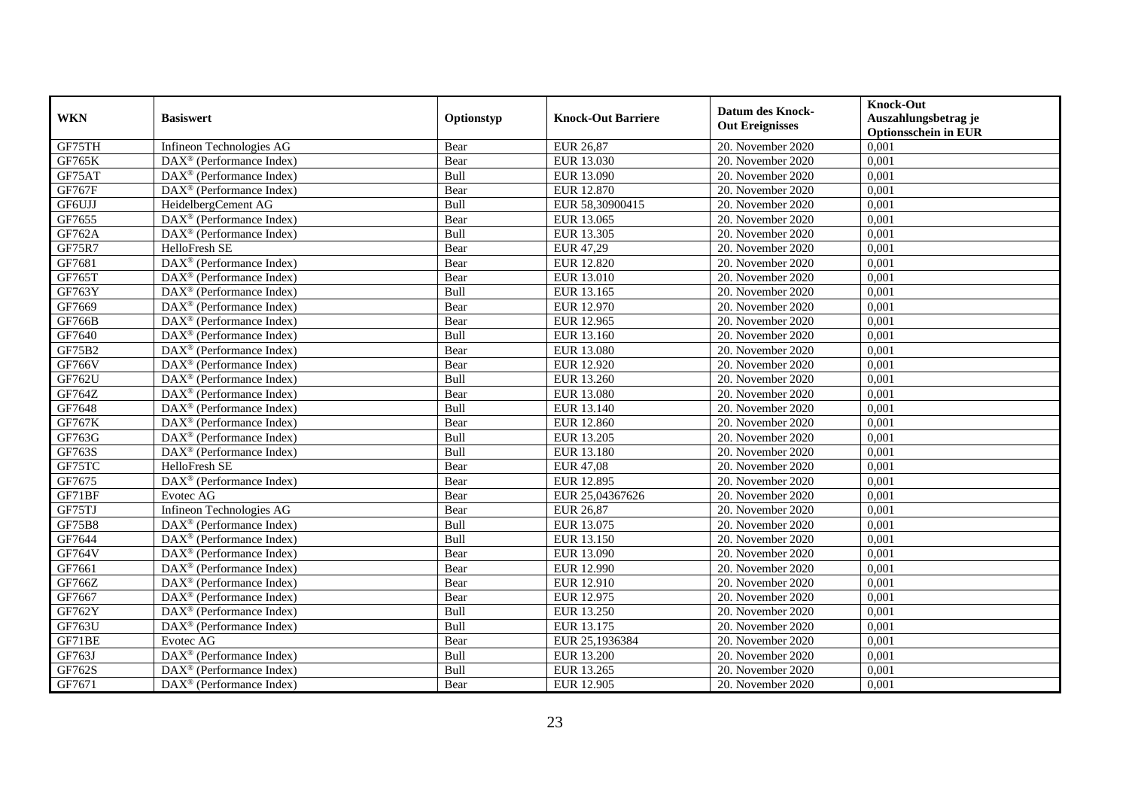|               | <b>Basiswert</b>                                      |            |                           | <b>Datum des Knock-</b> | <b>Knock-Out</b>                                    |
|---------------|-------------------------------------------------------|------------|---------------------------|-------------------------|-----------------------------------------------------|
| <b>WKN</b>    |                                                       | Optionstyp | <b>Knock-Out Barriere</b> | <b>Out Ereignisses</b>  | Auszahlungsbetrag je<br><b>Optionsschein in EUR</b> |
| GF75TH        | Infineon Technologies AG                              | Bear       | <b>EUR 26,87</b>          | 20. November 2020       | 0,001                                               |
| <b>GF765K</b> | $DAX^{\circledR}$ (Performance Index)                 | Bear       | EUR 13.030                | 20. November 2020       | 0,001                                               |
| GF75AT        | $DAX^{\circledR}$ (Performance Index)                 | Bull       | EUR 13.090                | 20. November 2020       | 0,001                                               |
| GF767F        | DAX <sup>®</sup> (Performance Index)                  | Bear       | EUR 12.870                | 20. November 2020       | 0,001                                               |
| GF6UJJ        | HeidelbergCement AG                                   | Bull       | EUR 58,30900415           | 20. November 2020       | 0,001                                               |
| GF7655        | DAX <sup>®</sup> (Performance Index)                  | Bear       | EUR 13.065                | 20. November 2020       | 0,001                                               |
| GF762A        | $DAX^{\circledast}$ (Performance Index)               | Bull       | EUR 13.305                | 20. November 2020       | 0,001                                               |
| GF75R7        | HelloFresh SE                                         | Bear       | EUR 47,29                 | 20. November 2020       | 0,001                                               |
| GF7681        | DAX <sup>®</sup> (Performance Index)                  | Bear       | <b>EUR 12.820</b>         | 20. November 2020       | 0,001                                               |
| GF765T        | DAX <sup>®</sup> (Performance Index)                  | Bear       | EUR 13.010                | 20. November 2020       | 0,001                                               |
| GF763Y        | DAX <sup>®</sup> (Performance Index)                  | Bull       | EUR 13.165                | 20. November 2020       | 0,001                                               |
| GF7669        | $\overline{\text{DAX}^{\otimes}}$ (Performance Index) | Bear       | EUR 12.970                | 20. November 2020       | 0,001                                               |
| <b>GF766B</b> | DAX <sup>®</sup> (Performance Index)                  | Bear       | EUR 12.965                | 20. November 2020       | 0,001                                               |
| GF7640        | $DAX^{\circledcirc}$ (Performance Index)              | Bull       | EUR 13.160                | 20. November 2020       | 0,001                                               |
| GF75B2        | DAX <sup>®</sup> (Performance Index)                  | Bear       | EUR 13.080                | 20. November 2020       | 0,001                                               |
| <b>GF766V</b> | DAX <sup>®</sup> (Performance Index)                  | Bear       | EUR 12.920                | 20. November 2020       | 0,001                                               |
| GF762U        | DAX <sup>®</sup> (Performance Index)                  | Bull       | EUR 13.260                | 20. November 2020       | 0,001                                               |
| GF764Z        | $DAX^{\circledcirc}$ (Performance Index)              | Bear       | EUR 13.080                | 20. November 2020       | 0,001                                               |
| GF7648        | $DAX^{\circledR}$ (Performance Index)                 | Bull       | EUR 13.140                | 20. November 2020       | 0,001                                               |
| <b>GF767K</b> | DAX <sup>®</sup> (Performance Index)                  | Bear       | EUR 12.860                | 20. November 2020       | 0,001                                               |
| GF763G        | DAX <sup>®</sup> (Performance Index)                  | Bull       | EUR 13.205                | 20. November 2020       | 0,001                                               |
| GF763S        | DAX <sup>®</sup> (Performance Index)                  | Bull       | EUR 13.180                | 20. November 2020       | 0,001                                               |
| GF75TC        | HelloFresh SE                                         | Bear       | <b>EUR 47,08</b>          | 20. November 2020       | 0,001                                               |
| GF7675        | $DAX^{\circledast}$ (Performance Index)               | Bear       | EUR 12.895                | 20. November 2020       | 0,001                                               |
| GF71BF        | Evotec AG                                             | Bear       | EUR 25,04367626           | 20. November 2020       | 0,001                                               |
| GF75TJ        | Infineon Technologies AG                              | Bear       | <b>EUR 26,87</b>          | 20. November 2020       | 0,001                                               |
| GF75B8        | DAX <sup>®</sup> (Performance Index)                  | Bull       | EUR 13.075                | 20. November 2020       | 0,001                                               |
| GF7644        | $DAX^{\otimes}$ (Performance Index)                   | Bull       | EUR 13.150                | 20. November 2020       | 0,001                                               |
| <b>GF764V</b> | $DAX^{\circledR}$ (Performance Index)                 | Bear       | EUR 13.090                | 20. November 2020       | 0,001                                               |
| GF7661        | $DAX^{\circledast}$ (Performance Index)               | Bear       | EUR 12.990                | 20. November 2020       | 0,001                                               |
| GF766Z        | DAX <sup>®</sup> (Performance Index)                  | Bear       | EUR 12.910                | 20. November 2020       | 0,001                                               |
| GF7667        | DAX <sup>®</sup> (Performance Index)                  | Bear       | EUR 12.975                | 20. November 2020       | 0,001                                               |
| GF762Y        | $\overline{\text{DAX}^{\otimes}}$ (Performance Index) | Bull       | EUR 13.250                | 20. November 2020       | 0,001                                               |
| GF763U        | $DAX^{\otimes}$ (Performance Index)                   | Bull       | EUR 13.175                | 20. November 2020       | 0,001                                               |
| GF71BE        | Evotec AG                                             | Bear       | EUR 25,1936384            | 20. November 2020       | 0,001                                               |
| GF763J        | DAX <sup>®</sup> (Performance Index)                  | Bull       | <b>EUR 13.200</b>         | 20. November 2020       | 0,001                                               |
| GF762S        | $DAX^{\circledast}$ (Performance Index)               | Bull       | EUR 13.265                | 20. November 2020       | 0,001                                               |
| GF7671        | $\text{DAX}^{\circledast}$ (Performance Index)        | Bear       | EUR 12.905                | 20. November 2020       | 0,001                                               |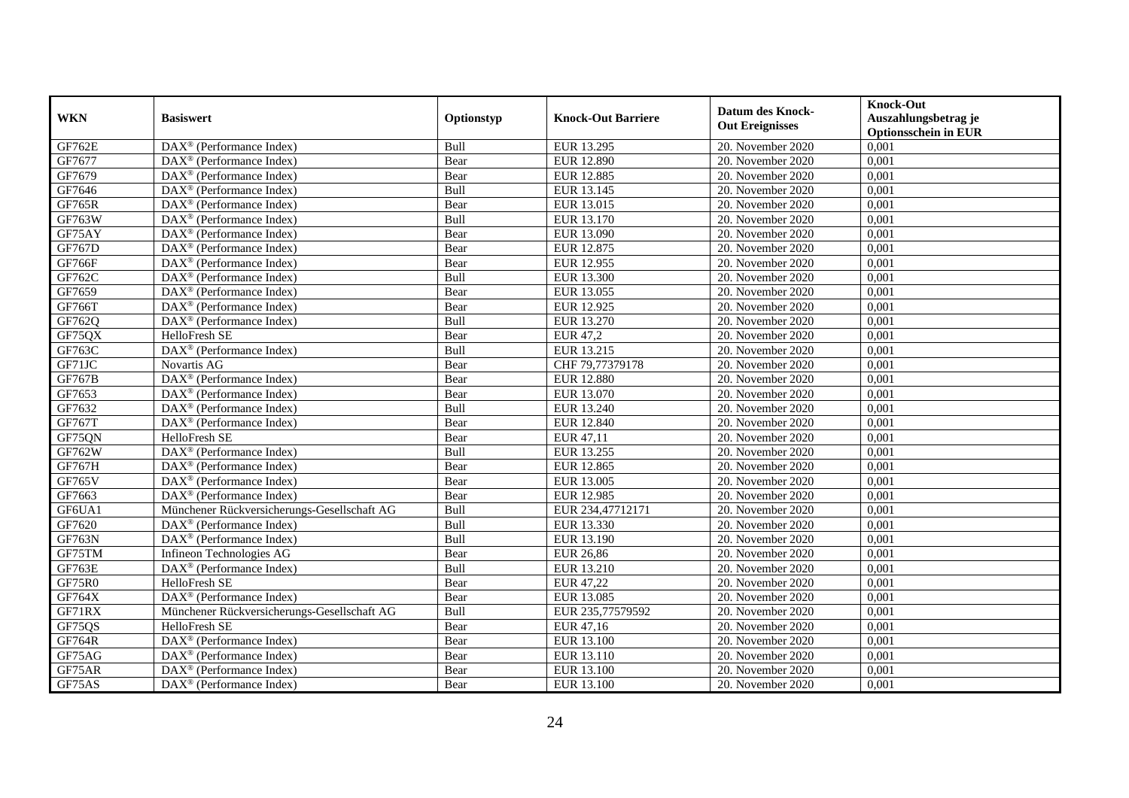| <b>WKN</b>    | <b>Basiswert</b>                                        | Optionstyp | <b>Knock-Out Barriere</b> | <b>Datum des Knock-</b><br><b>Out Ereignisses</b> | <b>Knock-Out</b><br>Auszahlungsbetrag je<br><b>Optionsschein in EUR</b> |
|---------------|---------------------------------------------------------|------------|---------------------------|---------------------------------------------------|-------------------------------------------------------------------------|
| <b>GF762E</b> | $DAX^{\circledR}$ (Performance Index)                   | Bull       | EUR 13.295                | 20. November 2020                                 | 0,001                                                                   |
| GF7677        | $DAX^{\circledR}$ (Performance Index)                   | Bear       | <b>EUR 12.890</b>         | 20. November 2020                                 | 0,001                                                                   |
| GF7679        | $DAX^{\circledcirc}$ (Performance Index)                | Bear       | <b>EUR 12.885</b>         | 20. November 2020                                 | 0,001                                                                   |
| GF7646        | $\text{DAX}^{\otimes}$ (Performance Index)              | Bull       | EUR 13.145                | 20. November 2020                                 | 0,001                                                                   |
| <b>GF765R</b> | DAX <sup>®</sup> (Performance Index)                    | Bear       | EUR 13.015                | 20. November 2020                                 | 0,001                                                                   |
| GF763W        | $DAX^{\circledR}$ (Performance Index)                   | Bull       | EUR 13.170                | 20. November 2020                                 | 0,001                                                                   |
| GF75AY        | $DAX^{\circledcirc}$ (Performance Index)                | Bear       | EUR 13.090                | 20. November 2020                                 | 0,001                                                                   |
| GF767D        | $\overline{\text{DAX}^{\otimes}}$ (Performance Index)   | Bear       | EUR 12.875                | 20. November 2020                                 | 0,001                                                                   |
| <b>GF766F</b> | $DAX^{\circledast}$ (Performance Index)                 | Bear       | EUR 12.955                | 20. November 2020                                 | 0,001                                                                   |
| GF762C        | DAX <sup>®</sup> (Performance Index)                    | Bull       | EUR 13.300                | 20. November 2020                                 | 0,001                                                                   |
| GF7659        | $\overline{\text{DAX}^{\otimes}}$ (Performance Index)   | Bear       | EUR 13.055                | 20. November 2020                                 | 0,001                                                                   |
| GF766T        | DAX <sup>®</sup> (Performance Index)                    | Bear       | EUR 12.925                | 20. November 2020                                 | 0,001                                                                   |
| GF762Q        | DAX <sup>®</sup> (Performance Index)                    | Bull       | EUR 13.270                | 20. November 2020                                 | 0,001                                                                   |
| GF75QX        | HelloFresh SE                                           | Bear       | EUR 47,2                  | 20. November 2020                                 | 0,001                                                                   |
| GF763C        | $DAX^{\circledast}$ (Performance Index)                 | Bull       | EUR 13.215                | 20. November 2020                                 | 0,001                                                                   |
| GF71JC        | Novartis AG                                             | Bear       | CHF 79,77379178           | 20. November 2020                                 | 0,001                                                                   |
| <b>GF767B</b> | $\overline{\text{DAX}^{\otimes}}$ (Performance Index)   | Bear       | <b>EUR 12.880</b>         | 20. November 2020                                 | 0,001                                                                   |
| GF7653        | $DAX^{\circledcirc}$ (Performance Index)                | Bear       | EUR 13.070                | 20. November 2020                                 | 0,001                                                                   |
| GF7632        | $\text{DAX}^{\circledR}$ (Performance Index)            | Bull       | EUR 13.240                | 20. November 2020                                 | 0,001                                                                   |
| <b>GF767T</b> | DAX <sup>®</sup> (Performance Index)                    | Bear       | EUR 12.840                | 20. November 2020                                 | 0,001                                                                   |
| GF75QN        | HelloFresh SE                                           | Bear       | EUR 47,11                 | 20. November 2020                                 | 0,001                                                                   |
| GF762W        | DAX <sup>®</sup> (Performance Index)                    | Bull       | EUR 13.255                | 20. November 2020                                 | 0,001                                                                   |
| <b>GF767H</b> | $DAX^{\circledR}$ (Performance Index)                   | Bear       | EUR 12.865                | 20. November 2020                                 | 0,001                                                                   |
| <b>GF765V</b> | $\overline{\text{DAX}}^{\textcirc}$ (Performance Index) | Bear       | EUR 13.005                | 20. November 2020                                 | 0,001                                                                   |
| GF7663        | DAX <sup>®</sup> (Performance Index)                    | Bear       | EUR 12.985                | 20. November 2020                                 | 0,001                                                                   |
| GF6UA1        | Münchener Rückversicherungs-Gesellschaft AG             | Bull       | EUR 234,47712171          | 20. November 2020                                 | 0,001                                                                   |
| GF7620        | $DAX^{\circledR}$ (Performance Index)                   | Bull       | EUR 13.330                | 20. November 2020                                 | 0,001                                                                   |
| <b>GF763N</b> | $\overline{\text{DAX}^{\otimes}}$ (Performance Index)   | Bull       | EUR 13.190                | 20. November 2020                                 | 0,001                                                                   |
| GF75TM        | Infineon Technologies AG                                | Bear       | <b>EUR 26,86</b>          | 20. November 2020                                 | 0,001                                                                   |
| GF763E        | $DAX^{\circledast}$ (Performance Index)                 | Bull       | EUR 13.210                | 20. November 2020                                 | 0,001                                                                   |
| <b>GF75R0</b> | HelloFresh SE                                           | Bear       | EUR 47,22                 | 20. November 2020                                 | 0,001                                                                   |
| GF764X        | DAX <sup>®</sup> (Performance Index)                    | Bear       | EUR 13.085                | 20. November 2020                                 | 0,001                                                                   |
| GF71RX        | Münchener Rückversicherungs-Gesellschaft AG             | Bull       | EUR 235,77579592          | 20. November 2020                                 | 0,001                                                                   |
| GF75QS        | HelloFresh SE                                           | Bear       | EUR 47,16                 | 20. November 2020                                 | 0,001                                                                   |
| <b>GF764R</b> | DAX <sup>®</sup> (Performance Index)                    | Bear       | EUR 13.100                | 20. November 2020                                 | 0,001                                                                   |
| GF75AG        | $DAX^{\circledast}$ (Performance Index)                 | Bear       | EUR 13.110                | 20. November 2020                                 | 0,001                                                                   |
| GF75AR        | $DAX^{\circledast}$ (Performance Index)                 | Bear       | EUR 13.100                | 20. November 2020                                 | 0,001                                                                   |
| GF75AS        | $\text{DAX}^{\textcircled{}}$ (Performance Index)       | Bear       | EUR 13.100                | 20. November 2020                                 | 0,001                                                                   |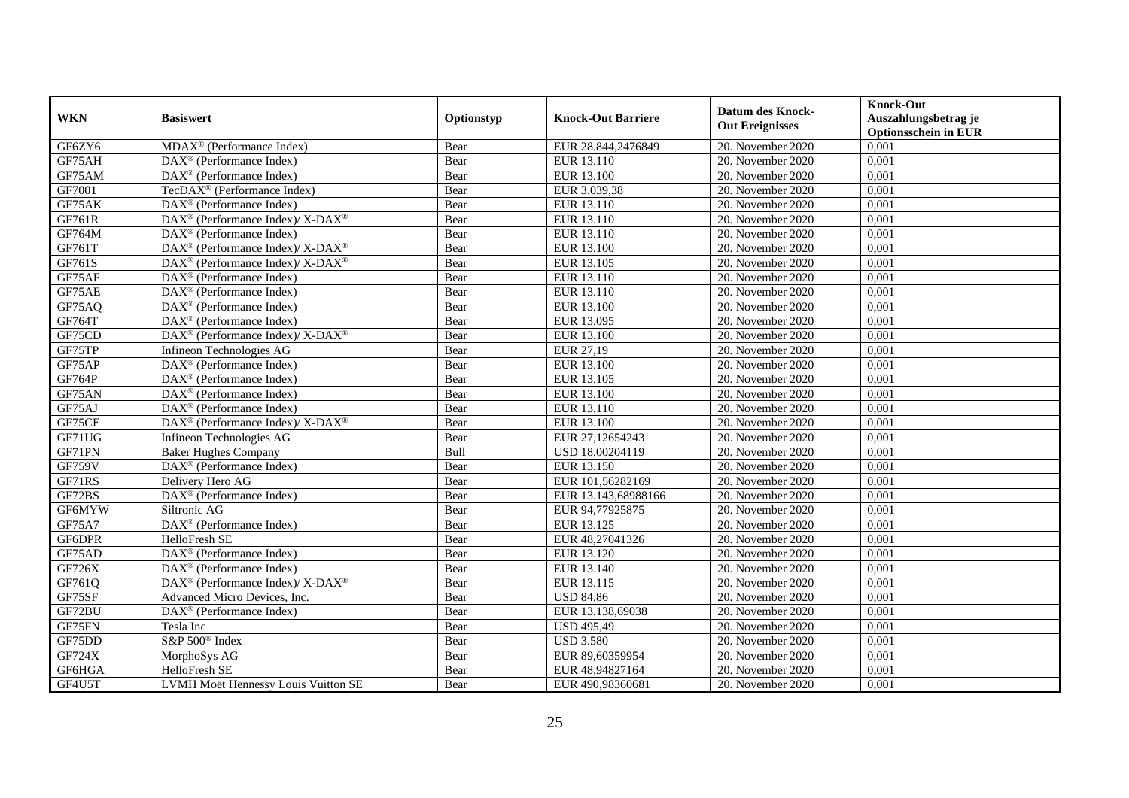| <b>WKN</b>    | <b>Basiswert</b>                                            | Optionstyp | <b>Knock-Out Barriere</b> | <b>Datum des Knock-</b><br><b>Out Ereignisses</b> | <b>Knock-Out</b><br>Auszahlungsbetrag je<br><b>Optionsschein in EUR</b> |
|---------------|-------------------------------------------------------------|------------|---------------------------|---------------------------------------------------|-------------------------------------------------------------------------|
| GF6ZY6        | $MDAX^{\circledR}$ (Performance Index)                      | Bear       | EUR 28.844,2476849        | 20. November 2020                                 | 0,001                                                                   |
| GF75AH        | $DAX^{\otimes}$ (Performance Index)                         | Bear       | EUR 13.110                | 20. November 2020                                 | 0,001                                                                   |
| GF75AM        | $DAX^{\circledR}$ (Performance Index)                       | Bear       | EUR 13.100                | 20. November 2020                                 | 0,001                                                                   |
| GF7001        | TecDAX <sup>®</sup> (Performance Index)                     | Bear       | EUR 3.039,38              | 20. November 2020                                 | 0,001                                                                   |
| GF75AK        | DAX <sup>®</sup> (Performance Index)                        | Bear       | EUR 13.110                | 20. November $2020$                               | 0,001                                                                   |
| GF761R        | DAX <sup>®</sup> (Performance Index)/ X-DAX <sup>®</sup>    | Bear       | EUR 13.110                | 20. November 2020                                 | 0,001                                                                   |
| GF764M        | $\text{DAX}^{\circledast}$ (Performance Index)              | Bear       | EUR 13.110                | 20. November 2020                                 | 0,001                                                                   |
| GF761T        | DAX <sup>®</sup> (Performance Index)/ X-DAX <sup>®</sup>    | Bear       | EUR 13.100                | 20. November 2020                                 | 0,001                                                                   |
| GF761S        | DAX <sup>®</sup> (Performance Index)/ X-DAX <sup>®</sup>    | Bear       | EUR 13.105                | 20. November 2020                                 | 0,001                                                                   |
| GF75AF        | $DAX^{\circledR}$ (Performance Index)                       | Bear       | EUR 13.110                | 20. November 2020                                 | 0,001                                                                   |
| GF75AE        | $\overline{\text{DAX}^{\otimes}(\text{Performance Index})}$ | Bear       | EUR 13.110                | 20. November 2020                                 | 0,001                                                                   |
| GF75AQ        | $\overline{\text{DAX}^{\otimes}}$ (Performance Index)       | Bear       | EUR 13.100                | 20. November 2020                                 | 0,001                                                                   |
| GF764T        | $\overline{\text{DAX}^{\otimes}}$ (Performance Index)       | Bear       | EUR 13.095                | 20. November 2020                                 | 0,001                                                                   |
| GF75CD        | DAX <sup>®</sup> (Performance Index)/ X-DAX <sup>®</sup>    | Bear       | EUR 13.100                | 20. November 2020                                 | 0,001                                                                   |
| GF75TP        | Infineon Technologies AG                                    | Bear       | EUR 27,19                 | 20. November 2020                                 | 0,001                                                                   |
| GF75AP        | DAX <sup>®</sup> (Performance Index)                        | Bear       | EUR 13.100                | 20. November 2020                                 | 0,001                                                                   |
| GF764P        | DAX <sup>®</sup> (Performance Index)                        | Bear       | EUR 13.105                | 20. November 2020                                 | 0,001                                                                   |
| GF75AN        | $DAX^{\circledcirc}$ (Performance Index)                    | Bear       | EUR 13.100                | 20. November 2020                                 | 0,001                                                                   |
| GF75AJ        | $DAX^{\otimes}$ (Performance Index)                         | Bear       | EUR 13.110                | 20. November 2020                                 | 0,001                                                                   |
| GF75CE        | DAX <sup>®</sup> (Performance Index)/ X-DAX <sup>®</sup>    | Bear       | EUR 13.100                | 20. November 2020                                 | 0,001                                                                   |
| GF71UG        | Infineon Technologies AG                                    | Bear       | EUR 27,12654243           | 20. November 2020                                 | 0,001                                                                   |
| GF71PN        | <b>Baker Hughes Company</b>                                 | Bull       | USD 18,00204119           | 20. November 2020                                 | 0,001                                                                   |
| <b>GF759V</b> | DAX <sup>®</sup> (Performance Index)                        | Bear       | EUR 13.150                | 20. November 2020                                 | 0,001                                                                   |
| GF71RS        | Delivery Hero AG                                            | Bear       | EUR 101,56282169          | 20. November 2020                                 | 0,001                                                                   |
| GF72BS        | $DAX^{\circledR}$ (Performance Index)                       | Bear       | EUR 13.143,68988166       | 20. November 2020                                 | 0,001                                                                   |
| GF6MYW        | Siltronic AG                                                | Bear       | EUR 94,77925875           | 20. November 2020                                 | 0,001                                                                   |
| GF75A7        | DAX <sup>®</sup> (Performance Index)                        | Bear       | EUR 13.125                | 20. November 2020                                 | 0,001                                                                   |
| GF6DPR        | HelloFresh SE                                               | Bear       | EUR 48,27041326           | 20. November 2020                                 | 0,001                                                                   |
| GF75AD        | $DAX^{\circledR}$ (Performance Index)                       | Bear       | EUR 13.120                | $20.$ November 2020                               | 0,001                                                                   |
| GF726X        | $DAX^{\circledR}$ (Performance Index)                       | Bear       | EUR 13.140                | 20. November 2020                                 | 0,001                                                                   |
| GF761Q        | DAX <sup>®</sup> (Performance Index)/ X-DAX <sup>®</sup>    | Bear       | EUR 13.115                | 20. November 2020                                 | 0,001                                                                   |
| GF75SF        | Advanced Micro Devices, Inc.                                | Bear       | <b>USD 84,86</b>          | 20. November 2020                                 | 0,001                                                                   |
| GF72BU        | DAX <sup>®</sup> (Performance Index)                        | Bear       | EUR 13.138,69038          | 20. November 2020                                 | 0,001                                                                   |
| GF75FN        | Tesla Inc                                                   | Bear       | <b>USD 495,49</b>         | 20. November 2020                                 | 0,001                                                                   |
| GF75DD        | S&P 500 <sup>®</sup> Index                                  | Bear       | <b>USD 3.580</b>          | 20. November 2020                                 | 0,001                                                                   |
| <b>GF724X</b> | MorphoSys AG                                                | Bear       | EUR 89,60359954           | 20. November 2020                                 | 0,001                                                                   |
| GF6HGA        | HelloFresh SE                                               | Bear       | EUR 48,94827164           | 20. November 2020                                 | 0,001                                                                   |
| GF4U5T        | LVMH Moët Hennessy Louis Vuitton SE                         | Bear       | EUR 490,98360681          | 20. November 2020                                 | 0,001                                                                   |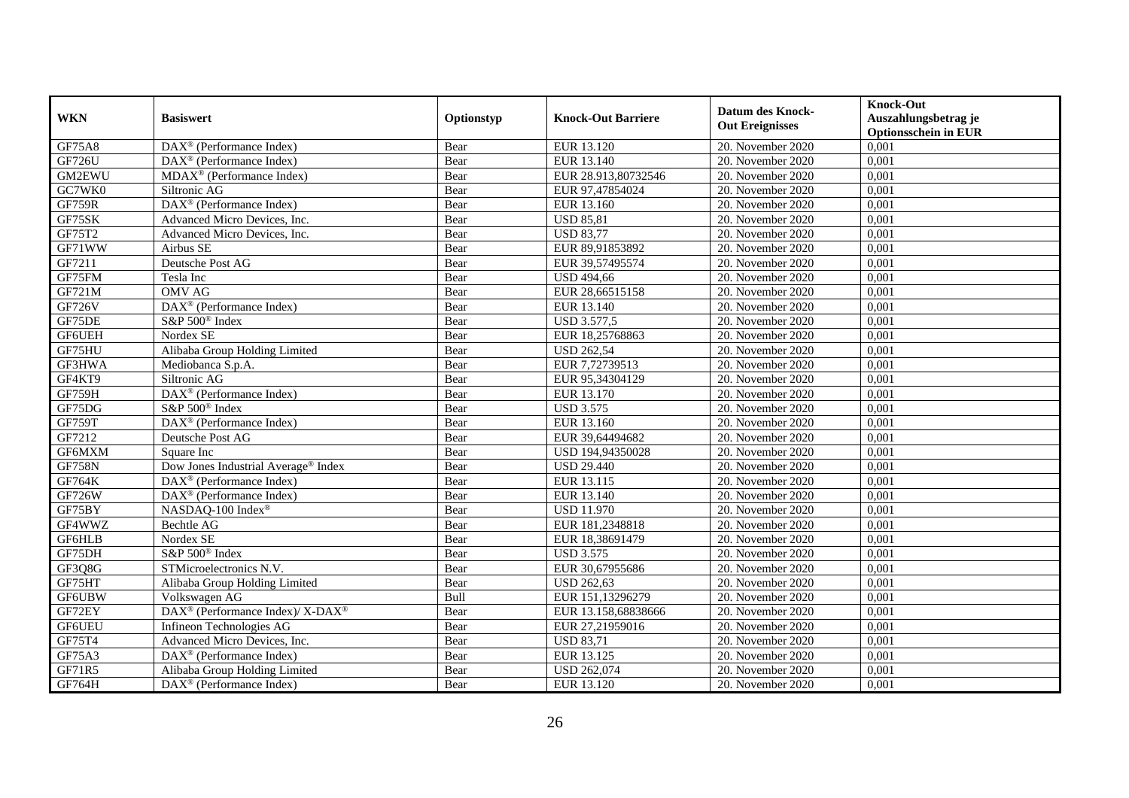| <b>WKN</b>    | <b>Basiswert</b>                                         | Optionstyp | <b>Knock-Out Barriere</b> | <b>Datum des Knock-</b><br><b>Out Ereignisses</b> | <b>Knock-Out</b><br>Auszahlungsbetrag je<br><b>Optionsschein in EUR</b> |
|---------------|----------------------------------------------------------|------------|---------------------------|---------------------------------------------------|-------------------------------------------------------------------------|
| <b>GF75A8</b> | $DAX^{\circledast}$ (Performance Index)                  | Bear       | EUR 13.120                | 20. November 2020                                 | 0,001                                                                   |
| GF726U        | $\text{DAX}^{\otimes}$ (Performance Index)               | Bear       | EUR 13.140                | 20. November 2020                                 | 0,001                                                                   |
| GM2EWU        | $MDAX^{\circledR}$ (Performance Index)                   | Bear       | EUR 28.913,80732546       | 20. November 2020                                 | 0,001                                                                   |
| GC7WK0        | Siltronic AG                                             | Bear       | EUR 97,47854024           | 20. November 2020                                 | 0,001                                                                   |
| <b>GF759R</b> | DAX <sup>®</sup> (Performance Index)                     | Bear       | EUR 13.160                | 20. November 2020                                 | 0,001                                                                   |
| GF75SK        | Advanced Micro Devices, Inc.                             | Bear       | <b>USD 85,81</b>          | 20. November 2020                                 | 0,001                                                                   |
| GF75T2        | Advanced Micro Devices, Inc.                             | Bear       | <b>USD 83,77</b>          | 20. November 2020                                 | 0,001                                                                   |
| GF71WW        | Airbus SE                                                | Bear       | EUR 89,91853892           | 20. November 2020                                 | 0,001                                                                   |
| GF7211        | Deutsche Post AG                                         | Bear       | EUR 39,57495574           | 20. November 2020                                 | 0,001                                                                   |
| GF75FM        | Tesla Inc                                                | Bear       | <b>USD 494,66</b>         | $20.$ November 2020                               | 0,001                                                                   |
| GF721M        | <b>OMV AG</b>                                            | Bear       | EUR 28,66515158           | 20. November 2020                                 | 0,001                                                                   |
| <b>GF726V</b> | DAX <sup>®</sup> (Performance Index)                     | Bear       | EUR 13.140                | 20. November 2020                                 | 0,001                                                                   |
| GF75DE        | S&P 500 <sup>®</sup> Index                               | Bear       | <b>USD 3.577,5</b>        | 20. November 2020                                 | 0,001                                                                   |
| GF6UEH        | Nordex SE                                                | Bear       | EUR 18,25768863           | 20. November 2020                                 | 0,001                                                                   |
| GF75HU        | Alibaba Group Holding Limited                            | Bear       | <b>USD 262,54</b>         | 20. November 2020                                 | 0,001                                                                   |
| GF3HWA        | Mediobanca S.p.A.                                        | Bear       | EUR 7,72739513            | 20. November 2020                                 | 0,001                                                                   |
| GF4KT9        | Siltronic AG                                             | Bear       | EUR 95,34304129           | 20. November 2020                                 | 0,001                                                                   |
| GF759H        | DAX <sup>®</sup> (Performance Index)                     | Bear       | EUR 13.170                | 20. November 2020                                 | 0,001                                                                   |
| GF75DG        | S&P 500 <sup>®</sup> Index                               | Bear       | <b>USD 3.575</b>          | 20. November 2020                                 | 0,001                                                                   |
| GF759T        | DAX <sup>®</sup> (Performance Index)                     | Bear       | EUR 13.160                | 20. November 2020                                 | 0,001                                                                   |
| GF7212        | Deutsche Post AG                                         | Bear       | EUR 39,64494682           | 20. November 2020                                 | 0,001                                                                   |
| GF6MXM        | Square Inc                                               | Bear       | USD 194,94350028          | 20. November 2020                                 | 0,001                                                                   |
| <b>GF758N</b> | Dow Jones Industrial Average® Index                      | Bear       | <b>USD 29.440</b>         | 20. November 2020                                 | 0,001                                                                   |
| <b>GF764K</b> | $DAX^{\circledR}$ (Performance Index)                    | Bear       | EUR 13.115                | 20. November 2020                                 | 0,001                                                                   |
| <b>GF726W</b> | DAX <sup>®</sup> (Performance Index)                     | Bear       | EUR 13.140                | 20. November 2020                                 | 0,001                                                                   |
| GF75BY        | NASDAQ-100 Index®                                        | Bear       | <b>USD 11.970</b>         | 20. November 2020                                 | 0,001                                                                   |
| GF4WWZ        | Bechtle AG                                               | Bear       | EUR 181,2348818           | 20. November 2020                                 | 0,001                                                                   |
| GF6HLB        | Nordex SE                                                | Bear       | EUR 18,38691479           | 20. November 2020                                 | 0,001                                                                   |
| GF75DH        | S&P 500 <sup>®</sup> Index                               | Bear       | <b>USD 3.575</b>          | 20. November 2020                                 | 0,001                                                                   |
| GF3Q8G        | STMicroelectronics N.V.                                  | Bear       | EUR 30,67955686           | 20. November 2020                                 | 0,001                                                                   |
| GF75HT        | Alibaba Group Holding Limited                            | Bear       | <b>USD 262,63</b>         | 20. November 2020                                 | 0,001                                                                   |
| GF6UBW        | Volkswagen AG                                            | Bull       | EUR 151,13296279          | 20. November 2020                                 | 0,001                                                                   |
| GF72EY        | DAX <sup>®</sup> (Performance Index)/ X-DAX <sup>®</sup> | Bear       | EUR 13.158,68838666       | $20.$ November 2020                               | 0,001                                                                   |
| GF6UEU        | Infineon Technologies AG                                 | Bear       | EUR 27,21959016           | $20.$ November 2020                               | 0,001                                                                   |
| GF75T4        | Advanced Micro Devices, Inc.                             | Bear       | <b>USD 83,71</b>          | 20. November 2020                                 | 0,001                                                                   |
| GF75A3        | DAX <sup>®</sup> (Performance Index)                     | Bear       | EUR 13.125                | 20. November 2020                                 | 0,001                                                                   |
| GF71R5        | Alibaba Group Holding Limited                            | Bear       | USD 262,074               | 20. November 2020                                 | 0,001                                                                   |
| GF764H        | DAX <sup>®</sup> (Performance Index)                     | Bear       | EUR 13.120                | 20. November 2020                                 | 0,001                                                                   |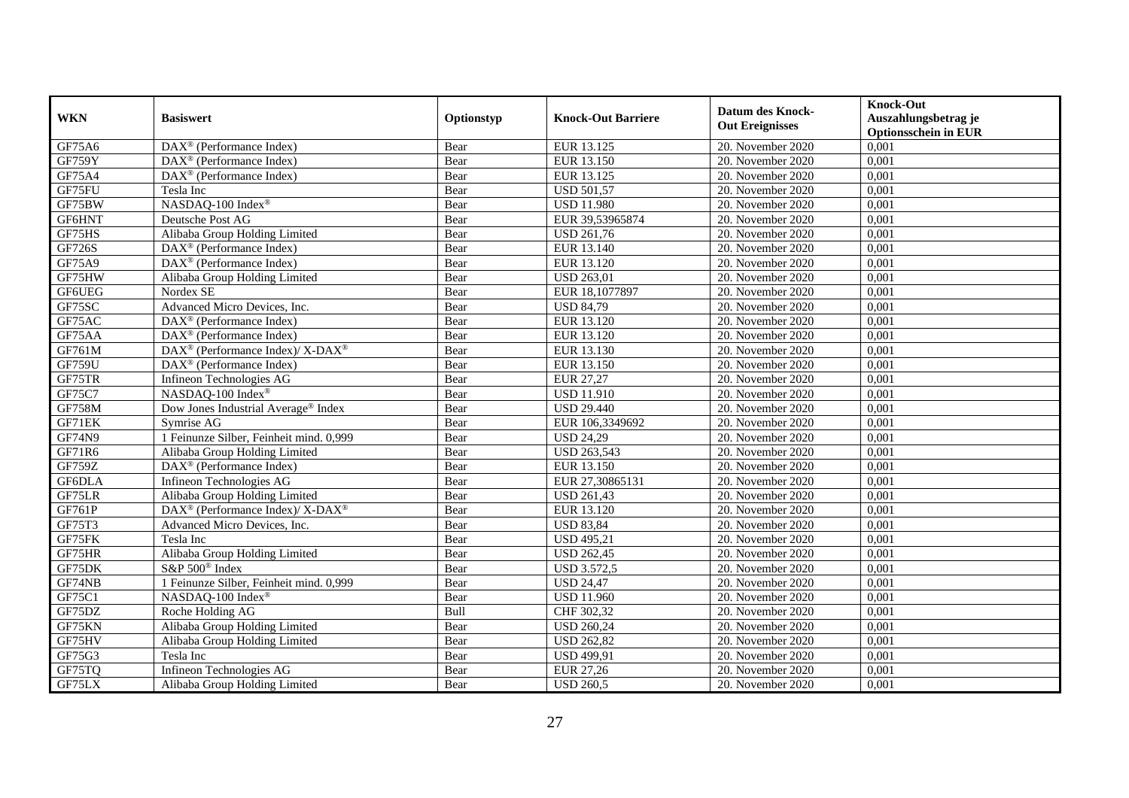| <b>WKN</b>    | <b>Basiswert</b>                                         | Optionstyp | <b>Knock-Out Barriere</b> | <b>Datum des Knock-</b><br><b>Out Ereignisses</b> | <b>Knock-Out</b><br>Auszahlungsbetrag je<br><b>Optionsschein in EUR</b> |
|---------------|----------------------------------------------------------|------------|---------------------------|---------------------------------------------------|-------------------------------------------------------------------------|
| GF75A6        | $\overline{\text{DAX}}^{\textcirc}$ (Performance Index)  | Bear       | EUR 13.125                | 20. November 2020                                 | 0,001                                                                   |
| GF759Y        | $DAX^{\circledR}$ (Performance Index)                    | Bear       | EUR 13.150                | 20. November 2020                                 | 0,001                                                                   |
| GF75A4        | DAX <sup>®</sup> (Performance Index)                     | Bear       | EUR 13.125                | 20. November 2020                                 | 0,001                                                                   |
| GF75FU        | Tesla Inc                                                | Bear       | <b>USD 501,57</b>         | 20. November 2020                                 | 0,001                                                                   |
| GF75BW        | NASDAQ-100 Index®                                        | Bear       | <b>USD 11.980</b>         | 20. November 2020                                 | 0,001                                                                   |
| GF6HNT        | Deutsche Post AG                                         | Bear       | EUR 39,53965874           | 20. November 2020                                 | 0,001                                                                   |
| GF75HS        | Alibaba Group Holding Limited                            | Bear       | <b>USD 261,76</b>         | 20. November 2020                                 | 0,001                                                                   |
| GF726S        | $DAX^{\circledR}$ (Performance Index)                    | Bear       | EUR 13.140                | 20. November 2020                                 | 0,001                                                                   |
| GF75A9        | $DAX^{\circledR}$ (Performance Index)                    | Bear       | EUR 13.120                | 20. November 2020                                 | 0,001                                                                   |
| GF75HW        | Alibaba Group Holding Limited                            | Bear       | <b>USD 263,01</b>         | 20. November 2020                                 | 0,001                                                                   |
| <b>GF6UEG</b> | Nordex SE                                                | Bear       | EUR 18,1077897            | 20. November 2020                                 | 0,001                                                                   |
| GF75SC        | Advanced Micro Devices, Inc.                             | Bear       | <b>USD 84,79</b>          | 20. November 2020                                 | 0,001                                                                   |
| GF75AC        | $\overline{\text{DAX}^{\otimes}}$ (Performance Index)    | Bear       | EUR 13.120                | 20. November 2020                                 | 0,001                                                                   |
| GF75AA        | DAX <sup>®</sup> (Performance Index)                     | Bear       | EUR 13.120                | 20. November 2020                                 | 0,001                                                                   |
| GF761M        | DAX <sup>®</sup> (Performance Index)/ X-DAX <sup>®</sup> | Bear       | EUR 13.130                | 20. November 2020                                 | 0,001                                                                   |
| <b>GF759U</b> | DAX <sup>®</sup> (Performance Index)                     | Bear       | EUR 13.150                | 20. November 2020                                 | 0,001                                                                   |
| GF75TR        | Infineon Technologies AG                                 | Bear       | <b>EUR 27,27</b>          | 20. November 2020                                 | 0,001                                                                   |
| GF75C7        | NASDAO-100 Index®                                        | Bear       | <b>USD 11.910</b>         | 20. November 2020                                 | 0,001                                                                   |
| GF758M        | Dow Jones Industrial Average® Index                      | Bear       | <b>USD 29.440</b>         | 20. November 2020                                 | 0,001                                                                   |
| GF71EK        | Symrise AG                                               | Bear       | EUR 106,3349692           | 20. November 2020                                 | 0,001                                                                   |
| GF74N9        | 1 Feinunze Silber, Feinheit mind. 0,999                  | Bear       | <b>USD 24,29</b>          | 20. November 2020                                 | 0,001                                                                   |
| GF71R6        | Alibaba Group Holding Limited                            | Bear       | <b>USD 263,543</b>        | 20. November 2020                                 | 0,001                                                                   |
| <b>GF759Z</b> | DAX <sup>®</sup> (Performance Index)                     | Bear       | EUR 13.150                | 20. November 2020                                 | 0,001                                                                   |
| GF6DLA        | Infineon Technologies AG                                 | Bear       | EUR 27,30865131           | 20. November 2020                                 | 0,001                                                                   |
| GF75LR        | Alibaba Group Holding Limited                            | Bear       | <b>USD 261,43</b>         | 20. November 2020                                 | 0,001                                                                   |
| GF761P        | DAX <sup>®</sup> (Performance Index)/ X-DAX <sup>®</sup> | Bear       | EUR 13.120                | 20. November 2020                                 | 0,001                                                                   |
| GF75T3        | Advanced Micro Devices, Inc.                             | Bear       | <b>USD 83,84</b>          | 20. November 2020                                 | 0,001                                                                   |
| GF75FK        | Tesla Inc                                                | Bear       | <b>USD 495,21</b>         | 20. November 2020                                 | 0,001                                                                   |
| GF75HR        | Alibaba Group Holding Limited                            | Bear       | <b>USD 262,45</b>         | $20.$ November 2020                               | 0,001                                                                   |
| GF75DK        | $S\&P 500^{\circ}$ Index                                 | Bear       | <b>USD 3.572,5</b>        | 20. November 2020                                 | 0,001                                                                   |
| GF74NB        | 1 Feinunze Silber, Feinheit mind. 0,999                  | Bear       | <b>USD 24,47</b>          | 20. November 2020                                 | 0,001                                                                   |
| GF75C1        | NASDAQ-100 Index®                                        | Bear       | <b>USD 11.960</b>         | 20. November 2020                                 | 0,001                                                                   |
| GF75DZ        | Roche Holding AG                                         | Bull       | CHF 302,32                | 20. November 2020                                 | 0,001                                                                   |
| GF75KN        | Alibaba Group Holding Limited                            | Bear       | <b>USD 260,24</b>         | 20. November 2020                                 | 0,001                                                                   |
| GF75HV        | Alibaba Group Holding Limited                            | Bear       | <b>USD 262,82</b>         | 20. November 2020                                 | 0,001                                                                   |
| GF75G3        | Tesla Inc                                                | Bear       | <b>USD 499,91</b>         | 20. November 2020                                 | 0,001                                                                   |
| GF75TQ        | Infineon Technologies AG                                 | Bear       | EUR 27,26                 | 20. November 2020                                 | 0,001                                                                   |
| GF75LX        | Alibaba Group Holding Limited                            | Bear       | <b>USD 260,5</b>          | 20. November 2020                                 | 0,001                                                                   |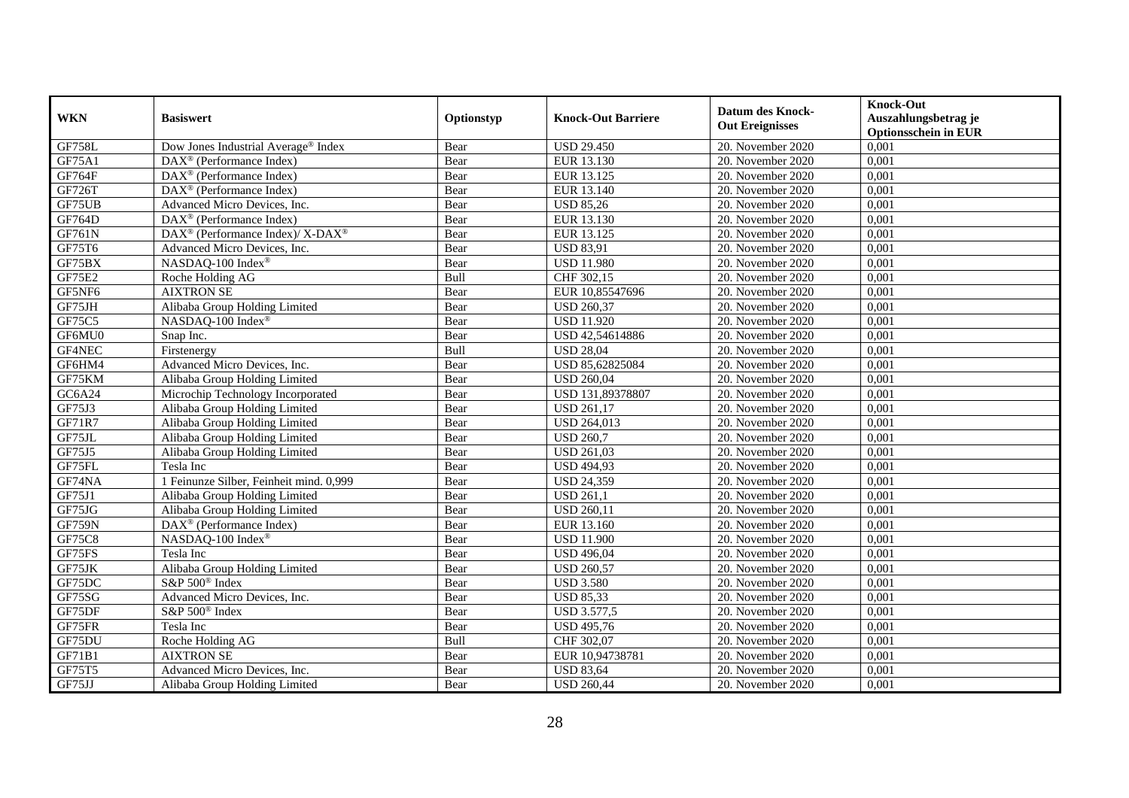| <b>WKN</b>    | <b>Basiswert</b>                                         | Optionstyp | <b>Knock-Out Barriere</b> | <b>Datum des Knock-</b><br><b>Out Ereignisses</b> | <b>Knock-Out</b><br>Auszahlungsbetrag je<br><b>Optionsschein in EUR</b> |
|---------------|----------------------------------------------------------|------------|---------------------------|---------------------------------------------------|-------------------------------------------------------------------------|
| <b>GF758L</b> | Dow Jones Industrial Average® Index                      | Bear       | <b>USD 29.450</b>         | 20. November 2020                                 | 0,001                                                                   |
| GF75A1        | $DAX^{\circledR}$ (Performance Index)                    | Bear       | EUR 13.130                | 20. November 2020                                 | 0,001                                                                   |
| GF764F        | $DAX^{\circledcirc}$ (Performance Index)                 | Bear       | EUR 13.125                | 20. November 2020                                 | 0,001                                                                   |
| GF726T        | DAX <sup>®</sup> (Performance Index)                     | Bear       | EUR 13.140                | 20. November 2020                                 | 0,001                                                                   |
| GF75UB        | Advanced Micro Devices, Inc.                             | Bear       | <b>USD 85,26</b>          | 20. November 2020                                 | 0,001                                                                   |
| GF764D        | DAX <sup>®</sup> (Performance Index)                     | Bear       | EUR 13.130                | 20. November 2020                                 | 0,001                                                                   |
| GF761N        | DAX <sup>®</sup> (Performance Index)/ X-DAX <sup>®</sup> | Bear       | EUR 13.125                | 20. November 2020                                 | 0,001                                                                   |
| GF75T6        | Advanced Micro Devices, Inc.                             | Bear       | <b>USD 83,91</b>          | 20. November 2020                                 | 0,001                                                                   |
| GF75BX        | NASDAQ-100 Index®                                        | Bear       | <b>USD 11.980</b>         | 20. November 2020                                 | 0,001                                                                   |
| GF75E2        | Roche Holding AG                                         | Bull       | CHF 302,15                | 20. November 2020                                 | 0,001                                                                   |
| GF5NF6        | <b>AIXTRON SE</b>                                        | Bear       | EUR 10,85547696           | 20. November 2020                                 | 0,001                                                                   |
| GF75JH        | Alibaba Group Holding Limited                            | Bear       | <b>USD 260,37</b>         | 20. November 2020                                 | 0,001                                                                   |
| GF75C5        | NASDAQ-100 Index®                                        | Bear       | <b>USD 11.920</b>         | 20. November 2020                                 | 0,001                                                                   |
| GF6MU0        | Snap Inc.                                                | Bear       | USD 42,54614886           | 20. November 2020                                 | 0,001                                                                   |
| GF4NEC        | Firstenergy                                              | Bull       | <b>USD 28,04</b>          | 20. November 2020                                 | 0,001                                                                   |
| GF6HM4        | Advanced Micro Devices, Inc.                             | Bear       | USD 85,62825084           | 20. November 2020                                 | 0,001                                                                   |
| GF75KM        | Alibaba Group Holding Limited                            | Bear       | <b>USD 260,04</b>         | 20. November 2020                                 | 0,001                                                                   |
| GC6A24        | Microchip Technology Incorporated                        | Bear       | USD 131,89378807          | 20. November 2020                                 | 0,001                                                                   |
| GF75J3        | Alibaba Group Holding Limited                            | Bear       | <b>USD 261,17</b>         | 20. November 2020                                 | 0,001                                                                   |
| <b>GF71R7</b> | Alibaba Group Holding Limited                            | Bear       | <b>USD 264,013</b>        | 20. November 2020                                 | 0,001                                                                   |
| GF75JL        | Alibaba Group Holding Limited                            | Bear       | <b>USD 260,7</b>          | 20. November 2020                                 | 0,001                                                                   |
| GF75J5        | Alibaba Group Holding Limited                            | Bear       | <b>USD 261,03</b>         | 20. November 2020                                 | 0,001                                                                   |
| GF75FL        | Tesla Inc                                                | Bear       | <b>USD 494,93</b>         | 20. November 2020                                 | 0,001                                                                   |
| GF74NA        | 1 Feinunze Silber, Feinheit mind. 0,999                  | Bear       | <b>USD 24,359</b>         | 20. November 2020                                 | 0,001                                                                   |
| GF75J1        | Alibaba Group Holding Limited                            | Bear       | <b>USD 261,1</b>          | 20. November 2020                                 | 0,001                                                                   |
| GF75JG        | Alibaba Group Holding Limited                            | Bear       | <b>USD 260,11</b>         | 20. November 2020                                 | 0,001                                                                   |
| <b>GF759N</b> | DAX <sup>®</sup> (Performance Index)                     | Bear       | EUR 13.160                | 20. November 2020                                 | 0,001                                                                   |
| <b>GF75C8</b> | NASDAQ-100 Index®                                        | Bear       | <b>USD 11.900</b>         | 20. November 2020                                 | 0,001                                                                   |
| GF75FS        | Tesla Inc                                                | Bear       | <b>USD 496,04</b>         | $20.$ November 2020                               | 0,001                                                                   |
| GF75JK        | Alibaba Group Holding Limited                            | Bear       | <b>USD 260,57</b>         | 20. November 2020                                 | 0,001                                                                   |
| GF75DC        | S&P 500 <sup>®</sup> Index                               | Bear       | <b>USD 3.580</b>          | 20. November 2020                                 | 0,001                                                                   |
| GF75SG        | Advanced Micro Devices, Inc.                             | Bear       | <b>USD 85,33</b>          | 20. November 2020                                 | 0,001                                                                   |
| GF75DF        | S&P 500 <sup>®</sup> Index                               | Bear       | <b>USD 3.577,5</b>        | 20. November 2020                                 | 0,001                                                                   |
| GF75FR        | Tesla Inc                                                | Bear       | <b>USD 495,76</b>         | 20. November 2020                                 | 0,001                                                                   |
| GF75DU        | Roche Holding AG                                         | Bull       | CHF 302,07                | 20. November 2020                                 | 0,001                                                                   |
| GF71B1        | <b>AIXTRON SE</b>                                        | Bear       | EUR 10,94738781           | 20. November 2020                                 | 0,001                                                                   |
| GF75T5        | Advanced Micro Devices, Inc.                             | Bear       | <b>USD 83,64</b>          | 20. November 2020                                 | 0,001                                                                   |
| GF75JJ        | Alibaba Group Holding Limited                            | Bear       | <b>USD 260,44</b>         | 20. November 2020                                 | 0,001                                                                   |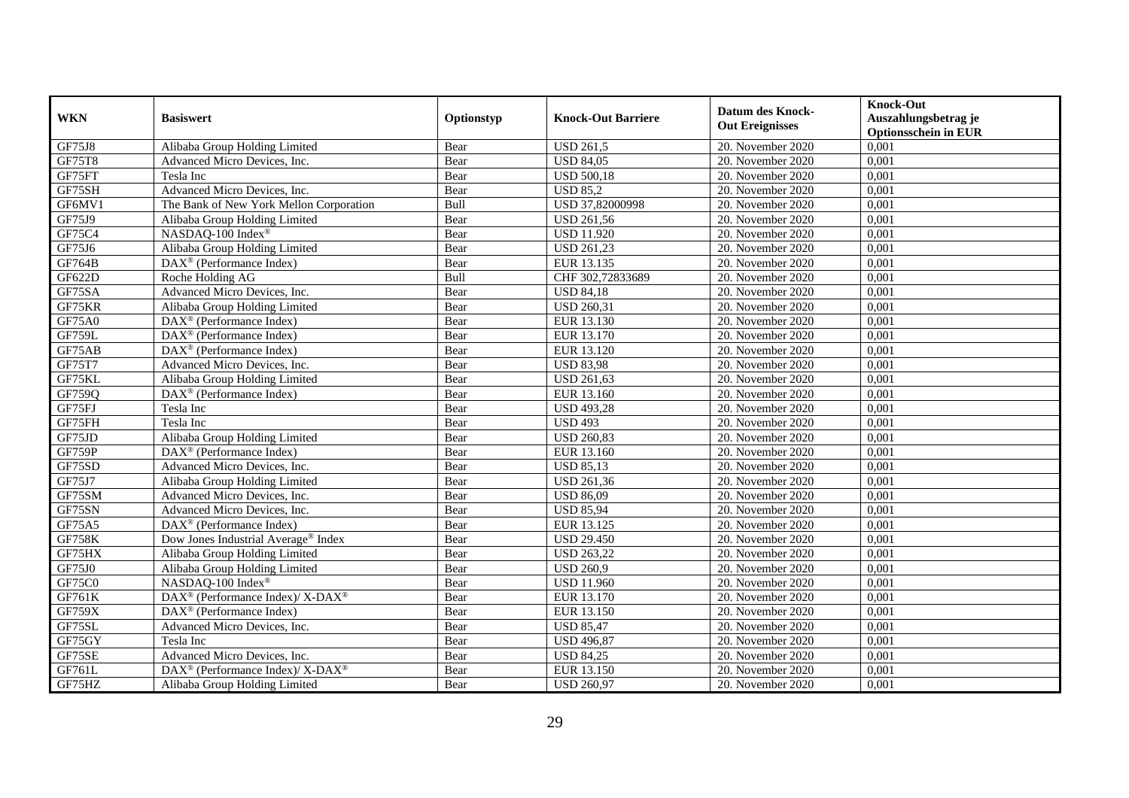| <b>WKN</b>    | <b>Basiswert</b>                                             |            |                           | <b>Datum des Knock-</b>         | <b>Knock-Out</b>            |
|---------------|--------------------------------------------------------------|------------|---------------------------|---------------------------------|-----------------------------|
|               |                                                              | Optionstyp | <b>Knock-Out Barriere</b> | <b>Out Ereignisses</b>          | Auszahlungsbetrag je        |
|               |                                                              |            |                           |                                 | <b>Optionsschein in EUR</b> |
| <b>GF75J8</b> | Alibaba Group Holding Limited                                | Bear       | <b>USD 261,5</b>          | 20. November 2020               | 0,001                       |
| GF75T8        | Advanced Micro Devices, Inc.                                 | Bear       | <b>USD 84,05</b>          | 20. November 2020               | 0,001                       |
| GF75FT        | Tesla Inc                                                    | Bear       | <b>USD 500,18</b>         | 20. November 2020               | 0,001                       |
| GF75SH        | Advanced Micro Devices, Inc.                                 | Bear       | <b>USD 85,2</b>           | 20. November 2020               | 0,001                       |
| GF6MV1        | The Bank of New York Mellon Corporation                      | Bull       | USD 37,82000998           | 20. November 2020               | 0,001                       |
| GF75J9        | Alibaba Group Holding Limited                                | Bear       | <b>USD 261,56</b>         | 20. November 2020               | 0,001                       |
| GF75C4        | NASDAQ-100 Index®                                            | Bear       | <b>USD 11.920</b>         | $\overline{20}$ . November 2020 | 0,001                       |
| GF75J6        | Alibaba Group Holding Limited                                | Bear       | <b>USD 261,23</b>         | 20. November 2020               | 0,001                       |
| GF764B        | DAX <sup>®</sup> (Performance Index)                         | Bear       | EUR 13.135                | 20. November 2020               | 0,001                       |
| GF622D        | Roche Holding AG                                             | Bull       | CHF 302,72833689          | 20. November 2020               | 0,001                       |
| GF75SA        | Advanced Micro Devices, Inc.                                 | Bear       | <b>USD 84,18</b>          | 20. November 2020               | 0,001                       |
| GF75KR        | Alibaba Group Holding Limited                                | Bear       | <b>USD 260,31</b>         | 20. November 2020               | 0,001                       |
| GF75A0        | DAX <sup>®</sup> (Performance Index)                         | Bear       | EUR 13.130                | 20. November 2020               | 0,001                       |
| <b>GF759L</b> | $DAX^{\circledR}$ (Performance Index)                        | Bear       | EUR 13.170                | 20. November 2020               | 0,001                       |
| GF75AB        | DAX <sup>®</sup> (Performance Index)                         | Bear       | EUR 13.120                | 20. November 2020               | 0,001                       |
| GF75T7        | Advanced Micro Devices, Inc.                                 | Bear       | <b>USD 83,98</b>          | 20. November 2020               | 0,001                       |
| GF75KL        | Alibaba Group Holding Limited                                | Bear       | <b>USD 261,63</b>         | 20. November 2020               | 0,001                       |
| GF759Q        | $\overline{\text{DAX}}^{\textcircled{}}$ (Performance Index) | Bear       | EUR 13.160                | 20. November 2020               | 0,001                       |
| GF75FJ        | Tesla Inc                                                    | Bear       | <b>USD 493,28</b>         | 20. November 2020               | 0,001                       |
| GF75FH        | Tesla Inc                                                    | Bear       | <b>USD 493</b>            | 20. November 2020               | 0,001                       |
| GF75JD        | Alibaba Group Holding Limited                                | Bear       | <b>USD 260,83</b>         | 20. November 2020               | 0,001                       |
| GF759P        | $DAX^{\circledast}$ (Performance Index)                      | Bear       | EUR 13.160                | 20. November 2020               | 0,001                       |
| GF75SD        | Advanced Micro Devices, Inc.                                 | Bear       | <b>USD 85,13</b>          | 20. November 2020               | 0,001                       |
| GF75J7        | Alibaba Group Holding Limited                                | Bear       | <b>USD 261,36</b>         | 20. November 2020               | 0,001                       |
| GF75SM        | Advanced Micro Devices, Inc.                                 | Bear       | <b>USD 86,09</b>          | 20. November 2020               | 0,001                       |
| GF75SN        | Advanced Micro Devices, Inc.                                 | Bear       | <b>USD 85,94</b>          | 20. November 2020               | 0,001                       |
| GF75A5        | DAX <sup>®</sup> (Performance Index)                         | Bear       | EUR 13.125                | 20. November 2020               | 0,001                       |
| <b>GF758K</b> | Dow Jones Industrial Average <sup>®</sup> Index              | Bear       | <b>USD 29.450</b>         | 20. November 2020               | 0,001                       |
| GF75HX        | Alibaba Group Holding Limited                                | Bear       | <b>USD 263,22</b>         | $\overline{20}$ . November 2020 | 0,001                       |
| GF75J0        | Alibaba Group Holding Limited                                | Bear       | <b>USD 260,9</b>          | 20. November 2020               | 0,001                       |
| GF75C0        | NASDAQ-100 Index®                                            | Bear       | <b>USD 11.960</b>         | 20. November 2020               | 0,001                       |
| GF761K        | DAX <sup>®</sup> (Performance Index)/ X-DAX <sup>®</sup>     | Bear       | EUR 13.170                | 20. November 2020               | 0,001                       |
| <b>GF759X</b> | DAX <sup>®</sup> (Performance Index)                         | Bear       | EUR 13.150                | 20. November 2020               | 0,001                       |
| GF75SL        | Advanced Micro Devices, Inc.                                 | Bear       | <b>USD 85,47</b>          | 20. November 2020               | 0,001                       |
| GF75GY        | Tesla Inc                                                    | Bear       | <b>USD 496,87</b>         | 20. November 2020               | 0,001                       |
| GF75SE        | Advanced Micro Devices, Inc.                                 | Bear       | <b>USD 84,25</b>          | 20. November 2020               | 0,001                       |
| GF761L        | DAX <sup>®</sup> (Performance Index)/ X-DAX <sup>®</sup>     | Bear       | EUR 13.150                | 20. November 2020               | 0,001                       |
| GF75HZ        | Alibaba Group Holding Limited                                | Bear       | <b>USD 260,97</b>         | 20. November 2020               | 0,001                       |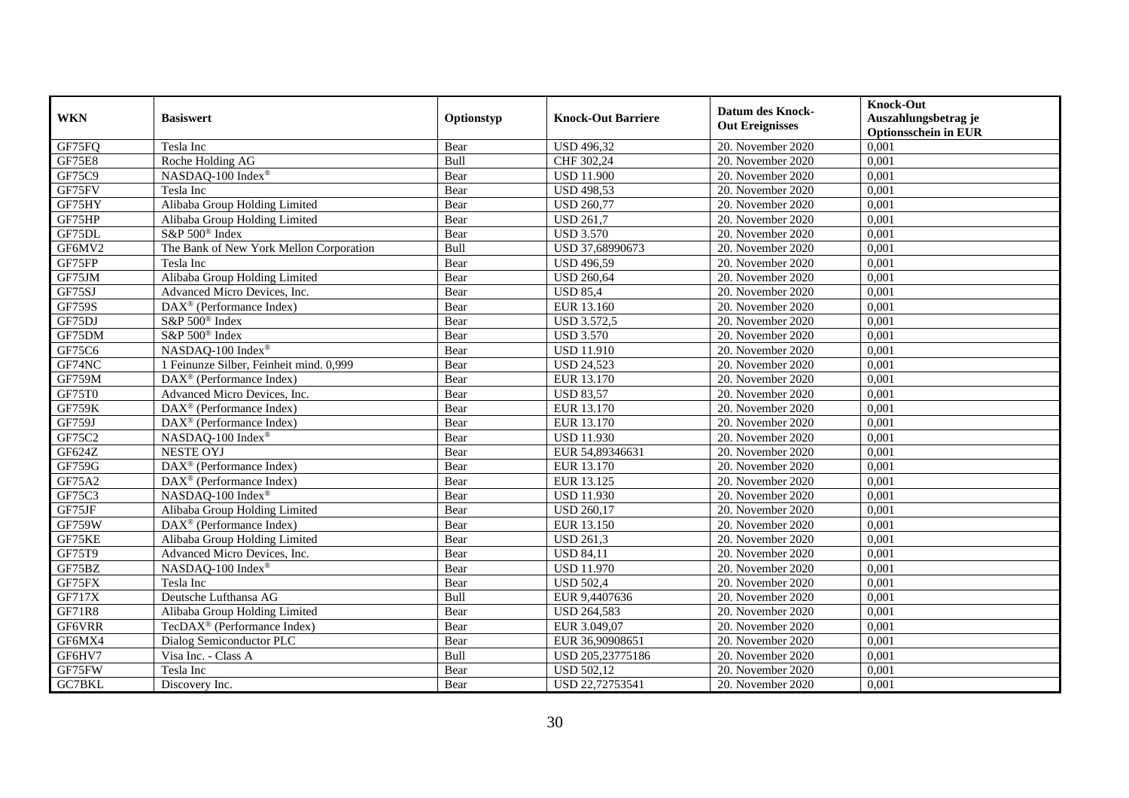| <b>WKN</b>    | <b>Basiswert</b>                                      | Optionstyp | <b>Knock-Out Barriere</b> | <b>Datum des Knock-</b><br><b>Out Ereignisses</b> | <b>Knock-Out</b><br>Auszahlungsbetrag je<br><b>Optionsschein in EUR</b> |
|---------------|-------------------------------------------------------|------------|---------------------------|---------------------------------------------------|-------------------------------------------------------------------------|
| GF75FQ        | Tesla Inc                                             | Bear       | <b>USD 496,32</b>         | 20. November 2020                                 | 0,001                                                                   |
| <b>GF75E8</b> | Roche Holding AG                                      | Bull       | CHF 302,24                | 20. November 2020                                 | 0,001                                                                   |
| GF75C9        | NASDAQ-100 Index®                                     | Bear       | <b>USD 11.900</b>         | 20. November 2020                                 | 0,001                                                                   |
| GF75FV        | Tesla Inc                                             | Bear       | <b>USD 498,53</b>         | 20. November 2020                                 | 0,001                                                                   |
| GF75HY        | Alibaba Group Holding Limited                         | Bear       | <b>USD 260,77</b>         | 20. November 2020                                 | 0,001                                                                   |
| GF75HP        | Alibaba Group Holding Limited                         | Bear       | <b>USD 261,7</b>          | 20. November 2020                                 | 0,001                                                                   |
| GF75DL        | S&P 500 <sup>®</sup> Index                            | Bear       | <b>USD 3.570</b>          | 20. November 2020                                 | 0,001                                                                   |
| GF6MV2        | The Bank of New York Mellon Corporation               | Bull       | USD 37,68990673           | 20. November 2020                                 | 0,001                                                                   |
| GF75FP        | Tesla Inc                                             | Bear       | <b>USD 496,59</b>         | 20. November 2020                                 | 0,001                                                                   |
| GF75JM        | Alibaba Group Holding Limited                         | Bear       | <b>USD 260,64</b>         | 20. November 2020                                 | 0,001                                                                   |
| GF75SJ        | Advanced Micro Devices, Inc.                          | Bear       | <b>USD 85,4</b>           | 20. November 2020                                 | 0,001                                                                   |
| <b>GF759S</b> | DAX <sup>®</sup> (Performance Index)                  | Bear       | EUR 13.160                | 20. November 2020                                 | 0,001                                                                   |
| GF75DJ        | S&P 500 <sup>®</sup> Index                            | Bear       | <b>USD 3.572,5</b>        | 20. November 2020                                 | 0,001                                                                   |
| GF75DM        | S&P 500 <sup>®</sup> Index                            | Bear       | <b>USD 3.570</b>          | 20. November 2020                                 | 0,001                                                                   |
| GF75C6        | NASDAQ-100 Index®                                     | Bear       | <b>USD 11.910</b>         | 20. November 2020                                 | 0,001                                                                   |
| GF74NC        | 1 Feinunze Silber, Feinheit mind. 0,999               | Bear       | <b>USD 24,523</b>         | 20. November 2020                                 | 0,001                                                                   |
| <b>GF759M</b> | DAX <sup>®</sup> (Performance Index)                  | Bear       | EUR 13.170                | 20. November 2020                                 | 0,001                                                                   |
| GF75T0        | Advanced Micro Devices, Inc.                          | Bear       | <b>USD 83,57</b>          | 20. November 2020                                 | 0,001                                                                   |
| <b>GF759K</b> | $DAX^{\circledR}$ (Performance Index)                 | Bear       | EUR 13.170                | 20. November 2020                                 | 0,001                                                                   |
| GF759J        | $DAX^{\circledast}$ (Performance Index)               | Bear       | EUR 13.170                | 20. November 2020                                 | 0,001                                                                   |
| GF75C2        | NASDAQ-100 Index®                                     | Bear       | <b>USD 11.930</b>         | 20. November 2020                                 | 0,001                                                                   |
| GF624Z        | <b>NESTE OYJ</b>                                      | Bear       | EUR 54,89346631           | 20. November 2020                                 | 0,001                                                                   |
| GF759G        | $\overline{\text{DAX}^{\otimes}}$ (Performance Index) | Bear       | EUR 13.170                | 20. November 2020                                 | 0,001                                                                   |
| GF75A2        | $DAX^{\circledast}$ (Performance Index)               | Bear       | EUR 13.125                | 20. November 2020                                 | 0,001                                                                   |
| GF75C3        | NASDAQ-100 Index®                                     | Bear       | <b>USD 11.930</b>         | 20. November 2020                                 | 0,001                                                                   |
| GF75JF        | Alibaba Group Holding Limited                         | Bear       | <b>USD 260,17</b>         | 20. November 2020                                 | 0,001                                                                   |
| <b>GF759W</b> | DAX <sup>®</sup> (Performance Index)                  | Bear       | EUR 13.150                | 20. November 2020                                 | 0,001                                                                   |
| GF75KE        | Alibaba Group Holding Limited                         | Bear       | <b>USD 261,3</b>          | 20. November 2020                                 | 0,001                                                                   |
| GF75T9        | Advanced Micro Devices, Inc.                          | Bear       | <b>USD 84,11</b>          | 20. November 2020                                 | 0,001                                                                   |
| GF75BZ        | NASDAQ-100 Index®                                     | Bear       | <b>USD 11.970</b>         | 20. November 2020                                 | 0,001                                                                   |
| GF75FX        | Tesla Inc                                             | Bear       | <b>USD 502,4</b>          | 20. November 2020                                 | 0,001                                                                   |
| <b>GF717X</b> | Deutsche Lufthansa AG                                 | Bull       | EUR 9,4407636             | 20. November 2020                                 | 0,001                                                                   |
| GF71R8        | Alibaba Group Holding Limited                         | Bear       | <b>USD 264,583</b>        | 20. November 2020                                 | 0,001                                                                   |
| GF6VRR        | TecDAX <sup>®</sup> (Performance Index)               | Bear       | EUR 3.049,07              | 20. November 2020                                 | 0,001                                                                   |
| GF6MX4        | Dialog Semiconductor PLC                              | Bear       | EUR 36,90908651           | 20. November 2020                                 | 0,001                                                                   |
| GF6HV7        | Visa Inc. - Class A                                   | Bull       | USD 205,23775186          | 20. November 2020                                 | 0,001                                                                   |
| GF75FW        | Tesla Inc                                             | Bear       | <b>USD 502,12</b>         | 20. November 2020                                 | 0,001                                                                   |
| GC7BKL        | Discovery Inc.                                        | Bear       | USD 22,72753541           | 20. November 2020                                 | 0,001                                                                   |